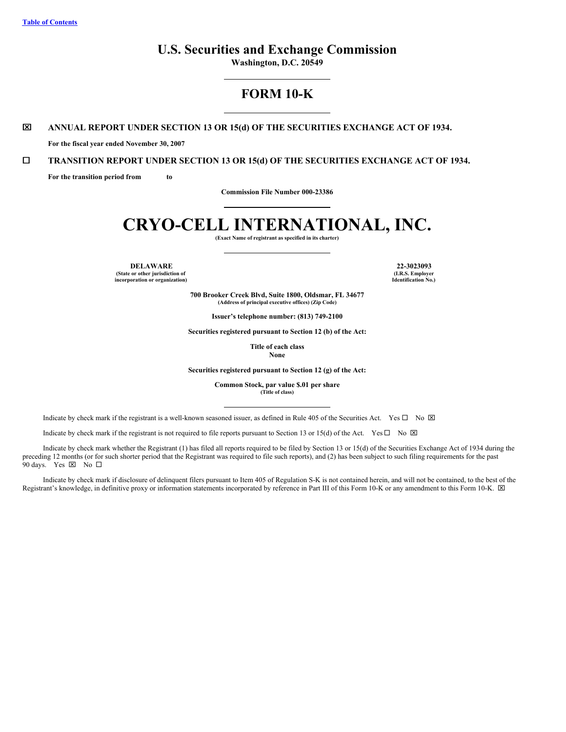# **U.S. Securities and Exchange Commission**

**Washington, D.C. 20549**

# **FORM 10-K**

# x **ANNUAL REPORT UNDER SECTION 13 OR 15(d) OF THE SECURITIES EXCHANGE ACT OF 1934.**

**For the fiscal year ended November 30, 2007**

# ¨ **TRANSITION REPORT UNDER SECTION 13 OR 15(d) OF THE SECURITIES EXCHANGE ACT OF 1934.**

**For the transition period from to**

**Commission File Number 000-23386**

# **CRYO-CELL INTERNATIONAL, INC.**

**(Exact Name of registrant as specified in its charter)**

**DELAWARE 22-3023093 (State or other jurisdiction of incorporation or organization)**

**(I.R.S. Employer Identification No.)**

**700 Brooker Creek Blvd, Suite 1800, Oldsmar, FL 34677 (Address of principal executive offices) (Zip Code)**

**Issuer's telephone number: (813) 749-2100**

**Securities registered pursuant to Section 12 (b) of the Act:**

**Title of each class None**

**Securities registered pursuant to Section 12 (g) of the Act:**

**Common Stock, par value \$.01 per share (Title of class)**

Indicate by check mark if the registrant is a well-known seasoned issuer, as defined in Rule 405 of the Securities Act. Yes  $\Box$  No  $\boxtimes$ 

Indicate by check mark if the registrant is not required to file reports pursuant to Section 13 or 15(d) of the Act. Yes  $\Box$  No  $\boxtimes$ 

Indicate by check mark whether the Registrant (1) has filed all reports required to be filed by Section 13 or 15(d) of the Securities Exchange Act of 1934 during the preceding 12 months (or for such shorter period that the Registrant was required to file such reports), and (2) has been subject to such filing requirements for the past 90 days. Yes  $\boxtimes$  No  $\square$ 

Indicate by check mark if disclosure of delinquent filers pursuant to Item 405 of Regulation S-K is not contained herein, and will not be contained, to the best of the Registrant's knowledge, in definitive proxy or information statements incorporated by reference in Part III of this Form 10-K or any amendment to this Form 10-K.  $\boxtimes$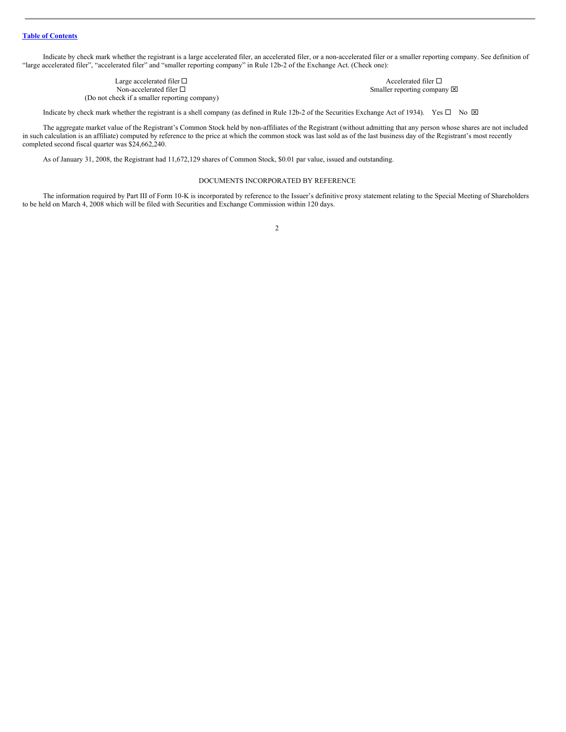Indicate by check mark whether the registrant is a large accelerated filer, an accelerated filer, or a non-accelerated filer or a smaller reporting company. See definition of "large accelerated filer", "accelerated filer" and "smaller reporting company" in Rule 12b-2 of the Exchange Act. (Check one):

> Large accelerated filer  $\square$ <br>
> Non-accelerated filer  $\square$ <br>
> Non-accelerated filer  $\square$ (Do not check if a smaller reporting company)

Smaller reporting company  $\boxtimes$ 

Indicate by check mark whether the registrant is a shell company (as defined in Rule 12b-2 of the Securities Exchange Act of 1934). Yes  $\Box$  No  $\boxtimes$ 

The aggregate market value of the Registrant's Common Stock held by non-affiliates of the Registrant (without admitting that any person whose shares are not included in such calculation is an affiliate) computed by reference to the price at which the common stock was last sold as of the last business day of the Registrant's most recently completed second fiscal quarter was \$24,662,240.

As of January 31, 2008, the Registrant had 11,672,129 shares of Common Stock, \$0.01 par value, issued and outstanding.

#### DOCUMENTS INCORPORATED BY REFERENCE

The information required by Part III of Form 10-K is incorporated by reference to the Issuer's definitive proxy statement relating to the Special Meeting of Shareholders to be held on March 4, 2008 which will be filed with Securities and Exchange Commission within 120 days.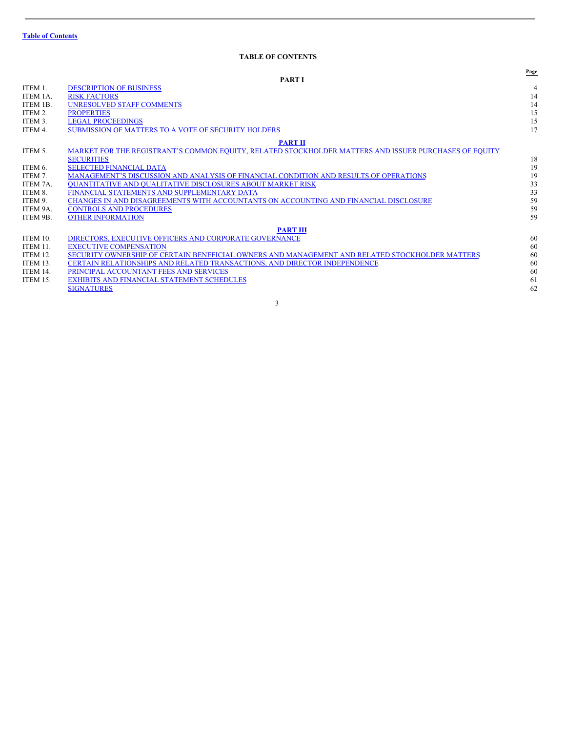# <span id="page-2-0"></span>**TABLE OF CONTENTS**

|                 |                                                                                                       | Page           |
|-----------------|-------------------------------------------------------------------------------------------------------|----------------|
|                 | <b>PART I</b>                                                                                         |                |
| ITEM 1.         | <b>DESCRIPTION OF BUSINESS</b>                                                                        | $\overline{4}$ |
| ITEM 1A.        | <b>RISK FACTORS</b>                                                                                   | 14             |
| ITEM 1B.        | <b>UNRESOLVED STAFF COMMENTS</b>                                                                      | 14             |
| ITEM 2.         | <b>PROPERTIES</b>                                                                                     | 15             |
| ITEM 3.         | <b>LEGAL PROCEEDINGS</b>                                                                              | 15             |
| ITEM 4.         | SUBMISSION OF MATTERS TO A VOTE OF SECURITY HOLDERS                                                   | 17             |
|                 | <b>PART II</b>                                                                                        |                |
| ITEM 5.         | MARKET FOR THE REGISTRANT'S COMMON EQUITY, RELATED STOCKHOLDER MATTERS AND ISSUER PURCHASES OF EQUITY |                |
|                 | <b>SECURITIES</b>                                                                                     | 18             |
| ITEM 6.         | <b>SELECTED FINANCIAL DATA</b>                                                                        | 19             |
| ITEM 7.         | MANAGEMENT'S DISCUSSION AND ANALYSIS OF FINANCIAL CONDITION AND RESULTS OF OPERATIONS                 | 19             |
| ITEM 7A.        | <b>OUANTITATIVE AND OUALITATIVE DISCLOSURES ABOUT MARKET RISK</b>                                     | 33             |
| ITEM 8.         | FINANCIAL STATEMENTS AND SUPPLEMENTARY DATA                                                           | 33             |
| ITEM 9.         | CHANGES IN AND DISAGREEMENTS WITH ACCOUNTANTS ON ACCOUNTING AND FINANCIAL DISCLOSURE                  | 59             |
| ITEM 9A.        | <b>CONTROLS AND PROCEDURES</b>                                                                        | 59             |
| ITEM 9B.        | <b>OTHER INFORMATION</b>                                                                              | 59             |
|                 | <b>PART III</b>                                                                                       |                |
| <b>ITEM 10.</b> | DIRECTORS, EXECUTIVE OFFICERS AND CORPORATE GOVERNANCE                                                | 60             |
| ITEM 11.        | <b>EXECUTIVE COMPENSATION</b>                                                                         | 60             |
| ITEM 12.        | SECURITY OWNERSHIP OF CERTAIN BENEFICIAL OWNERS AND MANAGEMENT AND RELATED STOCKHOLDER MATTERS        | 60             |
| ITEM 13.        | CERTAIN RELATIONSHIPS AND RELATED TRANSACTIONS, AND DIRECTOR INDEPENDENCE                             | 60             |
| <b>ITEM 14.</b> | PRINCIPAL ACCOUNTANT FEES AND SERVICES                                                                | 60             |
| <b>ITEM 15.</b> | <b>EXHIBITS AND FINANCIAL STATEMENT SCHEDULES</b>                                                     | 61             |
|                 | <b>SIGNATURES</b>                                                                                     | 62             |
|                 |                                                                                                       |                |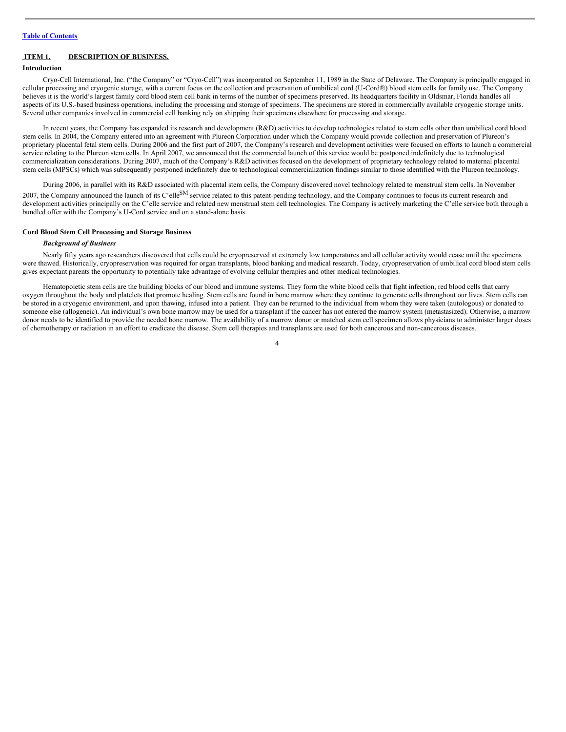# <span id="page-3-0"></span>**ITEM 1. DESCRIPTION OF BUSINESS.**

#### **Introduction**

Cryo-Cell International, Inc. ("the Company" or "Cryo-Cell") was incorporated on September 11, 1989 in the State of Delaware. The Company is principally engaged in cellular processing and cryogenic storage, with a current focus on the collection and preservation of umbilical cord (U-Cord®) blood stem cells for family use. The Company believes it is the world's largest family cord blood stem cell bank in terms of the number of specimens preserved. Its headquarters facility in Oldsmar, Florida handles all aspects of its U.S.-based business operations, including the processing and storage of specimens. The specimens are stored in commercially available cryogenic storage units. Several other companies involved in commercial cell banking rely on shipping their specimens elsewhere for processing and storage.

In recent years, the Company has expanded its research and development (R&D) activities to develop technologies related to stem cells other than umbilical cord blood stem cells. In 2004, the Company entered into an agreement with Plureon Corporation under which the Company would provide collection and preservation of Plureon's proprietary placental fetal stem cells. During 2006 and the first part of 2007, the Company's research and development activities were focused on efforts to launch a commercial service relating to the Plureon stem cells. In April 2007, we announced that the commercial launch of this service would be postponed indefinitely due to technological commercialization considerations. During 2007, much of the Company's R&D activities focused on the development of proprietary technology related to maternal placental stem cells (MPSCs) which was subsequently postponed indefinitely due to technological commercialization findings similar to those identified with the Plureon technology.

During 2006, in parallel with its R&D associated with placental stem cells, the Company discovered novel technology related to menstrual stem cells. In November 2007, the Company announced the launch of its C'elle<sup>SM</sup> service related to this patent-pending technology, and the Company continues to focus its current research and development activities principally on the C'elle service and related new menstrual stem cell technologies. The Company is actively marketing the C'elle service both through a bundled offer with the Company's U-Cord service and on a stand-alone basis.

#### **Cord Blood Stem Cell Processing and Storage Business**

#### *Background of Business*

Nearly fifty years ago researchers discovered that cells could be cryopreserved at extremely low temperatures and all cellular activity would cease until the specimens were thawed. Historically, cryopreservation was required for organ transplants, blood banking and medical research. Today, cryopreservation of umbilical cord blood stem cells gives expectant parents the opportunity to potentially take advantage of evolving cellular therapies and other medical technologies.

Hematopoietic stem cells are the building blocks of our blood and immune systems. They form the white blood cells that fight infection, red blood cells that carry oxygen throughout the body and platelets that promote healing. Stem cells are found in bone marrow where they continue to generate cells throughout our lives. Stem cells can be stored in a cryogenic environment, and upon thawing, infused into a patient. They can be returned to the individual from whom they were taken (autologous) or donated to someone else (allogeneic). An individual's own bone marrow may be used for a transplant if the cancer has not entered the marrow system (metastasized). Otherwise, a marrow donor needs to be identified to provide the needed bone marrow. The availability of a marrow donor or matched stem cell specimen allows physicians to administer larger doses of chemotherapy or radiation in an effort to eradicate the disease. Stem cell therapies and transplants are used for both cancerous and non-cancerous diseases.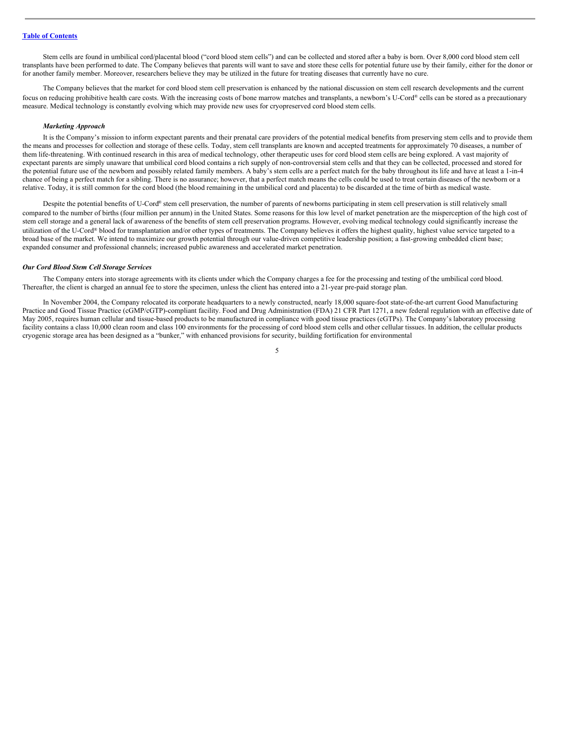Stem cells are found in umbilical cord/placental blood ("cord blood stem cells") and can be collected and stored after a baby is born. Over 8,000 cord blood stem cell transplants have been performed to date. The Company believes that parents will want to save and store these cells for potential future use by their family, either for the donor or for another family member. Moreover, researchers believe they may be utilized in the future for treating diseases that currently have no cure.

The Company believes that the market for cord blood stem cell preservation is enhanced by the national discussion on stem cell research developments and the current focus on reducing prohibitive health care costs. With the increasing costs of bone marrow matches and transplants, a newborn's U-Cord® cells can be stored as a precautionary measure. Medical technology is constantly evolving which may provide new uses for cryopreserved cord blood stem cells.

#### *Marketing Approach*

It is the Company's mission to inform expectant parents and their prenatal care providers of the potential medical benefits from preserving stem cells and to provide them the means and processes for collection and storage of these cells. Today, stem cell transplants are known and accepted treatments for approximately 70 diseases, a number of them life-threatening. With continued research in this area of medical technology, other therapeutic uses for cord blood stem cells are being explored. A vast majority of expectant parents are simply unaware that umbilical cord blood contains a rich supply of non-controversial stem cells and that they can be collected, processed and stored for the potential future use of the newborn and possibly related family members. A baby's stem cells are a perfect match for the baby throughout its life and have at least a 1-in-4 chance of being a perfect match for a sibling. There is no assurance; however, that a perfect match means the cells could be used to treat certain diseases of the newborn or a relative. Today, it is still common for the cord blood (the blood remaining in the umbilical cord and placenta) to be discarded at the time of birth as medical waste.

Despite the potential benefits of U-Cord® stem cell preservation, the number of parents of newborns participating in stem cell preservation is still relatively small compared to the number of births (four million per annum) in the United States. Some reasons for this low level of market penetration are the misperception of the high cost of stem cell storage and a general lack of awareness of the benefits of stem cell preservation programs. However, evolving medical technology could significantly increase the utilization of the U-Cord® blood for transplantation and/or other types of treatments. The Company believes it offers the highest quality, highest value service targeted to a broad base of the market. We intend to maximize our growth potential through our value-driven competitive leadership position; a fast-growing embedded client base; expanded consumer and professional channels; increased public awareness and accelerated market penetration.

#### *Our Cord Blood Stem Cell Storage Services*

The Company enters into storage agreements with its clients under which the Company charges a fee for the processing and testing of the umbilical cord blood. Thereafter, the client is charged an annual fee to store the specimen, unless the client has entered into a 21-year pre-paid storage plan.

In November 2004, the Company relocated its corporate headquarters to a newly constructed, nearly 18,000 square-foot state-of-the-art current Good Manufacturing Practice and Good Tissue Practice (cGMP/cGTP)-compliant facility. Food and Drug Administration (FDA) 21 CFR Part 1271, a new federal regulation with an effective date of May 2005, requires human cellular and tissue-based products to be manufactured in compliance with good tissue practices (cGTPs). The Company's laboratory processing facility contains a class 10,000 clean room and class 100 environments for the processing of cord blood stem cells and other cellular tissues. In addition, the cellular products cryogenic storage area has been designed as a "bunker," with enhanced provisions for security, building fortification for environmental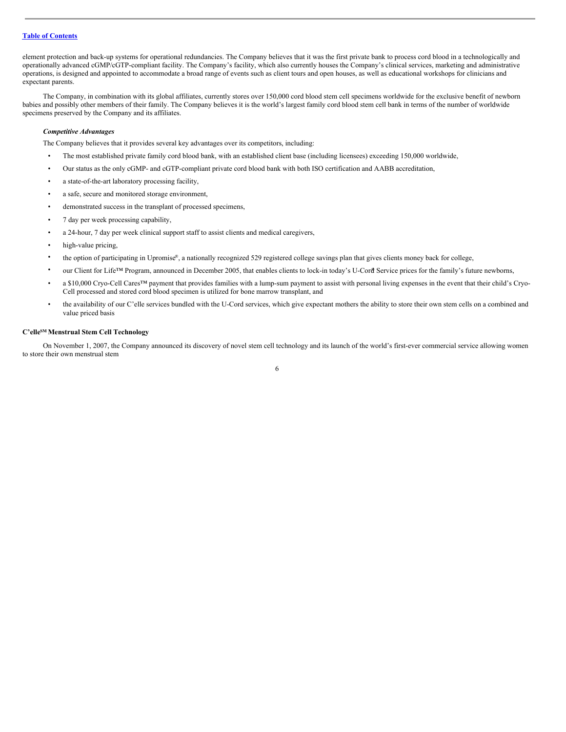element protection and back-up systems for operational redundancies. The Company believes that it was the first private bank to process cord blood in a technologically and operationally advanced cGMP/cGTP-compliant facility. The Company's facility, which also currently houses the Company's clinical services, marketing and administrative operations, is designed and appointed to accommodate a broad range of events such as client tours and open houses, as well as educational workshops for clinicians and expectant parents.

The Company, in combination with its global affiliates, currently stores over 150,000 cord blood stem cell specimens worldwide for the exclusive benefit of newborn babies and possibly other members of their family. The Company believes it is the world's largest family cord blood stem cell bank in terms of the number of worldwide specimens preserved by the Company and its affiliates.

## *Competitive Advantages*

The Company believes that it provides several key advantages over its competitors, including:

- The most established private family cord blood bank, with an established client base (including licensees) exceeding 150,000 worldwide,
- Our status as the only cGMP- and cGTP-compliant private cord blood bank with both ISO certification and AABB accreditation,
- a state-of-the-art laboratory processing facility,
- a safe, secure and monitored storage environment,
- demonstrated success in the transplant of processed specimens,
- 7 day per week processing capability,
- a 24-hour, 7 day per week clinical support staff to assist clients and medical caregivers,
- high-value pricing,
- the option of participating in Upromise®, a nationally recognized 529 registered college savings plan that gives clients money back for college,
- our Client for Life™ Program, announced in December 2005, that enables clients to lock-in today's U-Cord Service prices for the family's future newborns,
- a \$10,000 Cryo-Cell Cares™ payment that provides families with a lump-sum payment to assist with personal living expenses in the event that their child's Cryo-Cell processed and stored cord blood specimen is utilized for bone marrow transplant, and
- the availability of our C'elle services bundled with the U-Cord services, which give expectant mothers the ability to store their own stem cells on a combined and value priced basis

#### **C'elle SM Menstrual Stem Cell Technology**

On November 1, 2007, the Company announced its discovery of novel stem cell technology and its launch of the world's first-ever commercial service allowing women to store their own menstrual stem

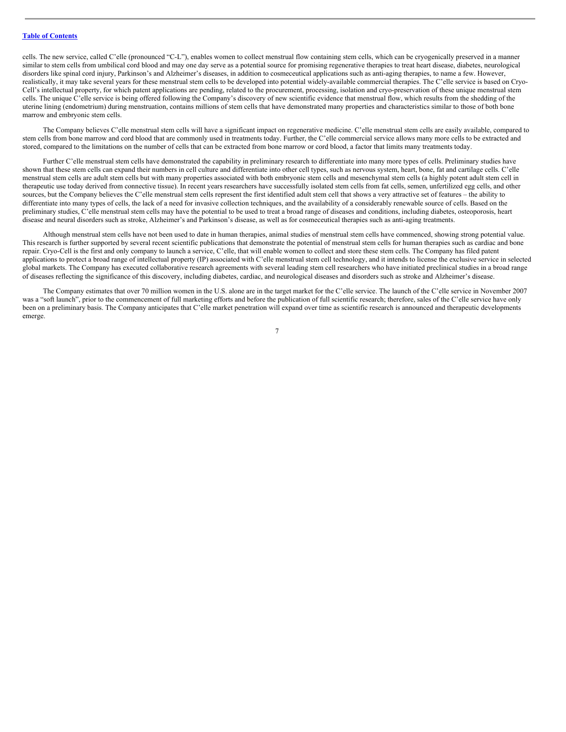cells. The new service, called C'elle (pronounced "C-L"), enables women to collect menstrual flow containing stem cells, which can be cryogenically preserved in a manner similar to stem cells from umbilical cord blood and may one day serve as a potential source for promising regenerative therapies to treat heart disease, diabetes, neurological disorders like spinal cord injury, Parkinson's and Alzheimer's diseases, in addition to cosmeceutical applications such as anti-aging therapies, to name a few. However, realistically, it may take several years for these menstrual stem cells to be developed into potential widely-available commercial therapies. The C'elle service is based on Cryo-Cell's intellectual property, for which patent applications are pending, related to the procurement, processing, isolation and cryo-preservation of these unique menstrual stem cells. The unique C'elle service is being offered following the Company's discovery of new scientific evidence that menstrual flow, which results from the shedding of the uterine lining (endometrium) during menstruation, contains millions of stem cells that have demonstrated many properties and characteristics similar to those of both bone marrow and embryonic stem cells.

The Company believes C'elle menstrual stem cells will have a significant impact on regenerative medicine. C'elle menstrual stem cells are easily available, compared to stem cells from bone marrow and cord blood that are commonly used in treatments today. Further, the C'elle commercial service allows many more cells to be extracted and stored, compared to the limitations on the number of cells that can be extracted from bone marrow or cord blood, a factor that limits many treatments today.

Further C'elle menstrual stem cells have demonstrated the capability in preliminary research to differentiate into many more types of cells. Preliminary studies have shown that these stem cells can expand their numbers in cell culture and differentiate into other cell types, such as nervous system, heart, bone, fat and cartilage cells. C'elle menstrual stem cells are adult stem cells but with many properties associated with both embryonic stem cells and mesenchymal stem cells (a highly potent adult stem cell in therapeutic use today derived from connective tissue). In recent years researchers have successfully isolated stem cells from fat cells, semen, unfertilized egg cells, and other sources, but the Company believes the C'elle menstrual stem cells represent the first identified adult stem cell that shows a very attractive set of features – the ability to differentiate into many types of cells, the lack of a need for invasive collection techniques, and the availability of a considerably renewable source of cells. Based on the preliminary studies, C'elle menstrual stem cells may have the potential to be used to treat a broad range of diseases and conditions, including diabetes, osteoporosis, heart disease and neural disorders such as stroke, Alzheimer's and Parkinson's disease, as well as for cosmeceutical therapies such as anti-aging treatments.

Although menstrual stem cells have not been used to date in human therapies, animal studies of menstrual stem cells have commenced, showing strong potential value. This research is further supported by several recent scientific publications that demonstrate the potential of menstrual stem cells for human therapies such as cardiac and bone repair. Cryo-Cell is the first and only company to launch a service, C'elle, that will enable women to collect and store these stem cells. The Company has filed patent applications to protect a broad range of intellectual property (IP) associated with C'elle menstrual stem cell technology, and it intends to license the exclusive service in selected global markets. The Company has executed collaborative research agreements with several leading stem cell researchers who have initiated preclinical studies in a broad range of diseases reflecting the significance of this discovery, including diabetes, cardiac, and neurological diseases and disorders such as stroke and Alzheimer's disease.

The Company estimates that over 70 million women in the U.S. alone are in the target market for the C'elle service. The launch of the C'elle service in November 2007 was a "soft launch", prior to the commencement of full marketing efforts and before the publication of full scientific research; therefore, sales of the C'elle service have only been on a preliminary basis. The Company anticipates that C'elle market penetration will expand over time as scientific research is announced and therapeutic developments emerge.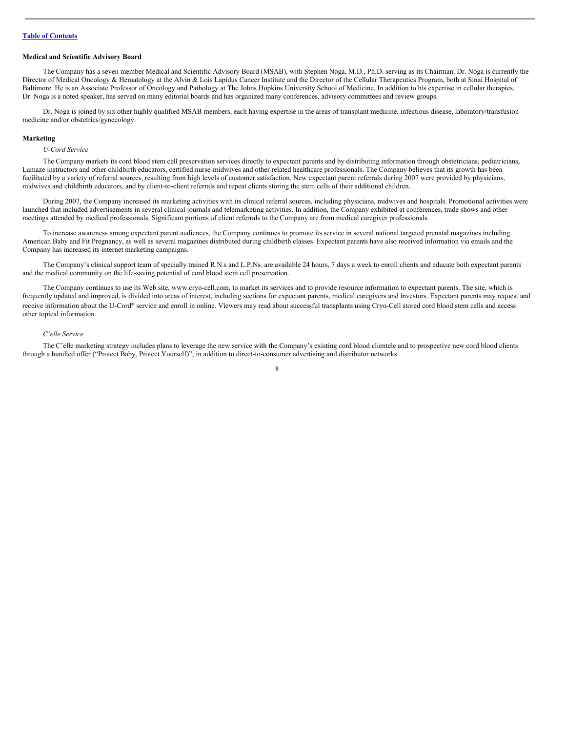#### **Medical and Scientific Advisory Board**

The Company has a seven member Medical and Scientific Advisory Board (MSAB), with Stephen Noga, M.D., Ph.D. serving as its Chairman. Dr. Noga is currently the Director of Medical Oncology & Hematology at the Alvin & Lois Lapidus Cancer Institute and the Director of the Cellular Therapeutics Program, both at Sinai Hospital of Baltimore. He is an Associate Professor of Oncology and Pathology at The Johns Hopkins University School of Medicine. In addition to his expertise in cellular therapies, Dr. Noga is a noted speaker, has served on many editorial boards and has organized many conferences, advisory committees and review groups.

Dr. Noga is joined by six other highly qualified MSAB members, each having expertise in the areas of transplant medicine, infectious disease, laboratory/transfusion medicine and/or obstetrics/gynecology.

#### **Marketing**

#### *U-Cord Service*

The Company markets its cord blood stem cell preservation services directly to expectant parents and by distributing information through obstetricians, pediatricians, Lamaze instructors and other childbirth educators, certified nurse-midwives and other related healthcare professionals. The Company believes that its growth has been facilitated by a variety of referral sources, resulting from high levels of customer satisfaction. New expectant parent referrals during 2007 were provided by physicians, midwives and childbirth educators, and by client-to-client referrals and repeat clients storing the stem cells of their additional children.

During 2007, the Company increased its marketing activities with its clinical referral sources, including physicians, midwives and hospitals. Promotional activities were launched that included advertisements in several clinical journals and telemarketing activities. In addition, the Company exhibited at conferences, trade shows and other meetings attended by medical professionals. Significant portions of client referrals to the Company are from medical caregiver professionals.

To increase awareness among expectant parent audiences, the Company continues to promote its service in several national targeted prenatal magazines including American Baby and Fit Pregnancy, as well as several magazines distributed during childbirth classes. Expectant parents have also received information via emails and the Company has increased its internet marketing campaigns.

The Company's clinical support team of specially trained R.N.s and L.P.Ns. are available 24 hours, 7 days a week to enroll clients and educate both expectant parents and the medical community on the life-saving potential of cord blood stem cell preservation.

The Company continues to use its Web site, www.cryo-cell.com, to market its services and to provide resource information to expectant parents. The site, which is frequently updated and improved, is divided into areas of interest, including sections for expectant parents, medical caregivers and investors. Expectant parents may request and receive information about the U-Cord® service and enroll in online. Viewers may read about successful transplants using Cryo-Cell stored cord blood stem cells and access other topical information.

#### *C'elle Service*

The C'elle marketing strategy includes plans to leverage the new service with the Company's existing cord blood clientele and to prospective new cord blood clients through a bundled offer ("Protect Baby, Protect Yourself)"; in addition to direct-to-consumer advertising and distributor networks.

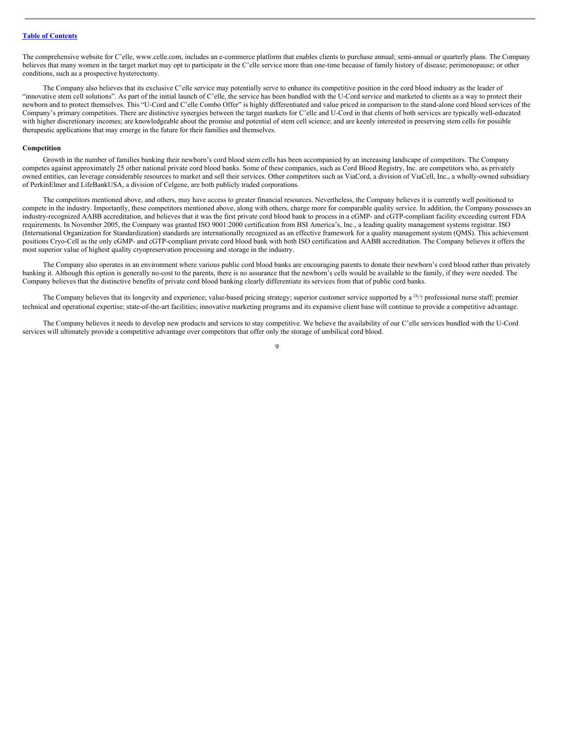The comprehensive website for C'elle, www.celle.com, includes an e-commerce platform that enables clients to purchase annual; semi-annual or quarterly plans. The Company believes that many women in the target market may opt to participate in the C'elle service more than one-time because of family history of disease; perimenopause; or other conditions, such as a prospective hysterectomy.

The Company also believes that its exclusive C'elle service may potentially serve to enhance its competitive position in the cord blood industry as the leader of "innovative stem cell solutions". As part of the initial launch of C'elle, the service has been bundled with the U-Cord service and marketed to clients as a way to protect their newborn and to protect themselves. This "U-Cord and C'elle Combo Offer" is highly differentiated and value priced in comparison to the stand-alone cord blood services of the Company's primary competitors. There are distinctive synergies between the target markets for C'elle and U-Cord in that clients of both services are typically well-educated with higher discretionary incomes; are knowledgeable about the promise and potential of stem cell science; and are keenly interested in preserving stem cells for possible therapeutic applications that may emerge in the future for their families and themselves.

#### **Competition**

Growth in the number of families banking their newborn's cord blood stem cells has been accompanied by an increasing landscape of competitors. The Company competes against approximately 25 other national private cord blood banks. Some of these companies, such as Cord Blood Registry, Inc. are competitors who, as privately owned entities, can leverage considerable resources to market and sell their services. Other competitors such as ViaCord, a division of ViaCell, Inc., a wholly-owned subsidiary of PerkinElmer and LifeBankUSA, a division of Celgene, are both publicly traded corporations.

The competitors mentioned above, and others, may have access to greater financial resources. Nevertheless, the Company believes it is currently well positioned to compete in the industry. Importantly, these competitors mentioned above, along with others, charge more for comparable quality service. In addition, the Company possesses an industry-recognized AABB accreditation, and believes that it was the first private cord blood bank to process in a cGMP- and cGTP-compliant facility exceeding current FDA requirements. In November 2005, the Company was granted ISO 9001:2000 certification from BSI America's, Inc., a leading quality management systems registrar. ISO (International Organization for Standardization) standards are internationally recognized as an effective framework for a quality management system (QMS). This achievement positions Cryo-Cell as the only cGMP- and cGTP-compliant private cord blood bank with both ISO certification and AABB accreditation. The Company believes it offers the most superior value of highest quality cryopreservation processing and storage in the industry.

The Company also operates in an environment where various public cord blood banks are encouraging parents to donate their newborn's cord blood rather than privately banking it. Although this option is generally no-cost to the parents, there is no assurance that the newborn's cells would be available to the family, if they were needed. The Company believes that the distinctive benefits of private cord blood banking clearly differentiate its services from that of public cord banks.

The Company believes that its longevity and experience; value-based pricing strategy; superior customer service supported by  $a^{24/7}$  professional nurse staff; premier technical and operational expertise; state-of-the-art facilities; innovative marketing programs and its expansive client base will continue to provide a competitive advantage.

The Company believes it needs to develop new products and services to stay competitive. We believe the availability of our C'elle services bundled with the U-Cord services will ultimately provide a competitive advantage over competitors that offer only the storage of umbilical cord blood.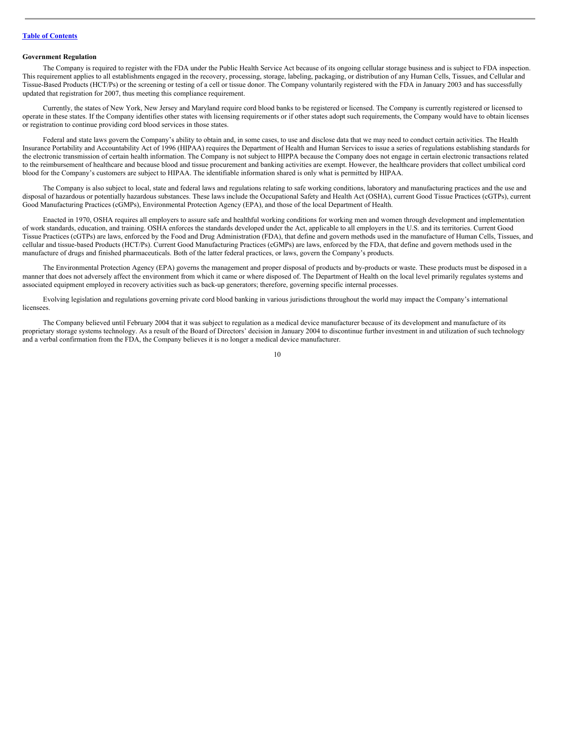#### **Government Regulation**

The Company is required to register with the FDA under the Public Health Service Act because of its ongoing cellular storage business and is subject to FDA inspection. This requirement applies to all establishments engaged in the recovery, processing, storage, labeling, packaging, or distribution of any Human Cells, Tissues, and Cellular and Tissue-Based Products (HCT/Ps) or the screening or testing of a cell or tissue donor. The Company voluntarily registered with the FDA in January 2003 and has successfully updated that registration for 2007, thus meeting this compliance requirement.

Currently, the states of New York, New Jersey and Maryland require cord blood banks to be registered or licensed. The Company is currently registered or licensed to operate in these states. If the Company identifies other states with licensing requirements or if other states adopt such requirements, the Company would have to obtain licenses or registration to continue providing cord blood services in those states.

Federal and state laws govern the Company's ability to obtain and, in some cases, to use and disclose data that we may need to conduct certain activities. The Health Insurance Portability and Accountability Act of 1996 (HIPAA) requires the Department of Health and Human Services to issue a series of regulations establishing standards for the electronic transmission of certain health information. The Company is not subject to HIPPA because the Company does not engage in certain electronic transactions related to the reimbursement of healthcare and because blood and tissue procurement and banking activities are exempt. However, the healthcare providers that collect umbilical cord blood for the Company's customers are subject to HIPAA. The identifiable information shared is only what is permitted by HIPAA.

The Company is also subject to local, state and federal laws and regulations relating to safe working conditions, laboratory and manufacturing practices and the use and disposal of hazardous or potentially hazardous substances. These laws include the Occupational Safety and Health Act (OSHA), current Good Tissue Practices (cGTPs), current Good Manufacturing Practices (cGMPs), Environmental Protection Agency (EPA), and those of the local Department of Health.

Enacted in 1970, OSHA requires all employers to assure safe and healthful working conditions for working men and women through development and implementation of work standards, education, and training. OSHA enforces the standards developed under the Act, applicable to all employers in the U.S. and its territories. Current Good Tissue Practices (cGTPs) are laws, enforced by the Food and Drug Administration (FDA), that define and govern methods used in the manufacture of Human Cells, Tissues, and cellular and tissue-based Products (HCT/Ps). Current Good Manufacturing Practices (cGMPs) are laws, enforced by the FDA, that define and govern methods used in the manufacture of drugs and finished pharmaceuticals. Both of the latter federal practices, or laws, govern the Company's products.

The Environmental Protection Agency (EPA) governs the management and proper disposal of products and by-products or waste. These products must be disposed in a manner that does not adversely affect the environment from which it came or where disposed of. The Department of Health on the local level primarily regulates systems and associated equipment employed in recovery activities such as back-up generators; therefore, governing specific internal processes.

Evolving legislation and regulations governing private cord blood banking in various jurisdictions throughout the world may impact the Company's international licensees.

The Company believed until February 2004 that it was subject to regulation as a medical device manufacturer because of its development and manufacture of its proprietary storage systems technology. As a result of the Board of Directors' decision in January 2004 to discontinue further investment in and utilization of such technology and a verbal confirmation from the FDA, the Company believes it is no longer a medical device manufacturer.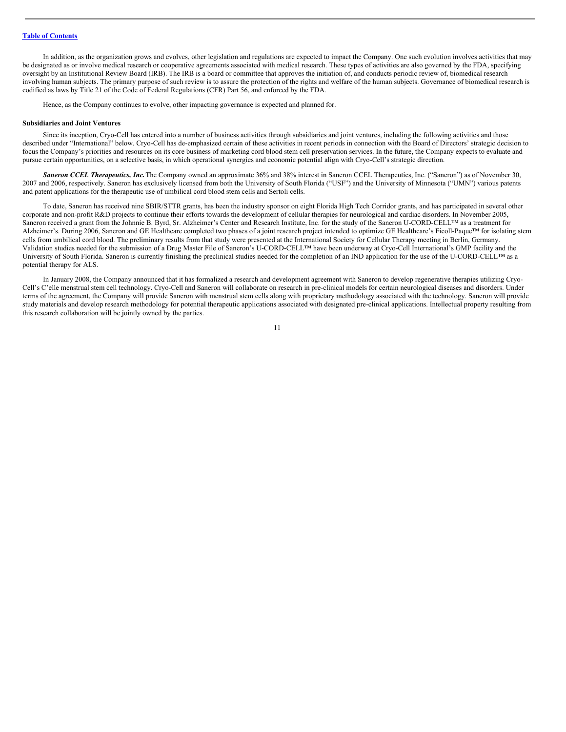In addition, as the organization grows and evolves, other legislation and regulations are expected to impact the Company. One such evolution involves activities that may be designated as or involve medical research or cooperative agreements associated with medical research. These types of activities are also governed by the FDA, specifying oversight by an Institutional Review Board (IRB). The IRB is a board or committee that approves the initiation of, and conducts periodic review of, biomedical research involving human subjects. The primary purpose of such review is to assure the protection of the rights and welfare of the human subjects. Governance of biomedical research is codified as laws by Title 21 of the Code of Federal Regulations (CFR) Part 56, and enforced by the FDA.

Hence, as the Company continues to evolve, other impacting governance is expected and planned for.

#### **Subsidiaries and Joint Ventures**

Since its inception, Cryo-Cell has entered into a number of business activities through subsidiaries and joint ventures, including the following activities and those described under "International" below. Cryo-Cell has de-emphasized certain of these activities in recent periods in connection with the Board of Directors' strategic decision to focus the Company's priorities and resources on its core business of marketing cord blood stem cell preservation services. In the future, the Company expects to evaluate and pursue certain opportunities, on a selective basis, in which operational synergies and economic potential align with Cryo-Cell's strategic direction.

*Saneron CCEL Therapeutics, Inc.*The Company owned an approximate 36% and 38% interest in Saneron CCEL Therapeutics, Inc. ("Saneron") as of November 30, 2007 and 2006, respectively. Saneron has exclusively licensed from both the University of South Florida ("USF") and the University of Minnesota ("UMN") various patents and patent applications for the therapeutic use of umbilical cord blood stem cells and Sertoli cells.

To date, Saneron has received nine SBIR/STTR grants, has been the industry sponsor on eight Florida High Tech Corridor grants, and has participated in several other corporate and non-profit R&D projects to continue their efforts towards the development of cellular therapies for neurological and cardiac disorders. In November 2005, Saneron received a grant from the Johnnie B. Byrd, Sr. Alzheimer's Center and Research Institute, Inc. for the study of the Saneron U-CORD-CELL™ as a treatment for Alzheimer's. During 2006, Saneron and GE Healthcare completed two phases of a joint research project intended to optimize GE Healthcare's Ficoll-Paque™ for isolating stem cells from umbilical cord blood. The preliminary results from that study were presented at the International Society for Cellular Therapy meeting in Berlin, Germany. Validation studies needed for the submission of a Drug Master File of Saneron's U-CORD-CELL™ have been underway at Cryo-Cell International's GMP facility and the University of South Florida. Saneron is currently finishing the preclinical studies needed for the completion of an IND application for the use of the U-CORD-CELL™ as a potential therapy for ALS.

In January 2008, the Company announced that it has formalized a research and development agreement with Saneron to develop regenerative therapies utilizing Cryo-Cell's C'elle menstrual stem cell technology. Cryo-Cell and Saneron will collaborate on research in pre-clinical models for certain neurological diseases and disorders. Under terms of the agreement, the Company will provide Saneron with menstrual stem cells along with proprietary methodology associated with the technology. Saneron will provide study materials and develop research methodology for potential therapeutic applications associated with designated pre-clinical applications. Intellectual property resulting from this research collaboration will be jointly owned by the parties.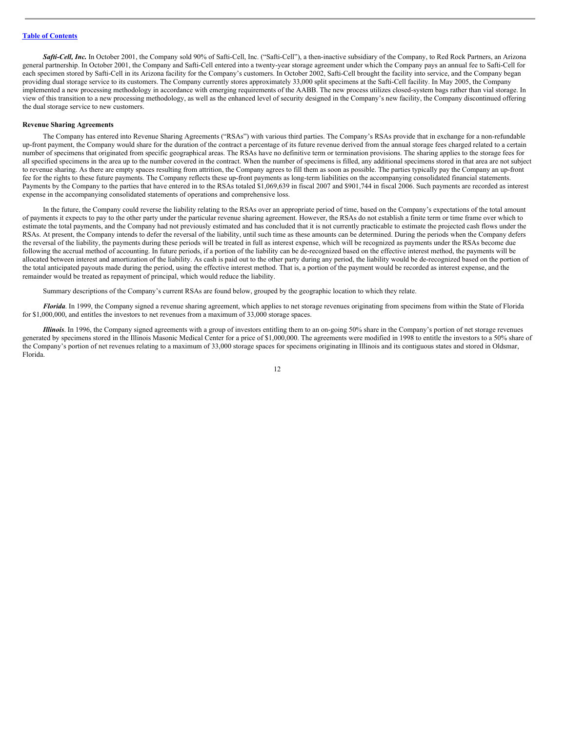*Safti-Cell, Inc.* In October 2001, the Company sold 90% of Safti-Cell, Inc. ("Safti-Cell"), a then-inactive subsidiary of the Company, to Red Rock Partners, an Arizona general partnership. In October 2001, the Company and Safti-Cell entered into a twenty-year storage agreement under which the Company pays an annual fee to Safti-Cell for each specimen stored by Safti-Cell in its Arizona facility for the Company's customers. In October 2002, Safti-Cell brought the facility into service, and the Company began providing dual storage service to its customers. The Company currently stores approximately 33,000 split specimens at the Safti-Cell facility. In May 2005, the Company implemented a new processing methodology in accordance with emerging requirements of the AABB. The new process utilizes closed-system bags rather than vial storage. In view of this transition to a new processing methodology, as well as the enhanced level of security designed in the Company's new facility, the Company discontinued offering the dual storage service to new customers.

#### **Revenue Sharing Agreements**

The Company has entered into Revenue Sharing Agreements ("RSAs") with various third parties. The Company's RSAs provide that in exchange for a non-refundable up-front payment, the Company would share for the duration of the contract a percentage of its future revenue derived from the annual storage fees charged related to a certain number of specimens that originated from specific geographical areas. The RSAs have no definitive term or termination provisions. The sharing applies to the storage fees for all specified specimens in the area up to the number covered in the contract. When the number of specimens is filled, any additional specimens stored in that area are not subject to revenue sharing. As there are empty spaces resulting from attrition, the Company agrees to fill them as soon as possible. The parties typically pay the Company an up-front fee for the rights to these future payments. The Company reflects these up-front payments as long-term liabilities on the accompanying consolidated financial statements. Payments by the Company to the parties that have entered in to the RSAs totaled \$1,069,639 in fiscal 2007 and \$901,744 in fiscal 2006. Such payments are recorded as interest expense in the accompanying consolidated statements of operations and comprehensive loss.

In the future, the Company could reverse the liability relating to the RSAs over an appropriate period of time, based on the Company's expectations of the total amount of payments it expects to pay to the other party under the particular revenue sharing agreement. However, the RSAs do not establish a finite term or time frame over which to estimate the total payments, and the Company had not previously estimated and has concluded that it is not currently practicable to estimate the projected cash flows under the RSAs. At present, the Company intends to defer the reversal of the liability, until such time as these amounts can be determined. During the periods when the Company defers the reversal of the liability, the payments during these periods will be treated in full as interest expense, which will be recognized as payments under the RSAs become due following the accrual method of accounting. In future periods, if a portion of the liability can be de-recognized based on the effective interest method, the payments will be allocated between interest and amortization of the liability. As cash is paid out to the other party during any period, the liability would be de-recognized based on the portion of the total anticipated payouts made during the period, using the effective interest method. That is, a portion of the payment would be recorded as interest expense, and the remainder would be treated as repayment of principal, which would reduce the liability.

Summary descriptions of the Company's current RSAs are found below, grouped by the geographic location to which they relate.

*Florida*. In 1999, the Company signed a revenue sharing agreement, which applies to net storage revenues originating from specimens from within the State of Florida for \$1,000,000, and entitles the investors to net revenues from a maximum of 33,000 storage spaces.

*Illinois*. In 1996, the Company signed agreements with a group of investors entitling them to an on-going 50% share in the Company's portion of net storage revenues generated by specimens stored in the Illinois Masonic Medical Center for a price of \$1,000,000. The agreements were modified in 1998 to entitle the investors to a 50% share of the Company's portion of net revenues relating to a maximum of 33,000 storage spaces for specimens originating in Illinois and its contiguous states and stored in Oldsmar, Florida.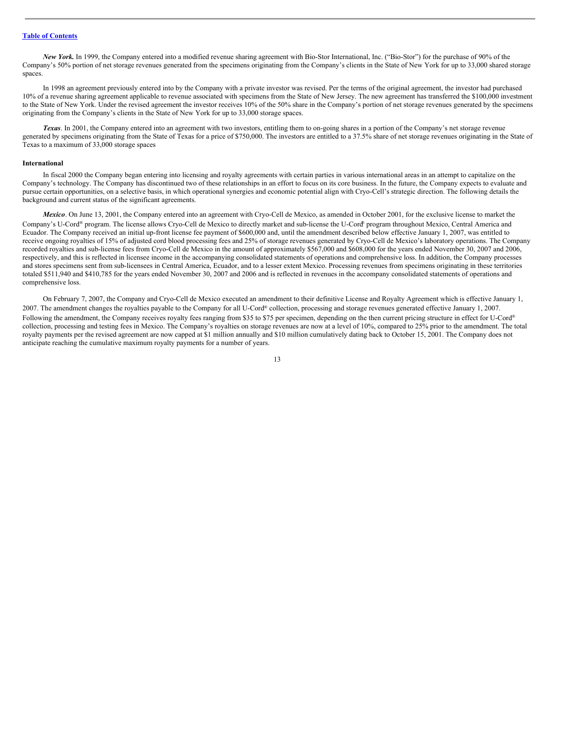*New York.* In 1999, the Company entered into a modified revenue sharing agreement with Bio-Stor International, Inc. ("Bio-Stor") for the purchase of 90% of the Company's 50% portion of net storage revenues generated from the specimens originating from the Company's clients in the State of New York for up to 33,000 shared storage spaces.

In 1998 an agreement previously entered into by the Company with a private investor was revised. Per the terms of the original agreement, the investor had purchased 10% of a revenue sharing agreement applicable to revenue associated with specimens from the State of New Jersey. The new agreement has transferred the \$100,000 investment to the State of New York. Under the revised agreement the investor receives 10% of the 50% share in the Company's portion of net storage revenues generated by the specimens originating from the Company's clients in the State of New York for up to 33,000 storage spaces.

*Texas*. In 2001, the Company entered into an agreement with two investors, entitling them to on-going shares in a portion of the Company's net storage revenue generated by specimens originating from the State of Texas for a price of \$750,000. The investors are entitled to a 37.5% share of net storage revenues originating in the State of Texas to a maximum of 33,000 storage spaces

#### **International**

In fiscal 2000 the Company began entering into licensing and royalty agreements with certain parties in various international areas in an attempt to capitalize on the Company's technology. The Company has discontinued two of these relationships in an effort to focus on its core business. In the future, the Company expects to evaluate and pursue certain opportunities, on a selective basis, in which operational synergies and economic potential align with Cryo-Cell's strategic direction. The following details the background and current status of the significant agreements.

*Mexico*. On June 13, 2001, the Company entered into an agreement with Cryo-Cell de Mexico, as amended in October 2001, for the exclusive license to market the Company's U-Cord® program. The license allows Cryo-Cell de Mexico to directly market and sub-license the U-Cord® program throughout Mexico, Central America and Ecuador. The Company received an initial up-front license fee payment of \$600,000 and, until the amendment described below effective January 1, 2007, was entitled to receive ongoing royalties of 15% of adjusted cord blood processing fees and 25% of storage revenues generated by Cryo-Cell de Mexico's laboratory operations. The Company recorded royalties and sub-license fees from Cryo-Cell de Mexico in the amount of approximately \$567,000 and \$608,000 for the years ended November 30, 2007 and 2006, respectively, and this is reflected in licensee income in the accompanying consolidated statements of operations and comprehensive loss. In addition, the Company processes and stores specimens sent from sub-licensees in Central America, Ecuador, and to a lesser extent Mexico. Processing revenues from specimens originating in these territories totaled \$511,940 and \$410,785 for the years ended November 30, 2007 and 2006 and is reflected in revenues in the accompany consolidated statements of operations and comprehensive loss.

On February 7, 2007, the Company and Cryo-Cell de Mexico executed an amendment to their definitive License and Royalty Agreement which is effective January 1, 2007. The amendment changes the royalties payable to the Company for all U-Cord ® collection, processing and storage revenues generated effective January 1, 2007. Following the amendment, the Company receives royalty fees ranging from \$35 to \$75 per specimen, depending on the then current pricing structure in effect for U-Cord® collection, processing and testing fees in Mexico. The Company's royalties on storage revenues are now at a level of 10%, compared to 25% prior to the amendment. The total royalty payments per the revised agreement are now capped at \$1 million annually and \$10 million cumulatively dating back to October 15, 2001. The Company does not anticipate reaching the cumulative maximum royalty payments for a number of years.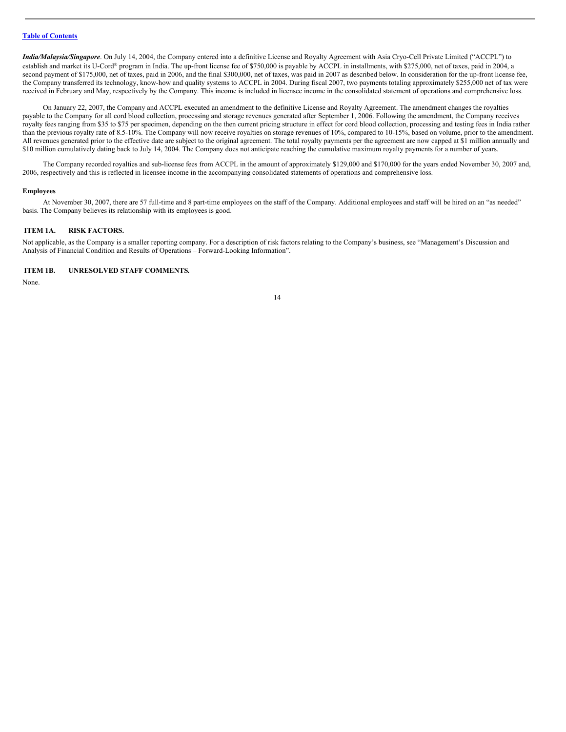*India/Malaysia/Singapore*. On July 14, 2004, the Company entered into a definitive License and Royalty Agreement with Asia Cryo-Cell Private Limited ("ACCPL") to establish and market its U-Cord® program in India. The up-front license fee of \$750,000 is payable by ACCPL in installments, with \$275,000, net of taxes, paid in 2004, a second payment of \$175,000, net of taxes, paid in 2006, and the final \$300,000, net of taxes, was paid in 2007 as described below. In consideration for the up-front license fee, the Company transferred its technology, know-how and quality systems to ACCPL in 2004. During fiscal 2007, two payments totaling approximately \$255,000 net of tax were received in February and May, respectively by the Company. This income is included in licensee income in the consolidated statement of operations and comprehensive loss.

On January 22, 2007, the Company and ACCPL executed an amendment to the definitive License and Royalty Agreement. The amendment changes the royalties payable to the Company for all cord blood collection, processing and storage revenues generated after September 1, 2006. Following the amendment, the Company receives royalty fees ranging from \$35 to \$75 per specimen, depending on the then current pricing structure in effect for cord blood collection, processing and testing fees in India rather than the previous royalty rate of 8.5-10%. The Company will now receive royalties on storage revenues of 10%, compared to 10-15%, based on volume, prior to the amendment. All revenues generated prior to the effective date are subject to the original agreement. The total royalty payments per the agreement are now capped at \$1 million annually and \$10 million cumulatively dating back to July 14, 2004. The Company does not anticipate reaching the cumulative maximum royalty payments for a number of years.

The Company recorded royalties and sub-license fees from ACCPL in the amount of approximately \$129,000 and \$170,000 for the years ended November 30, 2007 and, 2006, respectively and this is reflected in licensee income in the accompanying consolidated statements of operations and comprehensive loss.

#### **Employees**

At November 30, 2007, there are 57 full-time and 8 part-time employees on the staff of the Company. Additional employees and staff will be hired on an "as needed" basis. The Company believes its relationship with its employees is good.

#### <span id="page-13-0"></span>**ITEM 1A. RISK FACTORS.**

Not applicable, as the Company is a smaller reporting company. For a description of risk factors relating to the Company's business, see "Management's Discussion and Analysis of Financial Condition and Results of Operations – Forward-Looking Information".

# <span id="page-13-1"></span>**ITEM 1B. UNRESOLVED STAFF COMMENTS.**

None.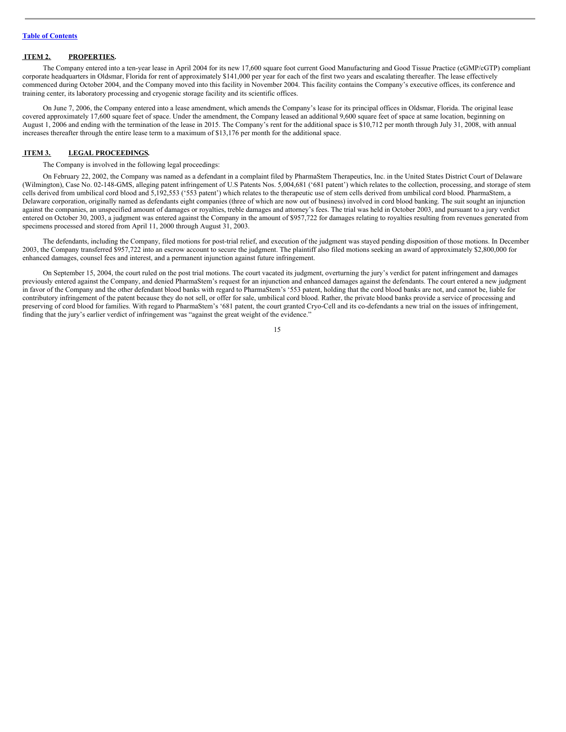# <span id="page-14-0"></span>**ITEM 2. PROPERTIES.**

The Company entered into a ten-year lease in April 2004 for its new 17,600 square foot current Good Manufacturing and Good Tissue Practice (cGMP/cGTP) compliant corporate headquarters in Oldsmar, Florida for rent of approximately \$141,000 per year for each of the first two years and escalating thereafter. The lease effectively commenced during October 2004, and the Company moved into this facility in November 2004. This facility contains the Company's executive offices, its conference and training center, its laboratory processing and cryogenic storage facility and its scientific offices.

On June 7, 2006, the Company entered into a lease amendment, which amends the Company's lease for its principal offices in Oldsmar, Florida. The original lease covered approximately 17,600 square feet of space. Under the amendment, the Company leased an additional 9,600 square feet of space at same location, beginning on August 1, 2006 and ending with the termination of the lease in 2015. The Company's rent for the additional space is \$10,712 per month through July 31, 2008, with annual increases thereafter through the entire lease term to a maximum of \$13,176 per month for the additional space.

#### <span id="page-14-1"></span>**ITEM 3. LEGAL PROCEEDINGS.**

The Company is involved in the following legal proceedings:

On February 22, 2002, the Company was named as a defendant in a complaint filed by PharmaStem Therapeutics, Inc. in the United States District Court of Delaware (Wilmington), Case No. 02-148-GMS, alleging patent infringement of U.S Patents Nos. 5,004,681 ('681 patent') which relates to the collection, processing, and storage of stem cells derived from umbilical cord blood and 5,192,553 ('553 patent') which relates to the therapeutic use of stem cells derived from umbilical cord blood. PharmaStem, a Delaware corporation, originally named as defendants eight companies (three of which are now out of business) involved in cord blood banking. The suit sought an injunction against the companies, an unspecified amount of damages or royalties, treble damages and attorney's fees. The trial was held in October 2003, and pursuant to a jury verdict entered on October 30, 2003, a judgment was entered against the Company in the amount of \$957,722 for damages relating to royalties resulting from revenues generated from specimens processed and stored from April 11, 2000 through August 31, 2003.

The defendants, including the Company, filed motions for post-trial relief, and execution of the judgment was stayed pending disposition of those motions. In December 2003, the Company transferred \$957,722 into an escrow account to secure the judgment. The plaintiff also filed motions seeking an award of approximately \$2,800,000 for enhanced damages, counsel fees and interest, and a permanent injunction against future infringement.

On September 15, 2004, the court ruled on the post trial motions. The court vacated its judgment, overturning the jury's verdict for patent infringement and damages previously entered against the Company, and denied PharmaStem's request for an injunction and enhanced damages against the defendants. The court entered a new judgment in favor of the Company and the other defendant blood banks with regard to PharmaStem's '553 patent, holding that the cord blood banks are not, and cannot be, liable for contributory infringement of the patent because they do not sell, or offer for sale, umbilical cord blood. Rather, the private blood banks provide a service of processing and preserving of cord blood for families. With regard to PharmaStem's '681 patent, the court granted Cryo-Cell and its co-defendants a new trial on the issues of infringement, finding that the jury's earlier verdict of infringement was "against the great weight of the evidence."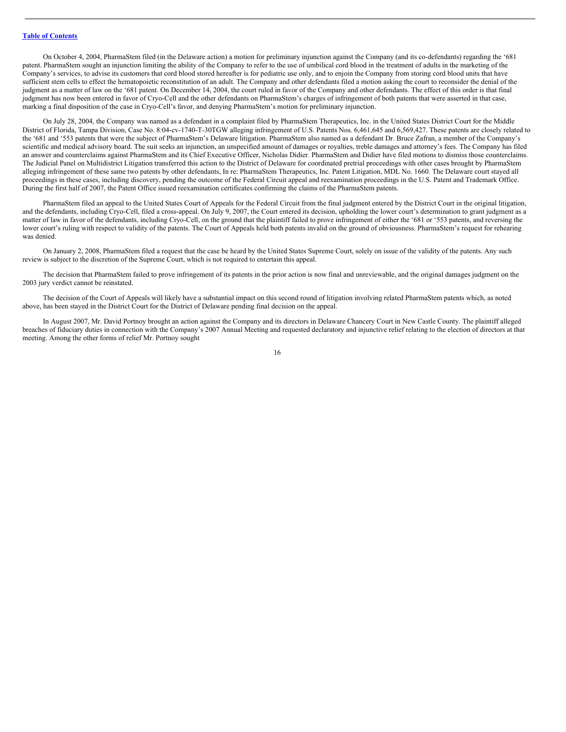On October 4, 2004, PharmaStem filed (in the Delaware action) a motion for preliminary injunction against the Company (and its co-defendants) regarding the '681 patent. PharmaStem sought an injunction limiting the ability of the Company to refer to the use of umbilical cord blood in the treatment of adults in the marketing of the Company's services, to advise its customers that cord blood stored hereafter is for pediatric use only, and to enjoin the Company from storing cord blood units that have sufficient stem cells to effect the hematopoietic reconstitution of an adult. The Company and other defendants filed a motion asking the court to reconsider the denial of the judgment as a matter of law on the '681 patent. On December 14, 2004, the court ruled in favor of the Company and other defendants. The effect of this order is that final judgment has now been entered in favor of Cryo-Cell and the other defendants on PharmaStem's charges of infringement of both patents that were asserted in that case, marking a final disposition of the case in Cryo-Cell's favor, and denying PharmaStem's motion for preliminary injunction.

On July 28, 2004, the Company was named as a defendant in a complaint filed by PharmaStem Therapeutics, Inc. in the United States District Court for the Middle District of Florida, Tampa Division, Case No. 8:04-cv-1740-T-30TGW alleging infringement of U.S. Patents Nos. 6,461,645 and 6,569,427. These patents are closely related to the '681 and '553 patents that were the subject of PharmaStem's Delaware litigation. PharmaStem also named as a defendant Dr. Bruce Zafran, a member of the Company's scientific and medical advisory board. The suit seeks an injunction, an unspecified amount of damages or royalties, treble damages and attorney's fees. The Company has filed an answer and counterclaims against PharmaStem and its Chief Executive Officer, Nicholas Didier. PharmaStem and Didier have filed motions to dismiss those counterclaims. The Judicial Panel on Multidistrict Litigation transferred this action to the District of Delaware for coordinated pretrial proceedings with other cases brought by PharmaStem alleging infringement of these same two patents by other defendants, In re: PharmaStem Therapeutics, Inc. Patent Litigation, MDL No. 1660. The Delaware court stayed all proceedings in these cases, including discovery, pending the outcome of the Federal Circuit appeal and reexamination proceedings in the U.S. Patent and Trademark Office. During the first half of 2007, the Patent Office issued reexamination certificates confirming the claims of the PharmaStem patents.

PharmaStem filed an appeal to the United States Court of Appeals for the Federal Circuit from the final judgment entered by the District Court in the original litigation, and the defendants, including Cryo-Cell, filed a cross-appeal. On July 9, 2007, the Court entered its decision, upholding the lower court's determination to grant judgment as a matter of law in favor of the defendants, including Cryo-Cell, on the ground that the plaintiff failed to prove infringement of either the '681 or '553 patents, and reversing the lower court's ruling with respect to validity of the patents. The Court of Appeals held both patents invalid on the ground of obviousness. PharmaStem's request for rehearing was denied.

On January 2, 2008, PharmaStem filed a request that the case be heard by the United States Supreme Court, solely on issue of the validity of the patents. Any such review is subject to the discretion of the Supreme Court, which is not required to entertain this appeal.

The decision that PharmaStem failed to prove infringement of its patents in the prior action is now final and unreviewable, and the original damages judgment on the 2003 jury verdict cannot be reinstated.

The decision of the Court of Appeals will likely have a substantial impact on this second round of litigation involving related PharmaStem patents which, as noted above, has been stayed in the District Court for the District of Delaware pending final decision on the appeal.

In August 2007, Mr. David Portnoy brought an action against the Company and its directors in Delaware Chancery Court in New Castle County. The plaintiff alleged breaches of fiduciary duties in connection with the Company's 2007 Annual Meeting and requested declaratory and injunctive relief relating to the election of directors at that meeting. Among the other forms of relief Mr. Portnoy sought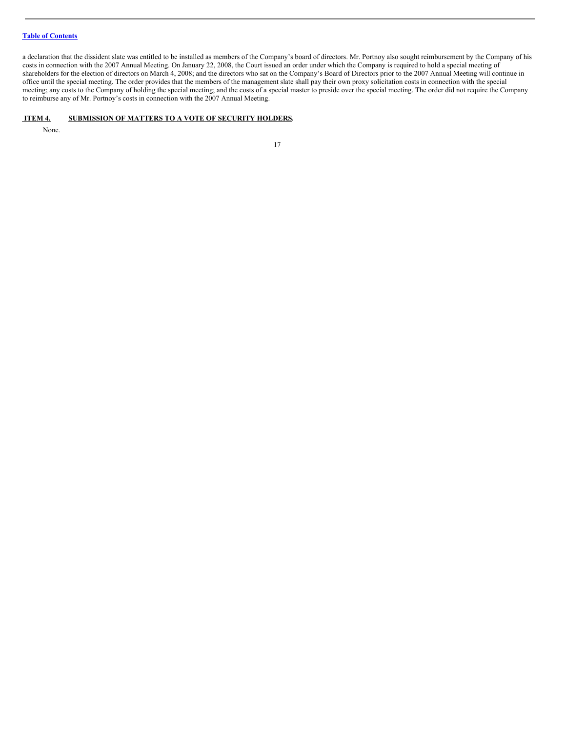a declaration that the dissident slate was entitled to be installed as members of the Company's board of directors. Mr. Portnoy also sought reimbursement by the Company of his costs in connection with the 2007 Annual Meeting. On January 22, 2008, the Court issued an order under which the Company is required to hold a special meeting of shareholders for the election of directors on March 4, 2008; and the directors who sat on the Company's Board of Directors prior to the 2007 Annual Meeting will continue in office until the special meeting. The order provides that the members of the management slate shall pay their own proxy solicitation costs in connection with the special meeting; any costs to the Company of holding the special meeting; and the costs of a special master to preside over the special meeting. The order did not require the Company to reimburse any of Mr. Portnoy's costs in connection with the 2007 Annual Meeting.

# <span id="page-16-0"></span>**ITEM 4. SUBMISSION OF MATTERS TO A VOTE OF SECURITY HOLDERS.**

None.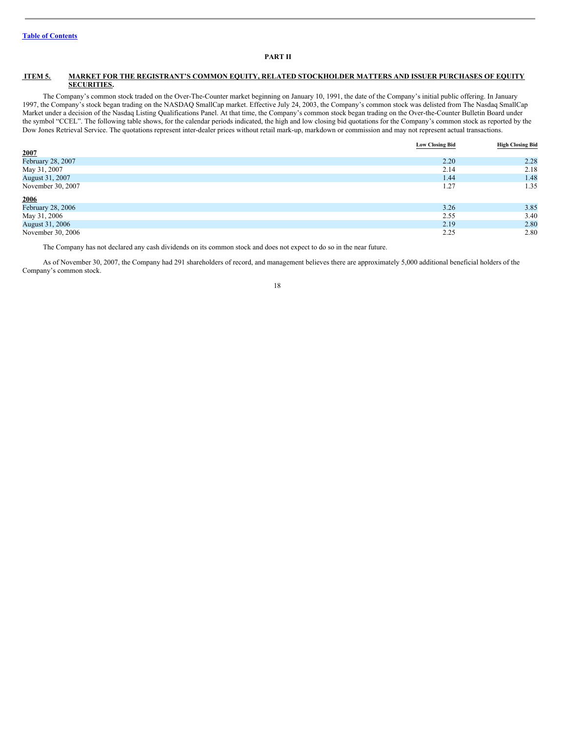# <span id="page-17-0"></span>**PART II**

#### <span id="page-17-1"></span>**ITEM 5. MARKET FOR THE REGISTRANT'S COMMON EQUITY, RELATED STOCKHOLDER MATTERS AND ISSUER PURCHASES OF EQUITY SECURITIES.**

The Company's common stock traded on the Over-The-Counter market beginning on January 10, 1991, the date of the Company's initial public offering. In January 1997, the Company's stock began trading on the NASDAQ SmallCap market. Effective July 24, 2003, the Company's common stock was delisted from The Nasdaq SmallCap Market under a decision of the Nasdaq Listing Qualifications Panel. At that time, the Company's common stock began trading on the Over-the-Counter Bulletin Board under the symbol "CCEL". The following table shows, for the calendar periods indicated, the high and low closing bid quotations for the Company's common stock as reported by the Dow Jones Retrieval Service. The quotations represent inter-dealer prices without retail mark-up, markdown or commission and may not represent actual transactions.

|                   | <b>Low Closing Bid</b> | <b>High Closing Bid</b> |
|-------------------|------------------------|-------------------------|
| 2007              |                        |                         |
| February 28, 2007 | 2.20                   | 2.28                    |
| May 31, 2007      | 2.14                   | 2.18                    |
| August 31, 2007   | 1.44                   | 1.48                    |
| November 30, 2007 | 1.27                   | 1.35                    |
| 2006              |                        |                         |
| February 28, 2006 | 3.26                   | 3.85                    |
| May 31, 2006      | 2.55                   | 3.40                    |
| August 31, 2006   | 2.19                   | 2.80                    |
| November 30, 2006 | 2.25                   | 2.80                    |

The Company has not declared any cash dividends on its common stock and does not expect to do so in the near future.

As of November 30, 2007, the Company had 291 shareholders of record, and management believes there are approximately 5,000 additional beneficial holders of the Company's common stock.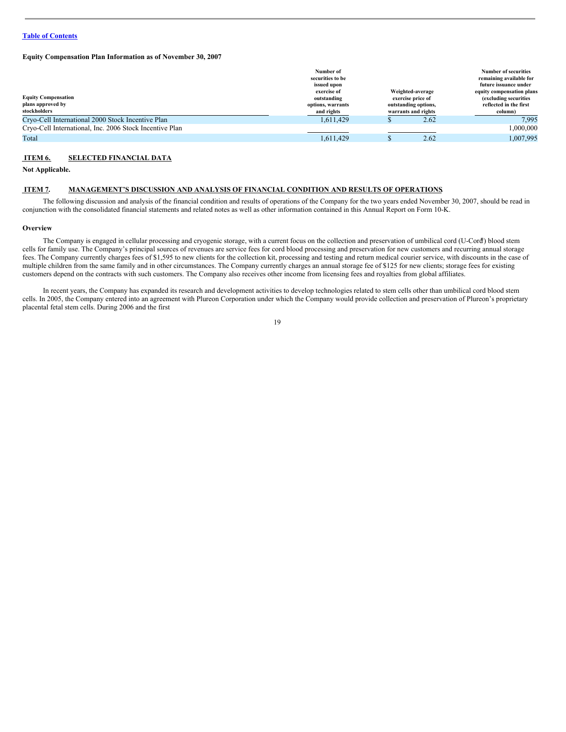#### **Equity Compensation Plan Information as of November 30, 2007**

|                                                                 | Number of<br>securities to be                                                                                                                                        |  |      | <b>Number of securities</b><br>remaining available for                                   |
|-----------------------------------------------------------------|----------------------------------------------------------------------------------------------------------------------------------------------------------------------|--|------|------------------------------------------------------------------------------------------|
|                                                                 | issued upon<br>Weighted-average<br>exercise of<br>outstanding<br>exercise price of<br>outstanding options,<br>options, warrants<br>and rights<br>warrants and rights |  |      | future issuance under                                                                    |
| <b>Equity Compensation</b><br>plans approved by<br>stockholders |                                                                                                                                                                      |  |      | equity compensation plans<br>(excluding securities)<br>reflected in the first<br>column) |
| Cryo-Cell International 2000 Stock Incentive Plan               | 1.611.429                                                                                                                                                            |  | 2.62 | 7.995                                                                                    |
| Cryo-Cell International, Inc. 2006 Stock Incentive Plan         |                                                                                                                                                                      |  |      | 000.000.1                                                                                |
| Total                                                           | 1,611,429                                                                                                                                                            |  | 2.62 | 1,007,995                                                                                |

# <span id="page-18-0"></span>**ITEM 6. SELECTED FINANCIAL DATA**

**Not Applicable.**

#### <span id="page-18-1"></span>**ITEM 7. MANAGEMENT'S DISCUSSION AND ANALYSIS OF FINANCIAL CONDITION AND RESULTS OF OPERATIONS.**

The following discussion and analysis of the financial condition and results of operations of the Company for the two years ended November 30, 2007, should be read in conjunction with the consolidated financial statements and related notes as well as other information contained in this Annual Report on Form 10-K.

#### **Overview**

The Company is engaged in cellular processing and cryogenic storage, with a current focus on the collection and preservation of umbilical cord (U-Cord ®) blood stem cells for family use. The Company's principal sources of revenues are service fees for cord blood processing and preservation for new customers and recurring annual storage fees. The Company currently charges fees of \$1,595 to new clients for the collection kit, processing and testing and return medical courier service, with discounts in the case of multiple children from the same family and in other circumstances. The Company currently charges an annual storage fee of \$125 for new clients; storage fees for existing customers depend on the contracts with such customers. The Company also receives other income from licensing fees and royalties from global affiliates.

In recent years, the Company has expanded its research and development activities to develop technologies related to stem cells other than umbilical cord blood stem cells. In 2005, the Company entered into an agreement with Plureon Corporation under which the Company would provide collection and preservation of Plureon's proprietary placental fetal stem cells. During 2006 and the first

<sup>19</sup>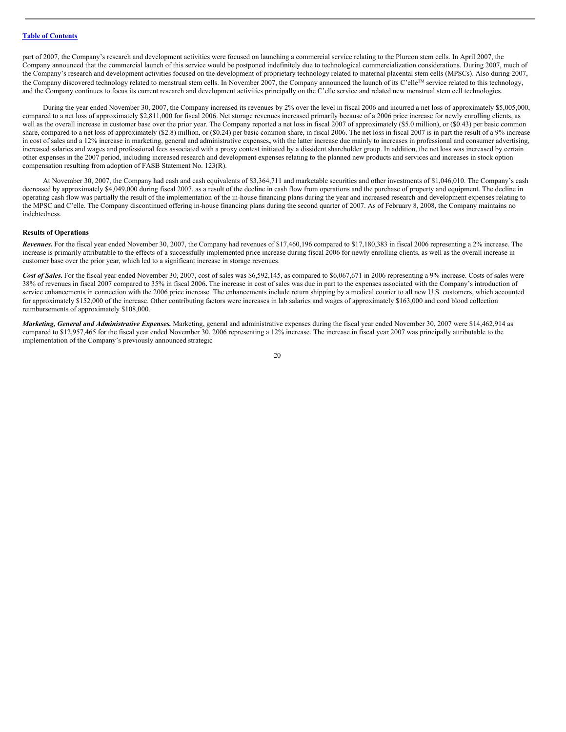part of 2007, the Company's research and development activities were focused on launching a commercial service relating to the Plureon stem cells. In April 2007, the Company announced that the commercial launch of this service would be postponed indefinitely due to technological commercialization considerations. During 2007, much of the Company's research and development activities focused on the development of proprietary technology related to maternal placental stem cells (MPSCs). Also during 2007, the Company discovered technology related to menstrual stem cells. In November 2007, the Company announced the launch of its C'elle™ service related to this technology, and the Company continues to focus its current research and development activities principally on the C'elle service and related new menstrual stem cell technologies.

During the year ended November 30, 2007, the Company increased its revenues by 2% over the level in fiscal 2006 and incurred a net loss of approximately \$5,005,000, compared to a net loss of approximately \$2,811,000 for fiscal 2006. Net storage revenues increased primarily because of a 2006 price increase for newly enrolling clients, as well as the overall increase in customer base over the prior year. The Company reported a net loss in fiscal 2007 of approximately (\$5.0 million), or (\$0.43) per basic common share, compared to a net loss of approximately (\$2.8) million, or (\$0.24) per basic common share, in fiscal 2006. The net loss in fiscal 2007 is in part the result of a 9% increase in cost of sales and a 12% increase in marketing, general and administrative expenses**,** with the latter increase due mainly to increases in professional and consumer advertising, increased salaries and wages and professional fees associated with a proxy contest initiated by a dissident shareholder group. In addition, the net loss was increased by certain other expenses in the 2007 period, including increased research and development expenses relating to the planned new products and services and increases in stock option compensation resulting from adoption of FASB Statement No. 123(R).

At November 30, 2007, the Company had cash and cash equivalents of \$3,364,711 and marketable securities and other investments of \$1,046,010. The Company's cash decreased by approximately \$4,049,000 during fiscal 2007, as a result of the decline in cash flow from operations and the purchase of property and equipment. The decline in operating cash flow was partially the result of the implementation of the in-house financing plans during the year and increased research and development expenses relating to the MPSC and C'elle. The Company discontinued offering in-house financing plans during the second quarter of 2007. As of February 8, 2008, the Company maintains no indebtedness.

# **Results of Operations**

*Revenues.* For the fiscal year ended November 30, 2007, the Company had revenues of \$17,460,196 compared to \$17,180,383 in fiscal 2006 representing a 2% increase. The increase is primarily attributable to the effects of a successfully implemented price increase during fiscal 2006 for newly enrolling clients, as well as the overall increase in customer base over the prior year, which led to a significant increase in storage revenues.

Cost of Sales. For the fiscal year ended November 30, 2007, cost of sales was \$6,592,145, as compared to \$6,067,671 in 2006 representing a 9% increase. Costs of sales were 38% of revenues in fiscal 2007 compared to 35% in fiscal 2006**.** The increase in cost of sales was due in part to the expenses associated with the Company's introduction of service enhancements in connection with the 2006 price increase. The enhancements include return shipping by a medical courier to all new U.S. customers, which accounted for approximately \$152,000 of the increase. Other contributing factors were increases in lab salaries and wages of approximately \$163,000 and cord blood collection reimbursements of approximately \$108,000.

*Marketing, General and Administrative Expenses.* Marketing, general and administrative expenses during the fiscal year ended November 30, 2007 were \$14,462,914 as compared to \$12,957,465 for the fiscal year ended November 30, 2006 representing a 12% increase. The increase in fiscal year 2007 was principally attributable to the implementation of the Company's previously announced strategic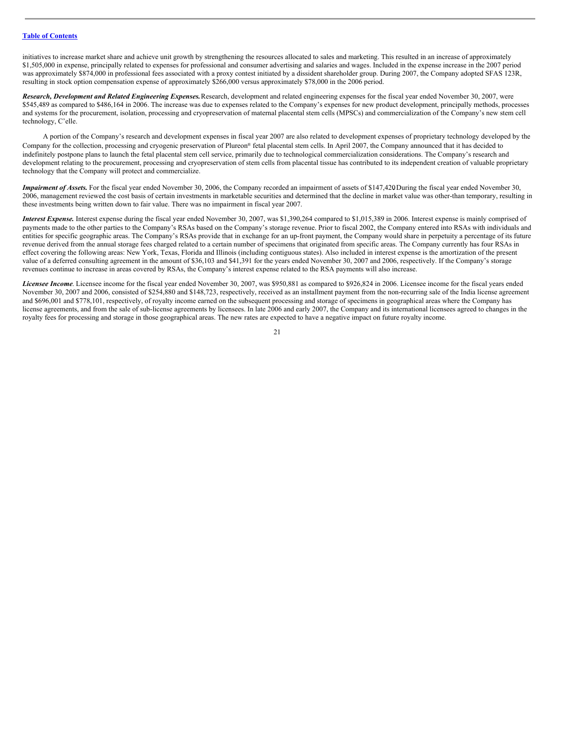initiatives to increase market share and achieve unit growth by strengthening the resources allocated to sales and marketing. This resulted in an increase of approximately \$1,505,000 in expense, principally related to expenses for professional and consumer advertising and salaries and wages. Included in the expense increase in the 2007 period was approximately \$874,000 in professional fees associated with a proxy contest initiated by a dissident shareholder group. During 2007, the Company adopted SFAS 123R, resulting in stock option compensation expense of approximately \$266,000 versus approximately \$78,000 in the 2006 period.

*Research, Development and Related Engineering Expenses.*Research, development and related engineering expenses for the fiscal year ended November 30, 2007, were \$545,489 as compared to \$486,164 in 2006. The increase was due to expenses related to the Company's expenses for new product development, principally methods, processes and systems for the procurement, isolation, processing and cryopreservation of maternal placental stem cells (MPSCs) and commercialization of the Company's new stem cell technology, C'elle.

A portion of the Company's research and development expenses in fiscal year 2007 are also related to development expenses of proprietary technology developed by the Company for the collection, processing and cryogenic preservation of Plureon ® fetal placental stem cells. In April 2007, the Company announced that it has decided to indefinitely postpone plans to launch the fetal placental stem cell service, primarily due to technological commercialization considerations. The Company's research and development relating to the procurement, processing and cryopreservation of stem cells from placental tissue has contributed to its independent creation of valuable proprietary technology that the Company will protect and commercialize.

*Impairment of Assets.* For the fiscal year ended November 30, 2006, the Company recorded an impairment of assets of \$147,420**.** During the fiscal year ended November 30, 2006, management reviewed the cost basis of certain investments in marketable securities and determined that the decline in market value was other-than temporary, resulting in these investments being written down to fair value. There was no impairment in fiscal year 2007.

*Interest Expense.* Interest expense during the fiscal year ended November 30, 2007, was \$1,390,264 compared to \$1,015,389 in 2006. Interest expense is mainly comprised of payments made to the other parties to the Company's RSAs based on the Company's storage revenue. Prior to fiscal 2002, the Company entered into RSAs with individuals and entities for specific geographic areas. The Company's RSAs provide that in exchange for an up-front payment, the Company would share in perpetuity a percentage of its future revenue derived from the annual storage fees charged related to a certain number of specimens that originated from specific areas. The Company currently has four RSAs in effect covering the following areas: New York, Texas, Florida and Illinois (including contiguous states). Also included in interest expense is the amortization of the present value of a deferred consulting agreement in the amount of \$36,103 and \$41,391 for the years ended November 30, 2007 and 2006, respectively. If the Company's storage revenues continue to increase in areas covered by RSAs, the Company's interest expense related to the RSA payments will also increase.

*Licensee Income*. Licensee income for the fiscal year ended November 30, 2007, was \$950,881 as compared to \$926,824 in 2006. Licensee income for the fiscal years ended November 30, 2007 and 2006, consisted of \$254,880 and \$148,723, respectively, received as an installment payment from the non-recurring sale of the India license agreement and \$696,001 and \$778,101, respectively, of royalty income earned on the subsequent processing and storage of specimens in geographical areas where the Company has license agreements, and from the sale of sub-license agreements by licensees. In late 2006 and early 2007, the Company and its international licensees agreed to changes in the royalty fees for processing and storage in those geographical areas. The new rates are expected to have a negative impact on future royalty income.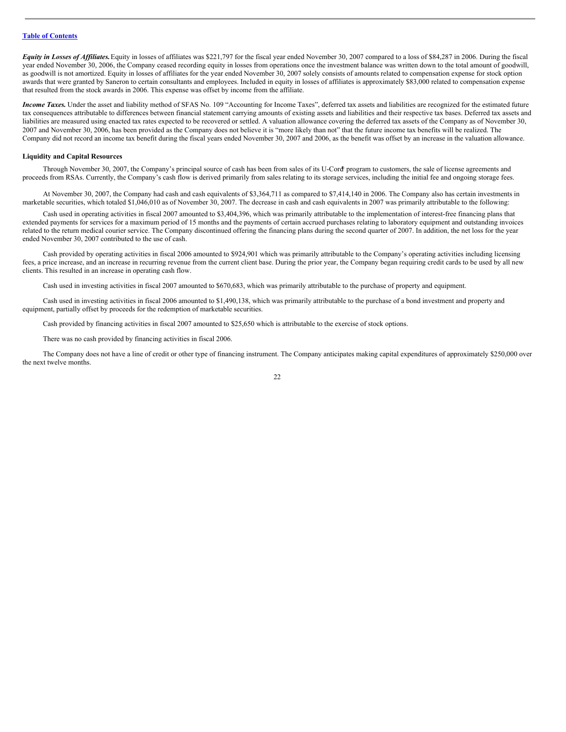*Equity in Losses of Affiliates*. Equity in losses of affiliates was \$221,797 for the fiscal year ended November 30, 2007 compared to a loss of \$84,287 in 2006. During the fiscal year ended November 30, 2006, the Company ceased recording equity in losses from operations once the investment balance was written down to the total amount of goodwill, as goodwill is not amortized. Equity in losses of affiliates for the year ended November 30, 2007 solely consists of amounts related to compensation expense for stock option awards that were granted by Saneron to certain consultants and employees. Included in equity in losses of affiliates is approximately \$83,000 related to compensation expense that resulted from the stock awards in 2006. This expense was offset by income from the affiliate.

*Income Taxes*. Under the asset and liability method of SFAS No. 109 "Accounting for Income Taxes", deferred tax assets and liabilities are recognized for the estimated future tax consequences attributable to differences between financial statement carrying amounts of existing assets and liabilities and their respective tax bases. Deferred tax assets and liabilities are measured using enacted tax rates expected to be recovered or settled. A valuation allowance covering the deferred tax assets of the Company as of November 30, 2007 and November 30, 2006, has been provided as the Company does not believe it is "more likely than not" that the future income tax benefits will be realized. The Company did not record an income tax benefit during the fiscal years ended November 30, 2007 and 2006, as the benefit was offset by an increase in the valuation allowance.

#### **Liquidity and Capital Resources**

Through November 30, 2007, the Company's principal source of cash has been from sales of its U-Cord ® program to customers, the sale of license agreements and proceeds from RSAs. Currently, the Company's cash flow is derived primarily from sales relating to its storage services, including the initial fee and ongoing storage fees.

At November 30, 2007, the Company had cash and cash equivalents of \$3,364,711 as compared to \$7,414,140 in 2006. The Company also has certain investments in marketable securities, which totaled \$1,046,010 as of November 30, 2007. The decrease in cash and cash equivalents in 2007 was primarily attributable to the following:

Cash used in operating activities in fiscal 2007 amounted to \$3,404,396, which was primarily attributable to the implementation of interest-free financing plans that extended payments for services for a maximum period of 15 months and the payments of certain accrued purchases relating to laboratory equipment and outstanding invoices related to the return medical courier service. The Company discontinued offering the financing plans during the second quarter of 2007. In addition, the net loss for the year ended November 30, 2007 contributed to the use of cash.

Cash provided by operating activities in fiscal 2006 amounted to \$924,901 which was primarily attributable to the Company's operating activities including licensing fees, a price increase, and an increase in recurring revenue from the current client base. During the prior year, the Company began requiring credit cards to be used by all new clients. This resulted in an increase in operating cash flow.

Cash used in investing activities in fiscal 2007 amounted to \$670,683, which was primarily attributable to the purchase of property and equipment.

Cash used in investing activities in fiscal 2006 amounted to \$1,490,138, which was primarily attributable to the purchase of a bond investment and property and equipment, partially offset by proceeds for the redemption of marketable securities.

Cash provided by financing activities in fiscal 2007 amounted to \$25,650 which is attributable to the exercise of stock options.

There was no cash provided by financing activities in fiscal 2006.

The Company does not have a line of credit or other type of financing instrument. The Company anticipates making capital expenditures of approximately \$250,000 over the next twelve months.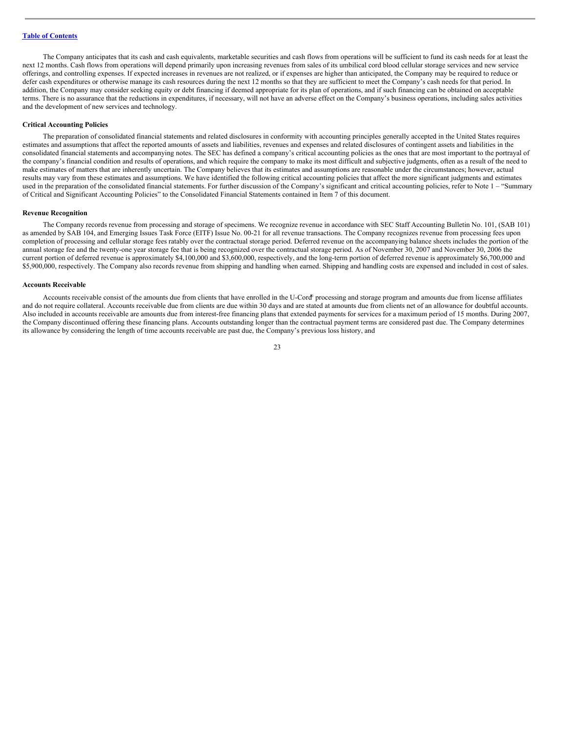The Company anticipates that its cash and cash equivalents, marketable securities and cash flows from operations will be sufficient to fund its cash needs for at least the next 12 months. Cash flows from operations will depend primarily upon increasing revenues from sales of its umbilical cord blood cellular storage services and new service offerings, and controlling expenses. If expected increases in revenues are not realized, or if expenses are higher than anticipated, the Company may be required to reduce or defer cash expenditures or otherwise manage its cash resources during the next 12 months so that they are sufficient to meet the Company's cash needs for that period. In addition, the Company may consider seeking equity or debt financing if deemed appropriate for its plan of operations, and if such financing can be obtained on acceptable terms. There is no assurance that the reductions in expenditures, if necessary, will not have an adverse effect on the Company's business operations, including sales activities and the development of new services and technology.

#### **Critical Accounting Policies**

The preparation of consolidated financial statements and related disclosures in conformity with accounting principles generally accepted in the United States requires estimates and assumptions that affect the reported amounts of assets and liabilities, revenues and expenses and related disclosures of contingent assets and liabilities in the consolidated financial statements and accompanying notes. The SEC has defined a company's critical accounting policies as the ones that are most important to the portrayal of the company's financial condition and results of operations, and which require the company to make its most difficult and subjective judgments, often as a result of the need to make estimates of matters that are inherently uncertain. The Company believes that its estimates and assumptions are reasonable under the circumstances; however, actual results may vary from these estimates and assumptions. We have identified the following critical accounting policies that affect the more significant judgments and estimates used in the preparation of the consolidated financial statements. For further discussion of the Company's significant and critical accounting policies, refer to Note 1 – "Summary of Critical and Significant Accounting Policies" to the Consolidated Financial Statements contained in Item 7 of this document.

#### **Revenue Recognition**

The Company records revenue from processing and storage of specimens. We recognize revenue in accordance with SEC Staff Accounting Bulletin No. 101, (SAB 101) as amended by SAB 104, and Emerging Issues Task Force (EITF) Issue No. 00-21 for all revenue transactions. The Company recognizes revenue from processing fees upon completion of processing and cellular storage fees ratably over the contractual storage period. Deferred revenue on the accompanying balance sheets includes the portion of the annual storage fee and the twenty-one year storage fee that is being recognized over the contractual storage period. As of November 30, 2007 and November 30, 2006 the current portion of deferred revenue is approximately \$4,100,000 and \$3,600,000, respectively, and the long-term portion of deferred revenue is approximately \$6,700,000 and \$5,900,000, respectively. The Company also records revenue from shipping and handling when earned. Shipping and handling costs are expensed and included in cost of sales.

#### **Accounts Receivable**

Accounts receivable consist of the amounts due from clients that have enrolled in the U-Cord® processing and storage program and amounts due from license affiliates and do not require collateral. Accounts receivable due from clients are due within 30 days and are stated at amounts due from clients net of an allowance for doubtful accounts. Also included in accounts receivable are amounts due from interest-free financing plans that extended payments for services for a maximum period of 15 months. During 2007, the Company discontinued offering these financing plans. Accounts outstanding longer than the contractual payment terms are considered past due. The Company determines its allowance by considering the length of time accounts receivable are past due, the Company's previous loss history, and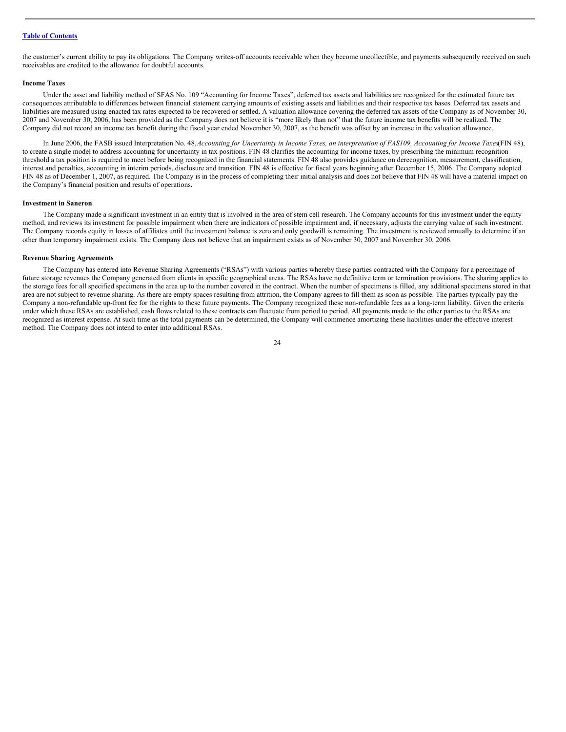the customer's current ability to pay its obligations. The Company writes-off accounts receivable when they become uncollectible, and payments subsequently received on such receivables are credited to the allowance for doubtful accounts.

#### **Income Taxes**

Under the asset and liability method of SFAS No. 109 "Accounting for Income Taxes", deferred tax assets and liabilities are recognized for the estimated future tax consequences attributable to differences between financial statement carrying amounts of existing assets and liabilities and their respective tax bases. Deferred tax assets and liabilities are measured using enacted tax rates expected to be recovered or settled. A valuation allowance covering the deferred tax assets of the Company as of November 30, 2007 and November 30, 2006, has been provided as the Company does not believe it is "more likely than not" that the future income tax benefits will be realized. The Company did not record an income tax benefit during the fiscal year ended November 30, 2007, as the benefit was offset by an increase in the valuation allowance.

In June 2006, the FASB issued Interpretation No. 48, Accounting for Uncertainty in Income Taxes, an interpretation of FAS109, Accounting for Income Taxes(FIN 48), to create a single model to address accounting for uncertainty in tax positions. FIN 48 clarifies the accounting for income taxes, by prescribing the minimum recognition threshold a tax position is required to meet before being recognized in the financial statements. FIN 48 also provides guidance on derecognition, measurement, classification, interest and penalties, accounting in interim periods, disclosure and transition. FIN 48 is effective for fiscal years beginning after December 15, 2006. The Company adopted FIN 48 as of December 1, 2007, as required. The Company is in the process of completing their initial analysis and does not believe that FIN 48 will have a material impact on the Company's financial position and results of operations**.**

#### **Investment in Saneron**

The Company made a significant investment in an entity that is involved in the area of stem cell research. The Company accounts for this investment under the equity method, and reviews its investment for possible impairment when there are indicators of possible impairment and, if necessary, adjusts the carrying value of such investment. The Company records equity in losses of affiliates until the investment balance is zero and only goodwill is remaining. The investment is reviewed annually to determine if an other than temporary impairment exists. The Company does not believe that an impairment exists as of November 30, 2007 and November 30, 2006.

#### **Revenue Sharing Agreements**

The Company has entered into Revenue Sharing Agreements ("RSAs") with various parties whereby these parties contracted with the Company for a percentage of future storage revenues the Company generated from clients in specific geographical areas. The RSAs have no definitive term or termination provisions. The sharing applies to the storage fees for all specified specimens in the area up to the number covered in the contract. When the number of specimens is filled, any additional specimens stored in that area are not subject to revenue sharing. As there are empty spaces resulting from attrition, the Company agrees to fill them as soon as possible. The parties typically pay the Company a non-refundable up-front fee for the rights to these future payments. The Company recognized these non-refundable fees as a long-term liability. Given the criteria under which these RSAs are established, cash flows related to these contracts can fluctuate from period to period. All payments made to the other parties to the RSAs are recognized as interest expense. At such time as the total payments can be determined, the Company will commence amortizing these liabilities under the effective interest method. The Company does not intend to enter into additional RSAs.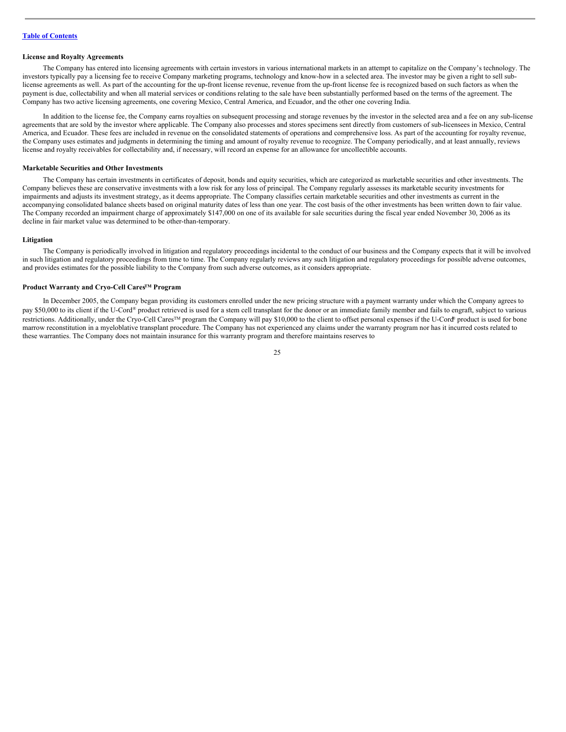#### **License and Royalty Agreements**

The Company has entered into licensing agreements with certain investors in various international markets in an attempt to capitalize on the Company's technology. The investors typically pay a licensing fee to receive Company marketing programs, technology and know-how in a selected area. The investor may be given a right to sell sublicense agreements as well. As part of the accounting for the up-front license revenue, revenue from the up-front license fee is recognized based on such factors as when the payment is due, collectability and when all material services or conditions relating to the sale have been substantially performed based on the terms of the agreement. The Company has two active licensing agreements, one covering Mexico, Central America, and Ecuador, and the other one covering India.

In addition to the license fee, the Company earns royalties on subsequent processing and storage revenues by the investor in the selected area and a fee on any sub-license agreements that are sold by the investor where applicable. The Company also processes and stores specimens sent directly from customers of sub-licensees in Mexico, Central America, and Ecuador. These fees are included in revenue on the consolidated statements of operations and comprehensive loss. As part of the accounting for royalty revenue, the Company uses estimates and judgments in determining the timing and amount of royalty revenue to recognize. The Company periodically, and at least annually, reviews license and royalty receivables for collectability and, if necessary, will record an expense for an allowance for uncollectible accounts.

#### **Marketable Securities and Other Investments**

The Company has certain investments in certificates of deposit, bonds and equity securities, which are categorized as marketable securities and other investments. The Company believes these are conservative investments with a low risk for any loss of principal. The Company regularly assesses its marketable security investments for impairments and adjusts its investment strategy, as it deems appropriate. The Company classifies certain marketable securities and other investments as current in the accompanying consolidated balance sheets based on original maturity dates of less than one year. The cost basis of the other investments has been written down to fair value. The Company recorded an impairment charge of approximately \$147,000 on one of its available for sale securities during the fiscal year ended November 30, 2006 as its decline in fair market value was determined to be other-than-temporary.

#### **Litigation**

The Company is periodically involved in litigation and regulatory proceedings incidental to the conduct of our business and the Company expects that it will be involved in such litigation and regulatory proceedings from time to time. The Company regularly reviews any such litigation and regulatory proceedings for possible adverse outcomes, and provides estimates for the possible liability to the Company from such adverse outcomes, as it considers appropriate.

#### **Product Warranty and Cryo-Cell CaresTM Program**

In December 2005, the Company began providing its customers enrolled under the new pricing structure with a payment warranty under which the Company agrees to pay \$50,000 to its client if the U-Cord® product retrieved is used for a stem cell transplant for the donor or an immediate family member and fails to engraft, subject to various restrictions. Additionally, under the Cryo-Cell Cares<sup>™</sup> program the Company will pay \$10,000 to the client to offset personal expenses if the U-Cord® product is used for bone marrow reconstitution in a myeloblative transplant procedure. The Company has not experienced any claims under the warranty program nor has it incurred costs related to these warranties. The Company does not maintain insurance for this warranty program and therefore maintains reserves to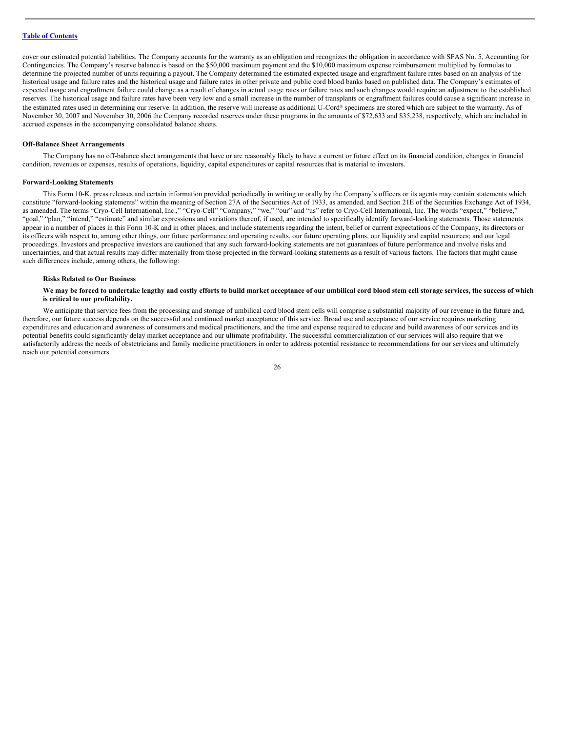cover our estimated potential liabilities. The Company accounts for the warranty as an obligation and recognizes the obligation in accordance with SFAS No. 5, Accounting for Contingencies. The Company's reserve balance is based on the \$50,000 maximum payment and the \$10,000 maximum expense reimbursement multiplied by formulas to determine the projected number of units requiring a payout. The Company determined the estimated expected usage and engraftment failure rates based on an analysis of the historical usage and failure rates and the historical usage and failure rates in other private and public cord blood banks based on published data. The Company's estimates of expected usage and engraftment failure could change as a result of changes in actual usage rates or failure rates and such changes would require an adjustment to the established reserves. The historical usage and failure rates have been very low and a small increase in the number of transplants or engraftment failures could cause a significant increase in the estimated rates used in determining our reserve. In addition, the reserve will increase as additional U-Cord® specimens are stored which are subject to the warranty. As of November 30, 2007 and November 30, 2006 the Company recorded reserves under these programs in the amounts of \$72,633 and \$35,238, respectively, which are included in accrued expenses in the accompanying consolidated balance sheets.

#### **Off-Balance Sheet Arrangements**

The Company has no off-balance sheet arrangements that have or are reasonably likely to have a current or future effect on its financial condition, changes in financial condition, revenues or expenses, results of operations, liquidity, capital expenditures or capital resources that is material to investors.

#### **Forward-Looking Statements**

This Form 10-K, press releases and certain information provided periodically in writing or orally by the Company's officers or its agents may contain statements which constitute "forward-looking statements" within the meaning of Section 27A of the Securities Act of 1933, as amended, and Section 21E of the Securities Exchange Act of 1934, as amended. The terms "Cryo-Cell International, Inc.," "Cryo-Cell" "Company," "we," "our" and "us" refer to Cryo-Cell International, Inc. The words "expect," "believe," "goal," "plan," "intend," "estimate" and similar expressions and variations thereof, if used, are intended to specifically identify forward-looking statements. Those statements appear in a number of places in this Form 10-K and in other places, and include statements regarding the intent, belief or current expectations of the Company, its directors or its officers with respect to, among other things, our future performance and operating results, our future operating plans, our liquidity and capital resources; and our legal proceedings. Investors and prospective investors are cautioned that any such forward-looking statements are not guarantees of future performance and involve risks and uncertainties, and that actual results may differ materially from those projected in the forward-looking statements as a result of various factors. The factors that might cause such differences include, among others, the following:

#### **Risks Related to Our Business**

#### We may be forced to undertake lengthy and costly efforts to build market acceptance of our umbilical cord blood stem cell storage services, the success of which **is critical to our profitability.**

We anticipate that service fees from the processing and storage of umbilical cord blood stem cells will comprise a substantial majority of our revenue in the future and, therefore, our future success depends on the successful and continued market acceptance of this service. Broad use and acceptance of our service requires marketing expenditures and education and awareness of consumers and medical practitioners, and the time and expense required to educate and build awareness of our services and its potential benefits could significantly delay market acceptance and our ultimate profitability. The successful commercialization of our services will also require that we satisfactorily address the needs of obstetricians and family medicine practitioners in order to address potential resistance to recommendations for our services and ultimately reach our potential consumers.

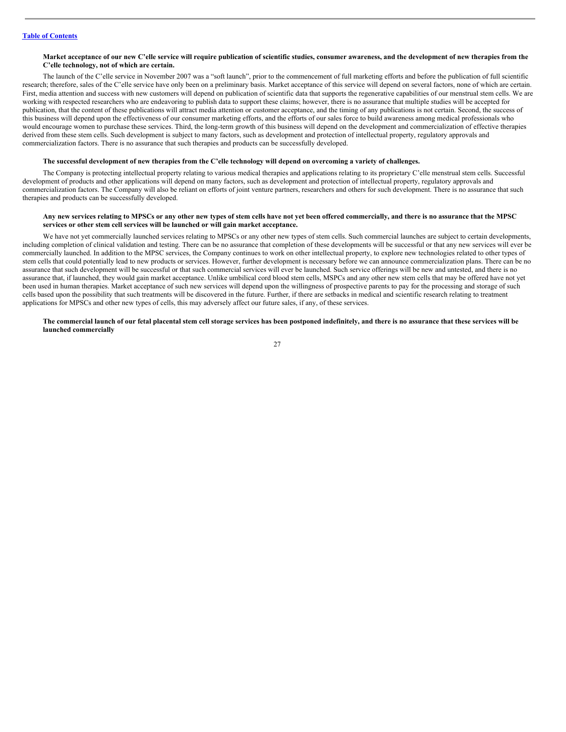#### Market acceptance of our new C'elle service will require publication of scientific studies, consumer awareness, and the development of new therapies from the **C'elle technology, not of which are certain.**

The launch of the C'elle service in November 2007 was a "soft launch", prior to the commencement of full marketing efforts and before the publication of full scientific research; therefore, sales of the C'elle service have only been on a preliminary basis. Market acceptance of this service will depend on several factors, none of which are certain. First, media attention and success with new customers will depend on publication of scientific data that supports the regenerative capabilities of our menstrual stem cells. We are working with respected researchers who are endeavoring to publish data to support these claims; however, there is no assurance that multiple studies will be accepted for publication, that the content of these publications will attract media attention or customer acceptance, and the timing of any publications is not certain. Second, the success of this business will depend upon the effectiveness of our consumer marketing efforts, and the efforts of our sales force to build awareness among medical professionals who would encourage women to purchase these services. Third, the long-term growth of this business will depend on the development and commercialization of effective therapies derived from these stem cells. Such development is subject to many factors, such as development and protection of intellectual property, regulatory approvals and commercialization factors. There is no assurance that such therapies and products can be successfully developed.

#### The successful development of new therapies from the C'elle technology will depend on overcoming a variety of challenges.

The Company is protecting intellectual property relating to various medical therapies and applications relating to its proprietary C'elle menstrual stem cells. Successful development of products and other applications will depend on many factors, such as development and protection of intellectual property, regulatory approvals and commercialization factors. The Company will also be reliant on efforts of joint venture partners, researchers and others for such development. There is no assurance that such therapies and products can be successfully developed.

#### Any new services relating to MPSCs or any other new types of stem cells have not yet been offered commercially, and there is no assurance that the MPSC **services or other stem cell services will be launched or will gain market acceptance.**

We have not yet commercially launched services relating to MPSCs or any other new types of stem cells. Such commercial launches are subject to certain developments, including completion of clinical validation and testing. There can be no assurance that completion of these developments will be successful or that any new services will ever be commercially launched. In addition to the MPSC services, the Company continues to work on other intellectual property, to explore new technologies related to other types of stem cells that could potentially lead to new products or services. However, further development is necessary before we can announce commercialization plans. There can be no assurance that such development will be successful or that such commercial services will ever be launched. Such service offerings will be new and untested, and there is no assurance that, if launched, they would gain market acceptance. Unlike umbilical cord blood stem cells, MSPCs and any other new stem cells that may be offered have not yet been used in human therapies. Market acceptance of such new services will depend upon the willingness of prospective parents to pay for the processing and storage of such cells based upon the possibility that such treatments will be discovered in the future. Further, if there are setbacks in medical and scientific research relating to treatment applications for MPSCs and other new types of cells, this may adversely affect our future sales, if any, of these services.

#### The commercial launch of our fetal placental stem cell storage services has been postponed indefinitely, and there is no assurance that these services will be **launched commercially**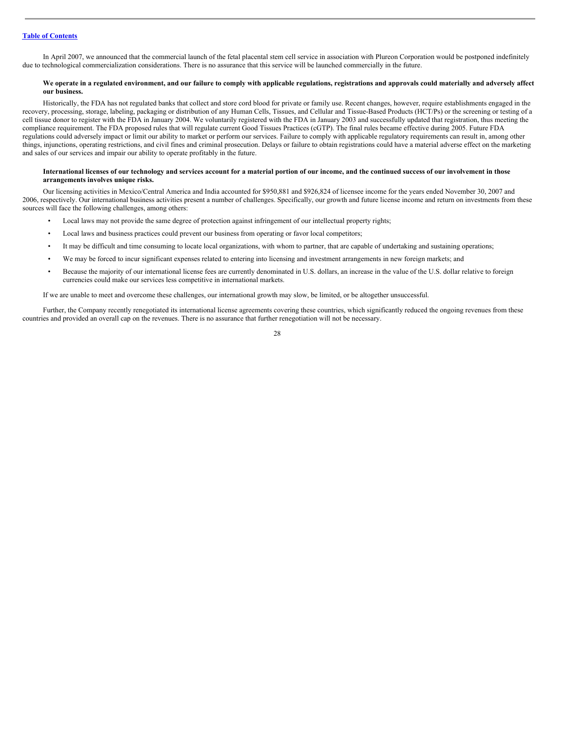In April 2007, we announced that the commercial launch of the fetal placental stem cell service in association with Plureon Corporation would be postponed indefinitely due to technological commercialization considerations. There is no assurance that this service will be launched commercially in the future.

#### We operate in a regulated environment, and our failure to comply with applicable regulations, registrations and approvals could materially and adversely affect **our business.**

Historically, the FDA has not regulated banks that collect and store cord blood for private or family use. Recent changes, however, require establishments engaged in the recovery, processing, storage, labeling, packaging or distribution of any Human Cells, Tissues, and Cellular and Tissue-Based Products (HCT/Ps) or the screening or testing of a cell tissue donor to register with the FDA in January 2004. We voluntarily registered with the FDA in January 2003 and successfully updated that registration, thus meeting the compliance requirement. The FDA proposed rules that will regulate current Good Tissues Practices (cGTP). The final rules became effective during 2005. Future FDA regulations could adversely impact or limit our ability to market or perform our services. Failure to comply with applicable regulatory requirements can result in, among other things, injunctions, operating restrictions, and civil fines and criminal prosecution. Delays or failure to obtain registrations could have a material adverse effect on the marketing and sales of our services and impair our ability to operate profitably in the future.

#### International licenses of our technology and services account for a material portion of our income, and the continued success of our involvement in those **arrangements involves unique risks.**

Our licensing activities in Mexico/Central America and India accounted for \$950,881 and \$926,824 of licensee income for the years ended November 30, 2007 and 2006, respectively. Our international business activities present a number of challenges. Specifically, our growth and future license income and return on investments from these sources will face the following challenges, among others:

- Local laws may not provide the same degree of protection against infringement of our intellectual property rights;
- Local laws and business practices could prevent our business from operating or favor local competitors;
- It may be difficult and time consuming to locate local organizations, with whom to partner, that are capable of undertaking and sustaining operations;
- We may be forced to incur significant expenses related to entering into licensing and investment arrangements in new foreign markets; and
- Because the majority of our international license fees are currently denominated in U.S. dollars, an increase in the value of the U.S. dollar relative to foreign currencies could make our services less competitive in international markets.

If we are unable to meet and overcome these challenges, our international growth may slow, be limited, or be altogether unsuccessful.

Further, the Company recently renegotiated its international license agreements covering these countries, which significantly reduced the ongoing revenues from these countries and provided an overall cap on the revenues. There is no assurance that further renegotiation will not be necessary.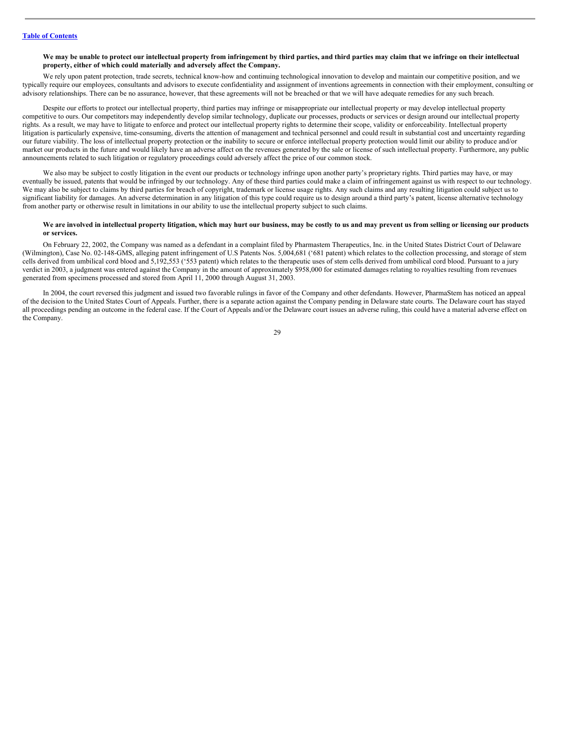#### We may be unable to protect our intellectual property from infringement by third parties, and third parties may claim that we infringe on their intellectual **property, either of which could materially and adversely affect the Company.**

We rely upon patent protection, trade secrets, technical know-how and continuing technological innovation to develop and maintain our competitive position, and we typically require our employees, consultants and advisors to execute confidentiality and assignment of inventions agreements in connection with their employment, consulting or advisory relationships. There can be no assurance, however, that these agreements will not be breached or that we will have adequate remedies for any such breach.

Despite our efforts to protect our intellectual property, third parties may infringe or misappropriate our intellectual property or may develop intellectual property competitive to ours. Our competitors may independently develop similar technology, duplicate our processes, products or services or design around our intellectual property rights. As a result, we may have to litigate to enforce and protect our intellectual property rights to determine their scope, validity or enforceability. Intellectual property litigation is particularly expensive, time-consuming, diverts the attention of management and technical personnel and could result in substantial cost and uncertainty regarding our future viability. The loss of intellectual property protection or the inability to secure or enforce intellectual property protection would limit our ability to produce and/or market our products in the future and would likely have an adverse affect on the revenues generated by the sale or license of such intellectual property. Furthermore, any public announcements related to such litigation or regulatory proceedings could adversely affect the price of our common stock.

We also may be subject to costly litigation in the event our products or technology infringe upon another party's proprietary rights. Third parties may have, or may eventually be issued, patents that would be infringed by our technology. Any of these third parties could make a claim of infringement against us with respect to our technology. We may also be subject to claims by third parties for breach of copyright, trademark or license usage rights. Any such claims and any resulting litigation could subject us to significant liability for damages. An adverse determination in any litigation of this type could require us to design around a third party's patent, license alternative technology from another party or otherwise result in limitations in our ability to use the intellectual property subject to such claims.

#### We are involved in intellectual property litigation, which may hurt our business, may be costly to us and may prevent us from selling or licensing our products **or services.**

On February 22, 2002, the Company was named as a defendant in a complaint filed by Pharmastem Therapeutics, Inc. in the United States District Court of Delaware (Wilmington), Case No. 02-148-GMS, alleging patent infringement of U.S Patents Nos. 5,004,681 ('681 patent) which relates to the collection processing, and storage of stem cells derived from umbilical cord blood and 5,192,553 ('553 patent) which relates to the therapeutic uses of stem cells derived from umbilical cord blood. Pursuant to a jury verdict in 2003, a judgment was entered against the Company in the amount of approximately \$958,000 for estimated damages relating to royalties resulting from revenues generated from specimens processed and stored from April 11, 2000 through August 31, 2003.

In 2004, the court reversed this judgment and issued two favorable rulings in favor of the Company and other defendants. However, PharmaStem has noticed an appeal of the decision to the United States Court of Appeals. Further, there is a separate action against the Company pending in Delaware state courts. The Delaware court has stayed all proceedings pending an outcome in the federal case. If the Court of Appeals and/or the Delaware court issues an adverse ruling, this could have a material adverse effect on the Company.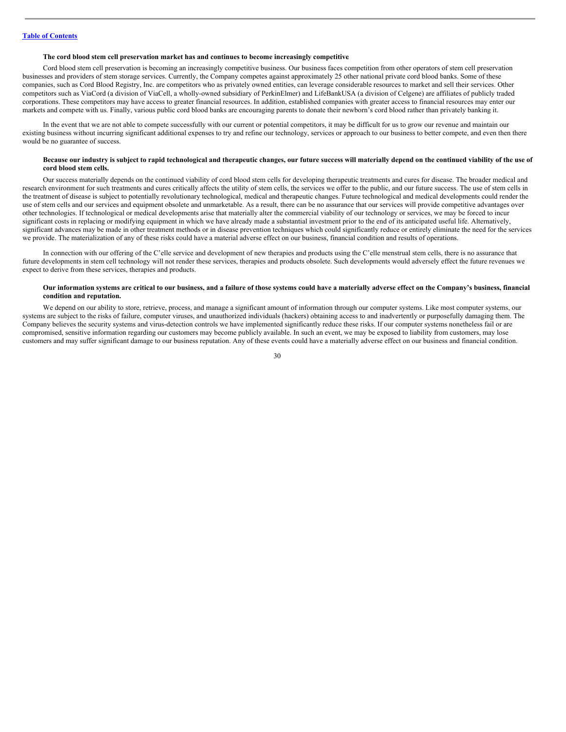#### **The cord blood stem cell preservation market has and continues to become increasingly competitive**.

Cord blood stem cell preservation is becoming an increasingly competitive business. Our business faces competition from other operators of stem cell preservation businesses and providers of stem storage services. Currently, the Company competes against approximately 25 other national private cord blood banks. Some of these companies, such as Cord Blood Registry, Inc. are competitors who as privately owned entities, can leverage considerable resources to market and sell their services. Other competitors such as ViaCord (a division of ViaCell, a wholly-owned subsidiary of PerkinElmer) and LifeBankUSA (a division of Celgene) are affiliates of publicly traded corporations. These competitors may have access to greater financial resources. In addition, established companies with greater access to financial resources may enter our markets and compete with us. Finally, various public cord blood banks are encouraging parents to donate their newborn's cord blood rather than privately banking it.

In the event that we are not able to compete successfully with our current or potential competitors, it may be difficult for us to grow our revenue and maintain our existing business without incurring significant additional expenses to try and refine our technology, services or approach to our business to better compete, and even then there would be no guarantee of success.

#### Because our industry is subject to rapid technological and therapeutic changes, our future success will materially depend on the continued viability of the use of **cord blood stem cells.**

Our success materially depends on the continued viability of cord blood stem cells for developing therapeutic treatments and cures for disease. The broader medical and research environment for such treatments and cures critically affects the utility of stem cells, the services we offer to the public, and our future success. The use of stem cells in the treatment of disease is subject to potentially revolutionary technological, medical and therapeutic changes. Future technological and medical developments could render the use of stem cells and our services and equipment obsolete and unmarketable. As a result, there can be no assurance that our services will provide competitive advantages over other technologies. If technological or medical developments arise that materially alter the commercial viability of our technology or services, we may be forced to incur significant costs in replacing or modifying equipment in which we have already made a substantial investment prior to the end of its anticipated useful life. Alternatively, significant advances may be made in other treatment methods or in disease prevention techniques which could significantly reduce or entirely eliminate the need for the services we provide. The materialization of any of these risks could have a material adverse effect on our business, financial condition and results of operations.

In connection with our offering of the C'elle service and development of new therapies and products using the C'elle menstrual stem cells, there is no assurance that future developments in stem cell technology will not render these services, therapies and products obsolete. Such developments would adversely effect the future revenues we expect to derive from these services, therapies and products.

#### Our information systems are critical to our business, and a failure of those systems could have a materially adverse effect on the Company's business, financial **condition and reputation.**

We depend on our ability to store, retrieve, process, and manage a significant amount of information through our computer systems. Like most computer systems, our systems are subject to the risks of failure, computer viruses, and unauthorized individuals (hackers) obtaining access to and inadvertently or purposefully damaging them. The Company believes the security systems and virus-detection controls we have implemented significantly reduce these risks. If our computer systems nonetheless fail or are compromised, sensitive information regarding our customers may become publicly available. In such an event, we may be exposed to liability from customers, may lose customers and may suffer significant damage to our business reputation. Any of these events could have a materially adverse effect on our business and financial condition.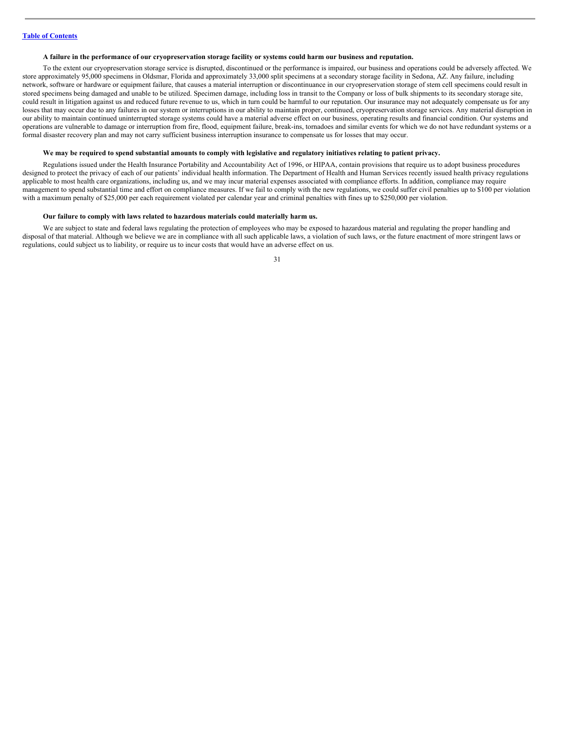#### A failure in the performance of our cryopreservation storage facility or systems could harm our business and reputation.

To the extent our cryopreservation storage service is disrupted, discontinued or the performance is impaired, our business and operations could be adversely affected. We store approximately 95,000 specimens in Oldsmar, Florida and approximately 33,000 split specimens at a secondary storage facility in Sedona, AZ. Any failure, including network, software or hardware or equipment failure, that causes a material interruption or discontinuance in our cryopreservation storage of stem cell specimens could result in stored specimens being damaged and unable to be utilized. Specimen damage, including loss in transit to the Company or loss of bulk shipments to its secondary storage site, could result in litigation against us and reduced future revenue to us, which in turn could be harmful to our reputation. Our insurance may not adequately compensate us for any losses that may occur due to any failures in our system or interruptions in our ability to maintain proper, continued, cryopreservation storage services. Any material disruption in our ability to maintain continued uninterrupted storage systems could have a material adverse effect on our business, operating results and financial condition. Our systems and operations are vulnerable to damage or interruption from fire, flood, equipment failure, break-ins, tornadoes and similar events for which we do not have redundant systems or a formal disaster recovery plan and may not carry sufficient business interruption insurance to compensate us for losses that may occur.

#### We may be required to spend substantial amounts to comply with legislative and regulatory initiatives relating to patient privacy.

Regulations issued under the Health Insurance Portability and Accountability Act of 1996, or HIPAA, contain provisions that require us to adopt business procedures designed to protect the privacy of each of our patients' individual health information. The Department of Health and Human Services recently issued health privacy regulations applicable to most health care organizations, including us, and we may incur material expenses associated with compliance efforts. In addition, compliance may require management to spend substantial time and effort on compliance measures. If we fail to comply with the new regulations, we could suffer civil penalties up to \$100 per violation with a maximum penalty of \$25,000 per each requirement violated per calendar year and criminal penalties with fines up to \$250,000 per violation.

#### **Our failure to comply with laws related to hazardous materials could materially harm us.**

We are subject to state and federal laws regulating the protection of employees who may be exposed to hazardous material and regulating the proper handling and disposal of that material. Although we believe we are in compliance with all such applicable laws, a violation of such laws, or the future enactment of more stringent laws or regulations, could subject us to liability, or require us to incur costs that would have an adverse effect on us.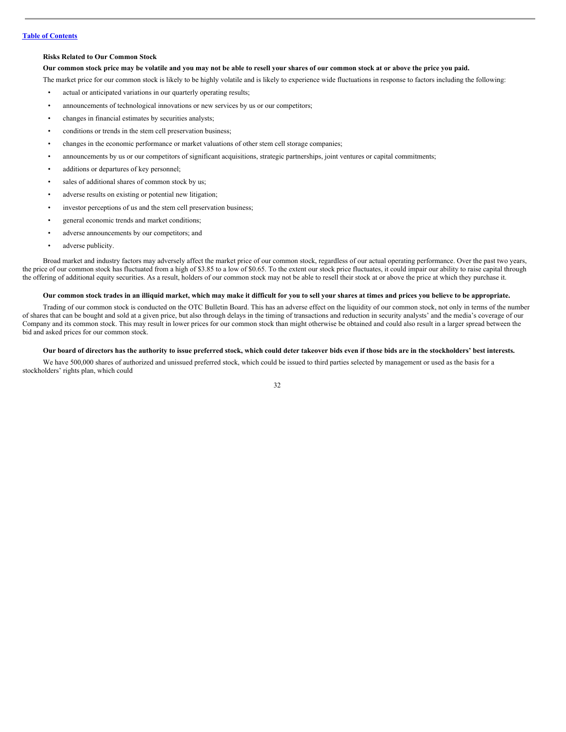#### **Risks Related to Our Common Stock**

#### Our common stock price may be volatile and you may not be able to resell your shares of our common stock at or above the price you paid.

The market price for our common stock is likely to be highly volatile and is likely to experience wide fluctuations in response to factors including the following:

- actual or anticipated variations in our quarterly operating results;
- announcements of technological innovations or new services by us or our competitors;
- changes in financial estimates by securities analysts;
- conditions or trends in the stem cell preservation business;
- changes in the economic performance or market valuations of other stem cell storage companies;
- announcements by us or our competitors of significant acquisitions, strategic partnerships, joint ventures or capital commitments;
- additions or departures of key personnel;
- sales of additional shares of common stock by us;
- adverse results on existing or potential new litigation;
- investor perceptions of us and the stem cell preservation business;
- general economic trends and market conditions;
- adverse announcements by our competitors; and
- adverse publicity.

Broad market and industry factors may adversely affect the market price of our common stock, regardless of our actual operating performance. Over the past two years, the price of our common stock has fluctuated from a high of \$3.85 to a low of \$0.65. To the extent our stock price fluctuates, it could impair our ability to raise capital through the offering of additional equity securities. As a result, holders of our common stock may not be able to resell their stock at or above the price at which they purchase it.

#### Our common stock trades in an illiquid market, which may make it difficult for you to sell your shares at times and prices you believe to be appropriate.

Trading of our common stock is conducted on the OTC Bulletin Board. This has an adverse effect on the liquidity of our common stock, not only in terms of the number of shares that can be bought and sold at a given price, but also through delays in the timing of transactions and reduction in security analysts' and the media's coverage of our Company and its common stock. This may result in lower prices for our common stock than might otherwise be obtained and could also result in a larger spread between the bid and asked prices for our common stock.

#### Our board of directors has the authority to issue preferred stock, which could deter takeover bids even if those bids are in the stockholders' best interests.

We have 500,000 shares of authorized and unissued preferred stock, which could be issued to third parties selected by management or used as the basis for a stockholders' rights plan, which could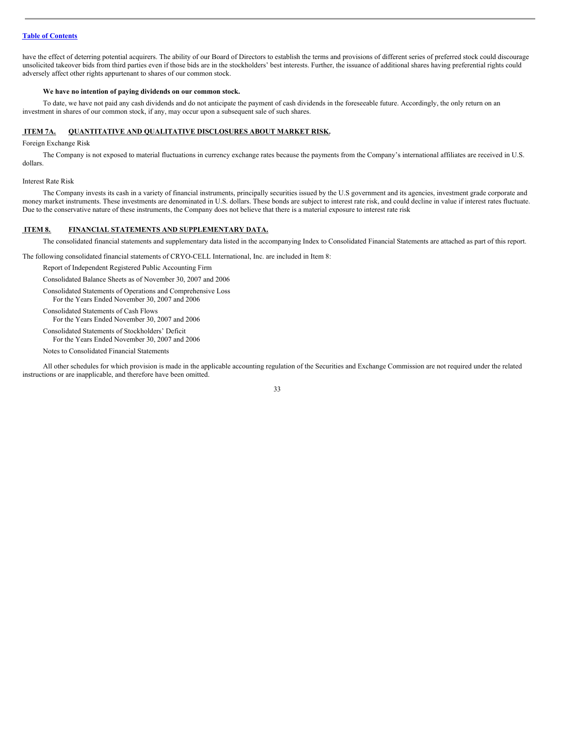have the effect of deterring potential acquirers. The ability of our Board of Directors to establish the terms and provisions of different series of preferred stock could discourage unsolicited takeover bids from third parties even if those bids are in the stockholders' best interests. Further, the issuance of additional shares having preferential rights could adversely affect other rights appurtenant to shares of our common stock.

#### **We have no intention of paying dividends on our common stock.**

To date, we have not paid any cash dividends and do not anticipate the payment of cash dividends in the foreseeable future. Accordingly, the only return on an investment in shares of our common stock, if any, may occur upon a subsequent sale of such shares.

#### <span id="page-32-0"></span>**ITEM 7A. QUANTITATIVE AND QUALITATIVE DISCLOSURES ABOUT MARKET RISK.**

Foreign Exchange Risk

The Company is not exposed to material fluctuations in currency exchange rates because the payments from the Company's international affiliates are received in U.S. dollars.

Interest Rate Risk

The Company invests its cash in a variety of financial instruments, principally securities issued by the U.S government and its agencies, investment grade corporate and money market instruments. These investments are denominated in U.S. dollars. These bonds are subject to interest rate risk, and could decline in value if interest rates fluctuate. Due to the conservative nature of these instruments, the Company does not believe that there is a material exposure to interest rate risk

# <span id="page-32-1"></span>**ITEM 8. FINANCIAL STATEMENTS AND SUPPLEMENTARY DATA.**

The consolidated financial statements and supplementary data listed in the accompanying Index to Consolidated Financial Statements are attached as part of this report.

The following consolidated financial statements of CRYO-CELL International, Inc. are included in Item 8:

Report of Independent Registered Public Accounting Firm

Consolidated Balance Sheets as of November 30, 2007 and 2006

Consolidated Statements of Operations and Comprehensive Loss For the Years Ended November 30, 2007 and 2006

Consolidated Statements of Cash Flows For the Years Ended November 30, 2007 and 2006

Consolidated Statements of Stockholders' Deficit For the Years Ended November 30, 2007 and 2006

Notes to Consolidated Financial Statements

All other schedules for which provision is made in the applicable accounting regulation of the Securities and Exchange Commission are not required under the related instructions or are inapplicable, and therefore have been omitted.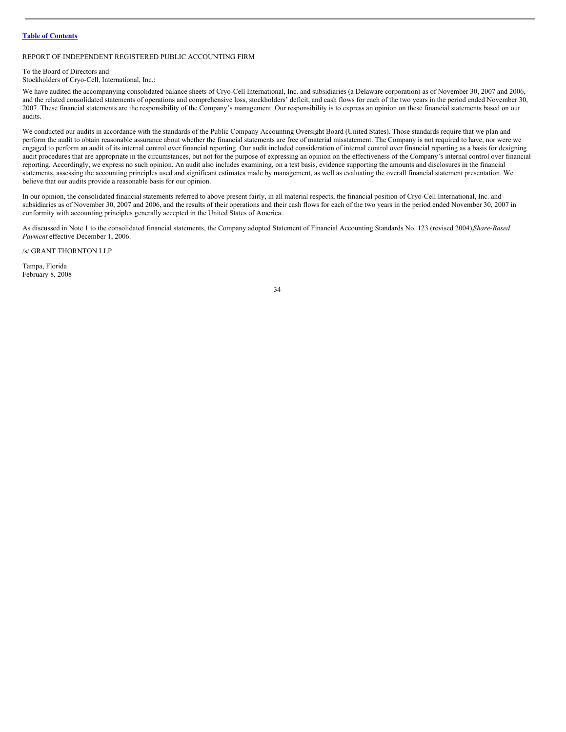# REPORT OF INDEPENDENT REGISTERED PUBLIC ACCOUNTING FIRM

# To the Board of Directors and

Stockholders of Cryo-Cell, International, Inc.:

We have audited the accompanying consolidated balance sheets of Cryo-Cell International, Inc. and subsidiaries (a Delaware corporation) as of November 30, 2007 and 2006, and the related consolidated statements of operations and comprehensive loss, stockholders' deficit, and cash flows for each of the two years in the period ended November 30, 2007. These financial statements are the responsibility of the Company's management. Our responsibility is to express an opinion on these financial statements based on our audits.

We conducted our audits in accordance with the standards of the Public Company Accounting Oversight Board (United States). Those standards require that we plan and perform the audit to obtain reasonable assurance about whether the financial statements are free of material misstatement. The Company is not required to have, nor were we engaged to perform an audit of its internal control over financial reporting. Our audit included consideration of internal control over financial reporting as a basis for designing audit procedures that are appropriate in the circumstances, but not for the purpose of expressing an opinion on the effectiveness of the Company's internal control over financial reporting. Accordingly, we express no such opinion. An audit also includes examining, on a test basis, evidence supporting the amounts and disclosures in the financial statements, assessing the accounting principles used and significant estimates made by management, as well as evaluating the overall financial statement presentation. We believe that our audits provide a reasonable basis for our opinion.

In our opinion, the consolidated financial statements referred to above present fairly, in all material respects, the financial position of Cryo-Cell International, Inc. and subsidiaries as of November 30, 2007 and 2006, and the results of their operations and their cash flows for each of the two years in the period ended November 30, 2007 in conformity with accounting principles generally accepted in the United States of America.

As discussed in Note 1 to the consolidated financial statements, the Company adopted Statement of Financial Accounting Standards No. 123 (revised 2004),*Share-Based Payment* effective December 1, 2006.

/s/ GRANT THORNTON LLP

Tampa, Florida February 8, 2008

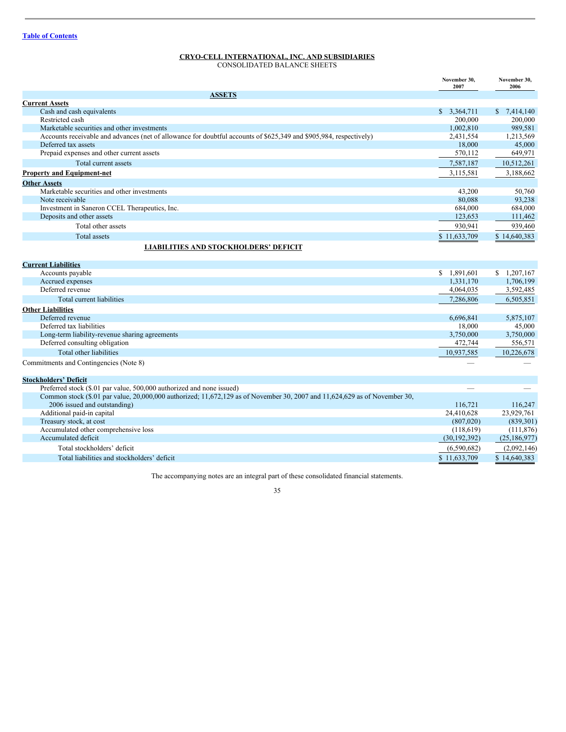# **CRYO-CELL INTERNATIONAL, INC. AND SUBSIDIARIES**

CONSOLIDATED BALANCE SHEETS

|                                                                                                                            | November 30,<br>2007                                                                                                                                                                                                           | November 30.<br>2006 |
|----------------------------------------------------------------------------------------------------------------------------|--------------------------------------------------------------------------------------------------------------------------------------------------------------------------------------------------------------------------------|----------------------|
| <b>ASSETS</b>                                                                                                              |                                                                                                                                                                                                                                |                      |
| <b>Current Assets</b>                                                                                                      |                                                                                                                                                                                                                                |                      |
| Cash and cash equivalents                                                                                                  | \$3,364,711                                                                                                                                                                                                                    | \$7,414,140          |
| Restricted cash                                                                                                            | 200,000                                                                                                                                                                                                                        | 200,000              |
| Marketable securities and other investments                                                                                | 1,002,810                                                                                                                                                                                                                      | 989,581              |
| Accounts receivable and advances (net of allowance for doubtful accounts of \$625,349 and \$905,984, respectively)         | 2,431,554                                                                                                                                                                                                                      | 1,213,569            |
| Deferred tax assets                                                                                                        | 18,000                                                                                                                                                                                                                         | 45,000               |
| Prepaid expenses and other current assets                                                                                  | 570,112                                                                                                                                                                                                                        | 649,971              |
| Total current assets                                                                                                       | 7,587,187                                                                                                                                                                                                                      | 10,512,261           |
| <b>Property and Equipment-net</b>                                                                                          | 3,115,581                                                                                                                                                                                                                      | 3,188,662            |
| <b>Other Assets</b>                                                                                                        |                                                                                                                                                                                                                                |                      |
| Marketable securities and other investments                                                                                | 43,200                                                                                                                                                                                                                         | 50.760               |
| Note receivable                                                                                                            | 80.088                                                                                                                                                                                                                         | 93,238               |
| Investment in Saneron CCEL Therapeutics, Inc.                                                                              | 684,000                                                                                                                                                                                                                        | 684,000              |
| Deposits and other assets                                                                                                  | 123,653                                                                                                                                                                                                                        | 111,462              |
| Total other assets                                                                                                         | 930.941                                                                                                                                                                                                                        | 939,460              |
| <b>Total</b> assets                                                                                                        | \$11,633,709                                                                                                                                                                                                                   | \$14,640,383         |
| <b>LIABILITIES AND STOCKHOLDERS' DEFICIT</b>                                                                               |                                                                                                                                                                                                                                |                      |
| <b>Current Liabilities</b>                                                                                                 |                                                                                                                                                                                                                                |                      |
| Accounts payable                                                                                                           | \$1.891,601                                                                                                                                                                                                                    | \$1,207,167          |
| Accrued expenses                                                                                                           | 1,331,170                                                                                                                                                                                                                      | 1,706,199            |
| Deferred revenue                                                                                                           | 4,064,035                                                                                                                                                                                                                      | 3,592,485            |
| Total current liabilities                                                                                                  | 7.286,806                                                                                                                                                                                                                      | 6,505,851            |
| <b>Other Liabilities</b>                                                                                                   |                                                                                                                                                                                                                                |                      |
| Deferred revenue                                                                                                           | 6,696,841                                                                                                                                                                                                                      | 5,875,107            |
| Deferred tax liabilities                                                                                                   | 18,000                                                                                                                                                                                                                         | 45,000               |
| Long-term liability-revenue sharing agreements                                                                             | 3,750,000                                                                                                                                                                                                                      | 3,750,000            |
| Deferred consulting obligation                                                                                             | 472,744                                                                                                                                                                                                                        | 556,571              |
| Total other liabilities                                                                                                    | 10,937,585                                                                                                                                                                                                                     | 10,226,678           |
| Commitments and Contingencies (Note 8)                                                                                     |                                                                                                                                                                                                                                |                      |
| <b>Stockholders' Deficit</b>                                                                                               |                                                                                                                                                                                                                                |                      |
| Preferred stock (\$.01 par value, 500,000 authorized and none issued)                                                      | and the contract of the contract of the contract of the contract of the contract of the contract of the contract of the contract of the contract of the contract of the contract of the contract of the contract of the contra |                      |
| Common stock (\$.01 par value, 20,000,000 authorized; 11,672,129 as of November 30, 2007 and 11,624,629 as of November 30, |                                                                                                                                                                                                                                |                      |
| 2006 issued and outstanding)                                                                                               | 116,721                                                                                                                                                                                                                        | 116,247              |
| Additional paid-in capital                                                                                                 | 24,410,628                                                                                                                                                                                                                     | 23,929,761           |
| Treasury stock, at cost                                                                                                    | (807,020)                                                                                                                                                                                                                      | (839, 301)           |
| Accumulated other comprehensive loss                                                                                       | (118, 619)                                                                                                                                                                                                                     | (111, 876)           |
| Accumulated deficit                                                                                                        | (30, 192, 392)                                                                                                                                                                                                                 | (25, 186, 977)       |
| Total stockholders' deficit                                                                                                | (6,590,682)                                                                                                                                                                                                                    | (2,092,146)          |
| Total liabilities and stockholders' deficit                                                                                | \$11,633,709                                                                                                                                                                                                                   | \$14,640,383         |

The accompanying notes are an integral part of these consolidated financial statements.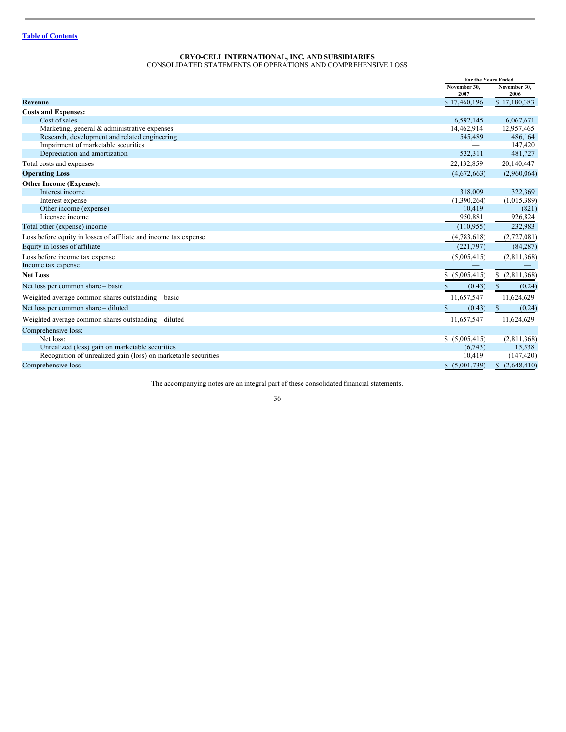# **CRYO-CELL INTERNATIONAL, INC. AND SUBSIDIARIES**

CONSOLIDATED STATEMENTS OF OPERATIONS AND COMPREHENSIVE LOSS

|                                                                  | For the Years Ended  |                      |
|------------------------------------------------------------------|----------------------|----------------------|
|                                                                  | November 30.<br>2007 | November 30,<br>2006 |
| <b>Revenue</b>                                                   | \$17,460,196         | \$17,180,383         |
| <b>Costs and Expenses:</b>                                       |                      |                      |
| Cost of sales                                                    | 6,592,145            | 6,067,671            |
| Marketing, general & administrative expenses                     | 14,462,914           | 12,957,465           |
| Research, development and related engineering                    | 545,489              | 486,164              |
| Impairment of marketable securities                              |                      | 147,420              |
| Depreciation and amortization                                    | 532,311              | 481,727              |
| Total costs and expenses                                         | 22,132,859           | 20,140,447           |
| <b>Operating Loss</b>                                            | (4,672,663)          | (2,960,064)          |
| Other Income (Expense):                                          |                      |                      |
| Interest income                                                  | 318,009              | 322,369              |
| Interest expense                                                 | (1,390,264)          | (1,015,389)          |
| Other income (expense)                                           | 10,419               | (821)                |
| Licensee income                                                  | 950,881              | 926,824              |
| Total other (expense) income                                     | (110, 955)           | 232,983              |
| Loss before equity in losses of affiliate and income tax expense | (4,783,618)          | (2,727,081)          |
| Equity in losses of affiliate                                    | (221,797)            | (84, 287)            |
| Loss before income tax expense                                   | (5,005,415)          | (2,811,368)          |
| Income tax expense                                               |                      |                      |
| <b>Net Loss</b>                                                  | (5,005,415)<br>S.    | \$(2,811,368)        |
| Net loss per common share – basic                                | (0.43)               | (0.24)               |
| Weighted average common shares outstanding – basic               | 11,657,547           | 11,624,629           |
| Net loss per common share – diluted                              | (0.43)               | (0.24)               |
| Weighted average common shares outstanding – diluted             | 11,657,547           | 11,624,629           |
| Comprehensive loss:                                              |                      |                      |
| Net loss:                                                        | \$(5,005,415)        | (2,811,368)          |
| Unrealized (loss) gain on marketable securities                  | (6,743)              | 15,538               |
| Recognition of unrealized gain (loss) on marketable securities   | 10,419               | (147, 420)           |
| Comprehensive loss                                               | \$(5,001,739)        | (2,648,410)          |

The accompanying notes are an integral part of these consolidated financial statements.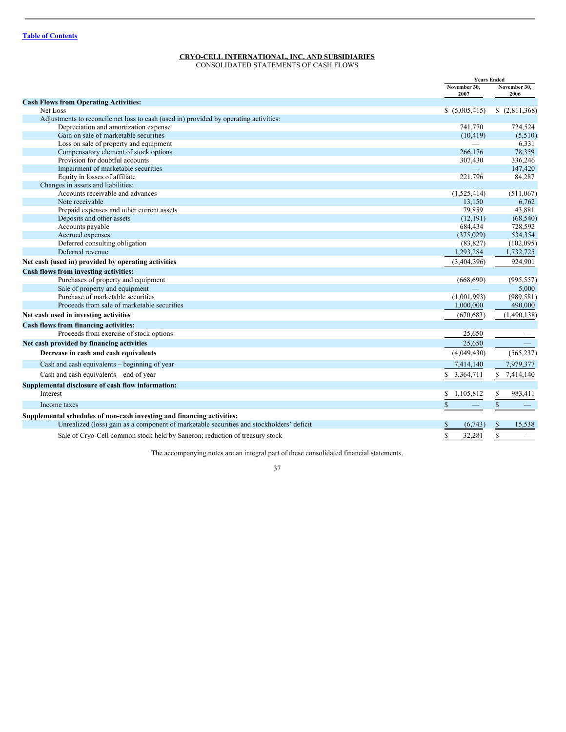# **CRYO-CELL INTERNATIONAL, INC. AND SUBSIDIARIES**

CONSOLIDATED STATEMENTS OF CASH FLOWS

|                                                                                          | <b>Years Ended</b>     |                          |
|------------------------------------------------------------------------------------------|------------------------|--------------------------|
|                                                                                          | November 30.<br>2007   | November 30.<br>2006     |
| <b>Cash Flows from Operating Activities:</b>                                             |                        |                          |
| Net Loss                                                                                 | \$(5,005,415)          | \$(2,811,368)            |
| Adjustments to reconcile net loss to cash (used in) provided by operating activities:    |                        |                          |
| Depreciation and amortization expense                                                    | 741,770                | 724,524                  |
| Gain on sale of marketable securities                                                    | (10, 419)              | (5,510)                  |
| Loss on sale of property and equipment                                                   |                        | 6,331                    |
| Compensatory element of stock options                                                    | 266,176                | 78,359                   |
| Provision for doubtful accounts                                                          | 307,430                | 336,246                  |
| Impairment of marketable securities                                                      |                        | 147,420                  |
| Equity in losses of affiliate                                                            | 221,796                | 84,287                   |
| Changes in assets and liabilities:                                                       |                        |                          |
| Accounts receivable and advances                                                         | (1,525,414)            | (511,067)                |
| Note receivable                                                                          | 13,150                 | 6,762                    |
| Prepaid expenses and other current assets                                                | 79,859                 | 43,881                   |
| Deposits and other assets                                                                | (12, 191)              | (68, 540)                |
| Accounts payable                                                                         | 684,434                | 728,592                  |
| Accrued expenses                                                                         | (375, 029)             | 534,354                  |
| Deferred consulting obligation                                                           | (83, 827)              | (102,095)                |
| Deferred revenue                                                                         | 1,293,284              | 1,732,725                |
| Net cash (used in) provided by operating activities                                      | (3,404,396)            | 924,901                  |
| Cash flows from investing activities:                                                    |                        |                          |
| Purchases of property and equipment                                                      | (668, 690)             | (995, 557)               |
| Sale of property and equipment                                                           |                        | 5,000                    |
| Purchase of marketable securities                                                        | (1,001,993)            | (989, 581)               |
| Proceeds from sale of marketable securities                                              | 1,000,000              | 490,000                  |
| Net cash used in investing activities                                                    | (670, 683)             | (1,490,138)              |
| Cash flows from financing activities:                                                    |                        |                          |
| Proceeds from exercise of stock options                                                  | 25,650                 |                          |
| Net cash provided by financing activities                                                | 25,650                 |                          |
| Decrease in cash and cash equivalents                                                    | (4,049,430)            | (565, 237)               |
| Cash and cash equivalents – beginning of year                                            | 7,414,140              | 7,979,377                |
| Cash and cash equivalents – end of year                                                  | \$<br>3,364,711        | $\mathbf S$<br>7,414,140 |
| Supplemental disclosure of cash flow information:                                        |                        |                          |
| Interest                                                                                 | 1,105,812<br>\$        | 983,411                  |
| Income taxes                                                                             | \$                     | \$                       |
| Supplemental schedules of non-cash investing and financing activities:                   |                        |                          |
| Unrealized (loss) gain as a component of marketable securities and stockholders' deficit | (6,743)<br>\$          | 15,538<br>\$             |
| Sale of Cryo-Cell common stock held by Saneron; reduction of treasury stock              | $\mathbb{S}$<br>32,281 | \$                       |

The accompanying notes are an integral part of these consolidated financial statements.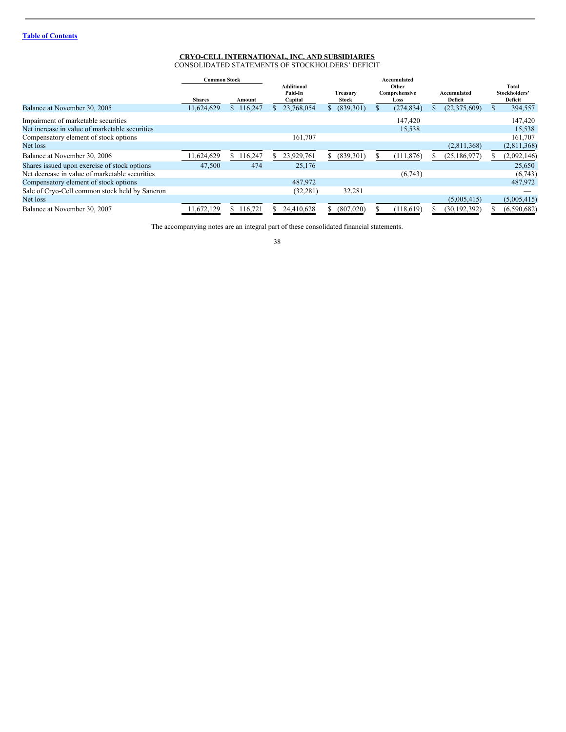#### **CRYO-CELL INTERNATIONAL, INC. AND SUBSIDIARIES** CONSOLIDATED STATEMENTS OF STOCKHOLDERS' DEFICIT

|                                                | <b>Common Stock</b> |           | Accumulated                      |                   |    |                                |  |                        |     |                                   |
|------------------------------------------------|---------------------|-----------|----------------------------------|-------------------|----|--------------------------------|--|------------------------|-----|-----------------------------------|
|                                                | <b>Shares</b>       | Amount    | Additional<br>Paid-In<br>Capital | Treasury<br>Stock |    | Other<br>Comprehensive<br>Loss |  | Accumulated<br>Deficit |     | Total<br>Stockholders'<br>Deficit |
| Balance at November 30, 2005                   | 11,624,629          | \$116,247 | 23,768,054                       | (839,301)         |    | (274, 834)                     |  | (22, 375, 609)         | S   | 394,557                           |
| Impairment of marketable securities            |                     |           |                                  |                   |    | 147.420                        |  |                        |     | 147,420                           |
| Net increase in value of marketable securities |                     |           |                                  |                   |    | 15,538                         |  |                        |     | 15,538                            |
| Compensatory element of stock options          |                     |           | 161,707                          |                   |    |                                |  |                        |     | 161,707                           |
| Net loss                                       |                     |           |                                  |                   |    |                                |  | (2,811,368)            |     | (2,811,368)                       |
| Balance at November 30, 2006                   | 1,624,629           | \$116,247 | 23,929,761                       | \$ (839,301)      | ה. | (111, 876)                     |  | (25, 186, 977)         | Эħ. | (2,092,146)                       |
| Shares issued upon exercise of stock options   | 47,500              | 474       | 25,176                           |                   |    |                                |  |                        |     | 25,650                            |
| Net decrease in value of marketable securities |                     |           |                                  |                   |    | (6,743)                        |  |                        |     | (6,743)                           |
| Compensatory element of stock options          |                     |           | 487,972                          |                   |    |                                |  |                        |     | 487,972                           |
| Sale of Cryo-Cell common stock held by Saneron |                     |           | (32, 281)                        | 32,281            |    |                                |  |                        |     |                                   |
| Net loss                                       |                     |           |                                  |                   |    |                                |  | (5,005,415)            |     | (5,005,415)                       |
| Balance at November 30, 2007                   | 11.672.129          | 116,721   | 24.410.628                       | (807,020)         |    | (118,619)                      |  | (30, 192, 392)         |     | (6,590,682)                       |

The accompanying notes are an integral part of these consolidated financial statements.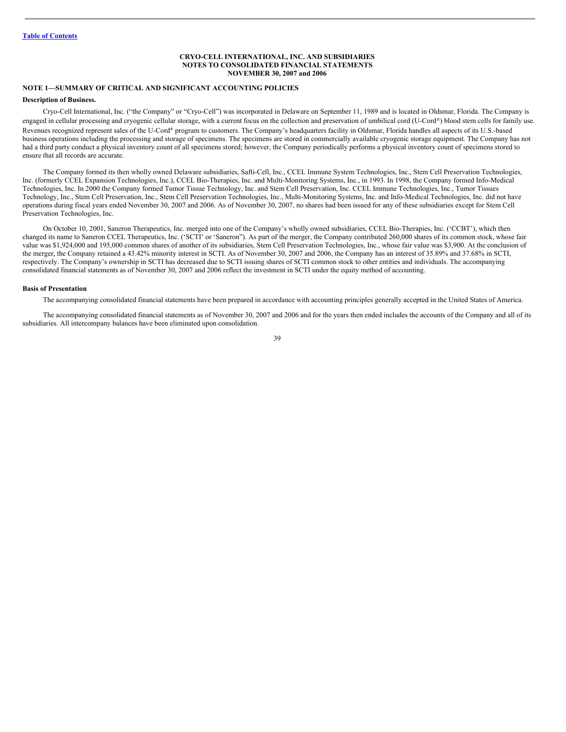#### **CRYO-CELL INTERNATIONAL, INC. AND SUBSIDIARIES NOTES TO CONSOLIDATED FINANCIAL STATEMENTS NOVEMBER 30, 2007 and 2006**

# **NOTE 1—SUMMARY OF CRITICAL AND SIGNIFICANT ACCOUNTING POLICIES**

#### **Description of Business.**

Cryo-Cell International, Inc. ("the Company" or "Cryo-Cell") was incorporated in Delaware on September 11, 1989 and is located in Oldsmar, Florida. The Company is engaged in cellular processing and cryogenic cellular storage, with a current focus on the collection and preservation of umbilical cord (U-Cord®) blood stem cells for family use. Revenues recognized represent sales of the U-Cord® program to customers. The Company's headquarters facility in Oldsmar, Florida handles all aspects of its U.S.-based business operations including the processing and storage of specimens. The specimens are stored in commercially available cryogenic storage equipment. The Company has not had a third party conduct a physical inventory count of all specimens stored; however, the Company periodically performs a physical inventory count of specimens stored to ensure that all records are accurate.

The Company formed its then wholly owned Delaware subsidiaries, Safti-Cell, Inc., CCEL Immune System Technologies, Inc., Stem Cell Preservation Technologies, Inc. (formerly CCEL Expansion Technologies, Inc.), CCEL Bio-Therapies, Inc. and Multi-Monitoring Systems, Inc., in 1993. In 1998, the Company formed Info-Medical Technologies, Inc. In 2000 the Company formed Tumor Tissue Technology, Inc. and Stem Cell Preservation, Inc. CCEL Immune Technologies, Inc., Tumor Tissues Technology, Inc., Stem Cell Preservation, Inc., Stem Cell Preservation Technologies, Inc., Multi-Monitoring Systems, Inc. and Info-Medical Technologies, Inc. did not have operations during fiscal years ended November 30, 2007 and 2006. As of November 30, 2007, no shares had been issued for any of these subsidiaries except for Stem Cell Preservation Technologies, Inc.

On October 10, 2001, Saneron Therapeutics, Inc. merged into one of the Company's wholly owned subsidiaries, CCEL Bio-Therapies, Inc. ('CCBT'), which then changed its name to Saneron CCEL Therapeutics, Inc. ('SCTI' or 'Saneron"). As part of the merger, the Company contributed 260,000 shares of its common stock, whose fair value was \$1,924,000 and 195,000 common shares of another of its subsidiaries, Stem Cell Preservation Technologies, Inc., whose fair value was \$3,900. At the conclusion of the merger, the Company retained a 43.42% minority interest in SCTI. As of November 30, 2007 and 2006, the Company has an interest of 35.89% and 37.68% in SCTI, respectively. The Company's ownership in SCTI has decreased due to SCTI issuing shares of SCTI common stock to other entities and individuals. The accompanying consolidated financial statements as of November 30, 2007 and 2006 reflect the investment in SCTI under the equity method of accounting.

#### **Basis of Presentation**

The accompanying consolidated financial statements have been prepared in accordance with accounting principles generally accepted in the United States of America.

The accompanying consolidated financial statements as of November 30, 2007 and 2006 and for the years then ended includes the accounts of the Company and all of its subsidiaries. All intercompany balances have been eliminated upon consolidation.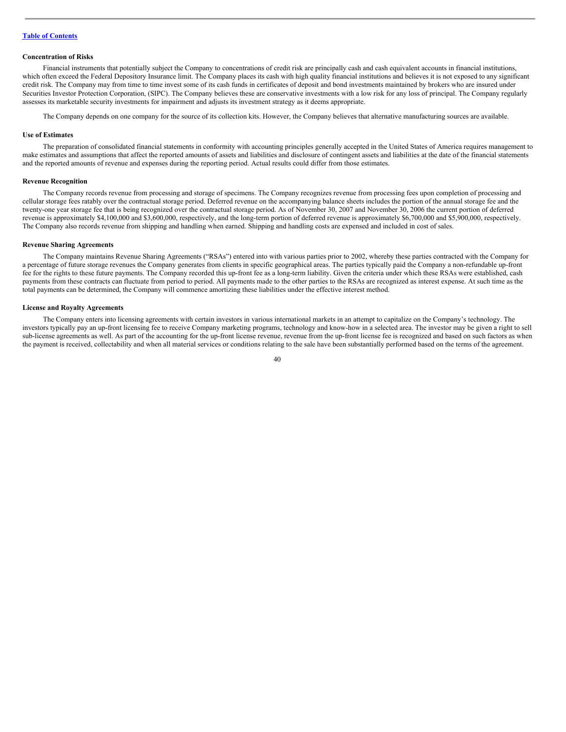#### **Concentration of Risks**

Financial instruments that potentially subject the Company to concentrations of credit risk are principally cash and cash equivalent accounts in financial institutions, which often exceed the Federal Depository Insurance limit. The Company places its cash with high quality financial institutions and believes it is not exposed to any significant credit risk. The Company may from time to time invest some of its cash funds in certificates of deposit and bond investments maintained by brokers who are insured under Securities Investor Protection Corporation, (SIPC). The Company believes these are conservative investments with a low risk for any loss of principal. The Company regularly assesses its marketable security investments for impairment and adjusts its investment strategy as it deems appropriate.

The Company depends on one company for the source of its collection kits. However, the Company believes that alternative manufacturing sources are available.

#### **Use of Estimates**

The preparation of consolidated financial statements in conformity with accounting principles generally accepted in the United States of America requires management to make estimates and assumptions that affect the reported amounts of assets and liabilities and disclosure of contingent assets and liabilities at the date of the financial statements and the reported amounts of revenue and expenses during the reporting period. Actual results could differ from those estimates.

#### **Revenue Recognition**

The Company records revenue from processing and storage of specimens. The Company recognizes revenue from processing fees upon completion of processing and cellular storage fees ratably over the contractual storage period. Deferred revenue on the accompanying balance sheets includes the portion of the annual storage fee and the twenty-one year storage fee that is being recognized over the contractual storage period. As of November 30, 2007 and November 30, 2006 the current portion of deferred revenue is approximately \$4,100,000 and \$3,600,000, respectively, and the long-term portion of deferred revenue is approximately \$6,700,000 and \$5,900,000, respectively. The Company also records revenue from shipping and handling when earned. Shipping and handling costs are expensed and included in cost of sales.

# **Revenue Sharing Agreements**

The Company maintains Revenue Sharing Agreements ("RSAs") entered into with various parties prior to 2002, whereby these parties contracted with the Company for a percentage of future storage revenues the Company generates from clients in specific geographical areas. The parties typically paid the Company a non-refundable up-front fee for the rights to these future payments. The Company recorded this up-front fee as a long-term liability. Given the criteria under which these RSAs were established, cash payments from these contracts can fluctuate from period to period. All payments made to the other parties to the RSAs are recognized as interest expense. At such time as the total payments can be determined, the Company will commence amortizing these liabilities under the effective interest method.

#### **License and Royalty Agreements**

The Company enters into licensing agreements with certain investors in various international markets in an attempt to capitalize on the Company's technology. The investors typically pay an up-front licensing fee to receive Company marketing programs, technology and know-how in a selected area. The investor may be given a right to sell sub-license agreements as well. As part of the accounting for the up-front license revenue, revenue from the up-front license fee is recognized and based on such factors as when the payment is received, collectability and when all material services or conditions relating to the sale have been substantially performed based on the terms of the agreement.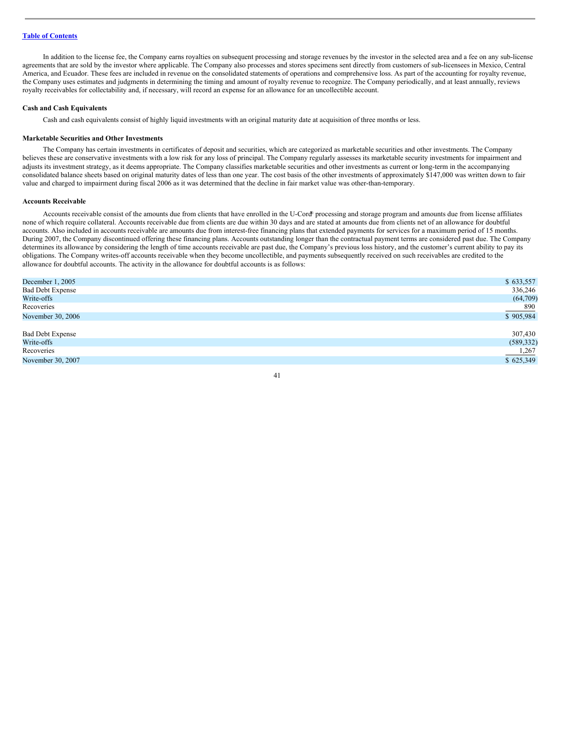In addition to the license fee, the Company earns royalties on subsequent processing and storage revenues by the investor in the selected area and a fee on any sub-license agreements that are sold by the investor where applicable. The Company also processes and stores specimens sent directly from customers of sub-licensees in Mexico, Central America, and Ecuador. These fees are included in revenue on the consolidated statements of operations and comprehensive loss. As part of the accounting for royalty revenue, the Company uses estimates and judgments in determining the timing and amount of royalty revenue to recognize. The Company periodically, and at least annually, reviews royalty receivables for collectability and, if necessary, will record an expense for an allowance for an uncollectible account.

#### **Cash and Cash Equivalents**

Cash and cash equivalents consist of highly liquid investments with an original maturity date at acquisition of three months or less.

#### **Marketable Securities and Other Investments**

The Company has certain investments in certificates of deposit and securities, which are categorized as marketable securities and other investments. The Company believes these are conservative investments with a low risk for any loss of principal. The Company regularly assesses its marketable security investments for impairment and adjusts its investment strategy, as it deems appropriate. The Company classifies marketable securities and other investments as current or long-term in the accompanying consolidated balance sheets based on original maturity dates of less than one year. The cost basis of the other investments of approximately \$147,000 was written down to fair value and charged to impairment during fiscal 2006 as it was determined that the decline in fair market value was other-than-temporary.

#### **Accounts Receivable**

Accounts receivable consist of the amounts due from clients that have enrolled in the U-Cord® processing and storage program and amounts due from license affiliates none of which require collateral. Accounts receivable due from clients are due within 30 days and are stated at amounts due from clients net of an allowance for doubtful accounts. Also included in accounts receivable are amounts due from interest-free financing plans that extended payments for services for a maximum period of 15 months. During 2007, the Company discontinued offering these financing plans. Accounts outstanding longer than the contractual payment terms are considered past due. The Company determines its allowance by considering the length of time accounts receivable are past due, the Company's previous loss history, and the customer's current ability to pay its obligations. The Company writes-off accounts receivable when they become uncollectible, and payments subsequently received on such receivables are credited to the allowance for doubtful accounts. The activity in the allowance for doubtful accounts is as follows:

| December 1, 2005        | \$633,557       |
|-------------------------|-----------------|
| <b>Bad Debt Expense</b> | 336,246         |
| Write-offs              | (64,709)        |
| Recoveries              | $\frac{890}{2}$ |
| November 30, 2006       | \$905,984       |
|                         |                 |
| <b>Bad Debt Expense</b> | 307,430         |
| Write-offs              | (589, 332)      |
| Recoveries              | 1,267           |
| November 30, 2007       | \$625,349       |
|                         |                 |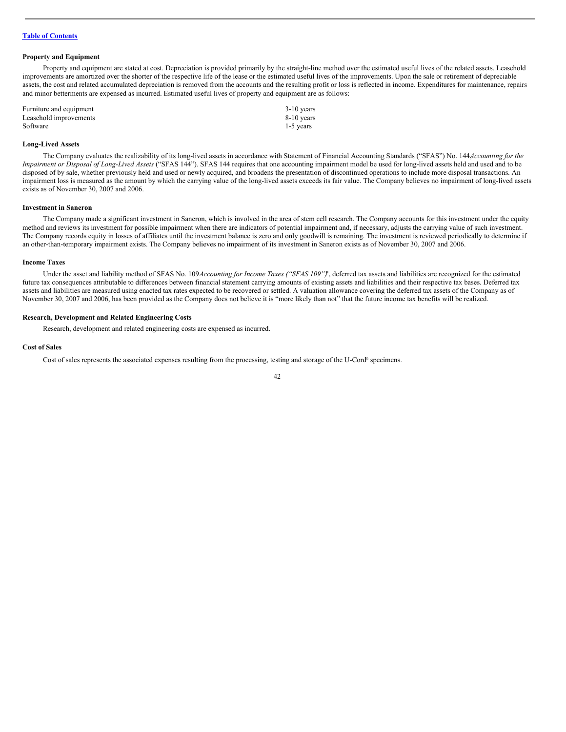#### **Property and Equipment**

Property and equipment are stated at cost. Depreciation is provided primarily by the straight-line method over the estimated useful lives of the related assets. Leasehold improvements are amortized over the shorter of the respective life of the lease or the estimated useful lives of the improvements. Upon the sale or retirement of depreciable assets, the cost and related accumulated depreciation is removed from the accounts and the resulting profit or loss is reflected in income. Expenditures for maintenance, repairs and minor betterments are expensed as incurred. Estimated useful lives of property and equipment are as follows:

| Furniture and equipment | $3-10$ years |
|-------------------------|--------------|
| Leasehold improvements  | 8-10 years   |
| Software                | $1-5$ years  |

#### **Long-Lived Assets**

The Company evaluates the realizability of its long-lived assets in accordance with Statement of Financial Accounting Standards ("SFAS") No. 144,*Accounting for the Impairment or Disposal of Long-Lived Assets* ("SFAS 144"). SFAS 144 requires that one accounting impairment model be used for long-lived assets held and used and to be disposed of by sale, whether previously held and used or newly acquired, and broadens the presentation of discontinued operations to include more disposal transactions. An impairment loss is measured as the amount by which the carrying value of the long-lived assets exceeds its fair value. The Company believes no impairment of long-lived assets exists as of November 30, 2007 and 2006.

#### **Investment in Saneron**

The Company made a significant investment in Saneron, which is involved in the area of stem cell research. The Company accounts for this investment under the equity method and reviews its investment for possible impairment when there are indicators of potential impairment and, if necessary, adjusts the carrying value of such investment. The Company records equity in losses of affiliates until the investment balance is zero and only goodwill is remaining. The investment is reviewed periodically to determine if an other-than-temporary impairment exists. The Company believes no impairment of its investment in Saneron exists as of November 30, 2007 and 2006.

#### **Income Taxes**

Under the asset and liability method of SFAS No. 109*Accounting for Income Taxes ("SFAS 109")*", deferred tax assets and liabilities are recognized for the estimated future tax consequences attributable to differences between financial statement carrying amounts of existing assets and liabilities and their respective tax bases. Deferred tax assets and liabilities are measured using enacted tax rates expected to be recovered or settled. A valuation allowance covering the deferred tax assets of the Company as of November 30, 2007 and 2006, has been provided as the Company does not believe it is "more likely than not" that the future income tax benefits will be realized.

# **Research, Development and Related Engineering Costs**

Research, development and related engineering costs are expensed as incurred.

#### **Cost of Sales**

Cost of sales represents the associated expenses resulting from the processing, testing and storage of the U-Cord® specimens.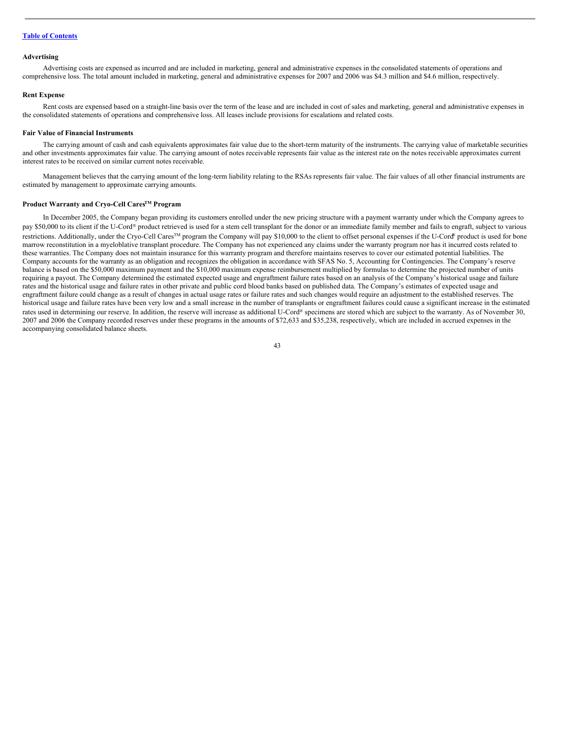#### **Advertising**

Advertising costs are expensed as incurred and are included in marketing, general and administrative expenses in the consolidated statements of operations and comprehensive loss. The total amount included in marketing, general and administrative expenses for 2007 and 2006 was \$4.3 million and \$4.6 million, respectively.

#### **Rent Expense**

Rent costs are expensed based on a straight-line basis over the term of the lease and are included in cost of sales and marketing, general and administrative expenses in the consolidated statements of operations and comprehensive loss. All leases include provisions for escalations and related costs.

#### **Fair Value of Financial Instruments**

The carrying amount of cash and cash equivalents approximates fair value due to the short-term maturity of the instruments. The carrying value of marketable securities and other investments approximates fair value. The carrying amount of notes receivable represents fair value as the interest rate on the notes receivable approximates current interest rates to be received on similar current notes receivable.

Management believes that the carrying amount of the long-term liability relating to the RSAs represents fair value. The fair values of all other financial instruments are estimated by management to approximate carrying amounts.

#### **Product Warranty and Cryo-Cell CaresTM Program**

In December 2005, the Company began providing its customers enrolled under the new pricing structure with a payment warranty under which the Company agrees to pay \$50,000 to its client if the U-Cord® product retrieved is used for a stem cell transplant for the donor or an immediate family member and fails to engraft, subject to various restrictions. Additionally, under the Cryo-Cell Cares<sup>™</sup> program the Company will pay \$10,000 to the client to offset personal expenses if the U-Cord® product is used for bone marrow reconstitution in a myeloblative transplant procedure. The Company has not experienced any claims under the warranty program nor has it incurred costs related to these warranties. The Company does not maintain insurance for this warranty program and therefore maintains reserves to cover our estimated potential liabilities. The Company accounts for the warranty as an obligation and recognizes the obligation in accordance with SFAS No. 5, Accounting for Contingencies. The Company's reserve balance is based on the \$50,000 maximum payment and the \$10,000 maximum expense reimbursement multiplied by formulas to determine the projected number of units requiring a payout. The Company determined the estimated expected usage and engraftment failure rates based on an analysis of the Company's historical usage and failure rates and the historical usage and failure rates in other private and public cord blood banks based on published data. The Company's estimates of expected usage and engraftment failure could change as a result of changes in actual usage rates or failure rates and such changes would require an adjustment to the established reserves. The historical usage and failure rates have been very low and a small increase in the number of transplants or engraftment failures could cause a significant increase in the estimated rates used in determining our reserve. In addition, the reserve will increase as additional U-Cord® specimens are stored which are subject to the warranty. As of November 30, 2007 and 2006 the Company recorded reserves under these programs in the amounts of \$72,633 and \$35,238, respectively, which are included in accrued expenses in the accompanying consolidated balance sheets.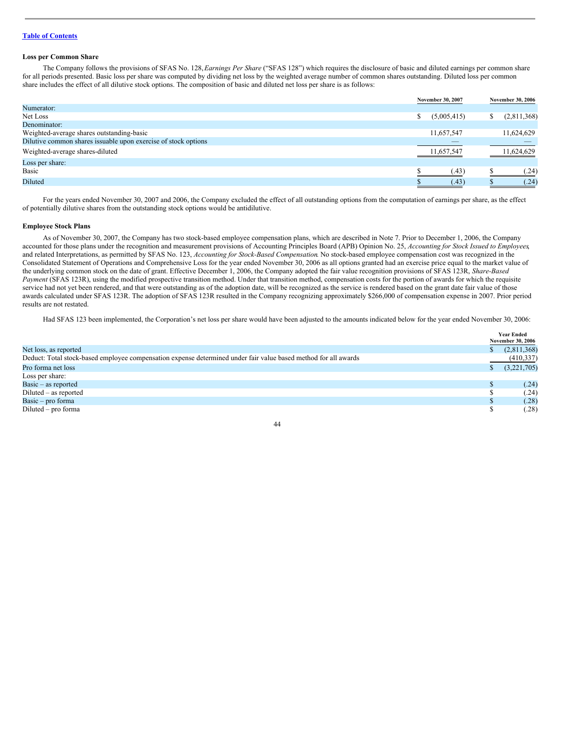#### **Loss per Common Share**

The Company follows the provisions of SFAS No. 128,*Earnings Per Share* ("SFAS 128") which requires the disclosure of basic and diluted earnings per common share for all periods presented. Basic loss per share was computed by dividing net loss by the weighted average number of common shares outstanding. Diluted loss per common share includes the effect of all dilutive stock options. The composition of basic and diluted net loss per share is as follows:

|                                                                |   | November 30, 2007 | <b>November 30, 2006</b> |
|----------------------------------------------------------------|---|-------------------|--------------------------|
| Numerator:                                                     |   |                   |                          |
| Net Loss                                                       | D | (5,005,415)       | (2,811,368)              |
| Denominator:                                                   |   |                   |                          |
| Weighted-average shares outstanding-basic                      |   | 11,657,547        | 11,624,629               |
| Dilutive common shares issuable upon exercise of stock options |   | _                 |                          |
| Weighted-average shares-diluted                                |   | 11,657,547        | 11,624,629               |
| Loss per share:                                                |   |                   |                          |
| Basic                                                          |   | (.43)             | (.24)                    |
| Diluted                                                        |   | (.43)             | (.24)                    |

For the years ended November 30, 2007 and 2006, the Company excluded the effect of all outstanding options from the computation of earnings per share, as the effect of potentially dilutive shares from the outstanding stock options would be antidilutive.

#### **Employee Stock Plans**

As of November 30, 2007, the Company has two stock-based employee compensation plans, which are described in Note 7. Prior to December 1, 2006, the Company accounted for those plans under the recognition and measurement provisions of Accounting Principles Board (APB) Opinion No. 25, *Accounting for Stock Issued to Employees*, and related Interpretations, as permitted by SFAS No. 123, *Accounting for Stock-Based Compensation*. No stock-based employee compensation cost was recognized in the Consolidated Statement of Operations and Comprehensive Loss for the year ended November 30, 2006 as all options granted had an exercise price equal to the market value of the underlying common stock on the date of grant. Effective December 1, 2006, the Company adopted the fair value recognition provisions of SFAS 123R, *Share-Based Payment* (SFAS 123R), using the modified prospective transition method. Under that transition method, compensation costs for the portion of awards for which the requisite service had not yet been rendered, and that were outstanding as of the adoption date, will be recognized as the service is rendered based on the grant date fair value of those awards calculated under SFAS 123R. The adoption of SFAS 123R resulted in the Company recognizing approximately \$266,000 of compensation expense in 2007. Prior period results are not restated.

Had SFAS 123 been implemented, the Corporation's net loss per share would have been adjusted to the amounts indicated below for the year ended November 30, 2006:

|                                                                                                                 | <b>Year Ended</b><br><b>November 30, 2006</b> |
|-----------------------------------------------------------------------------------------------------------------|-----------------------------------------------|
|                                                                                                                 |                                               |
| Net loss, as reported                                                                                           | (2,811,368)                                   |
| Deduct: Total stock-based employee compensation expense determined under fair value based method for all awards | (410, 337)                                    |
| Pro forma net loss                                                                                              | (3,221,705)                                   |
| Loss per share:                                                                                                 |                                               |
| Basic – as reported                                                                                             | (.24)                                         |
| $Diluted - as reported$                                                                                         | (.24)                                         |
| Basic – pro forma                                                                                               | (.28)                                         |
| $Diluted - pro forma$                                                                                           | (.28)                                         |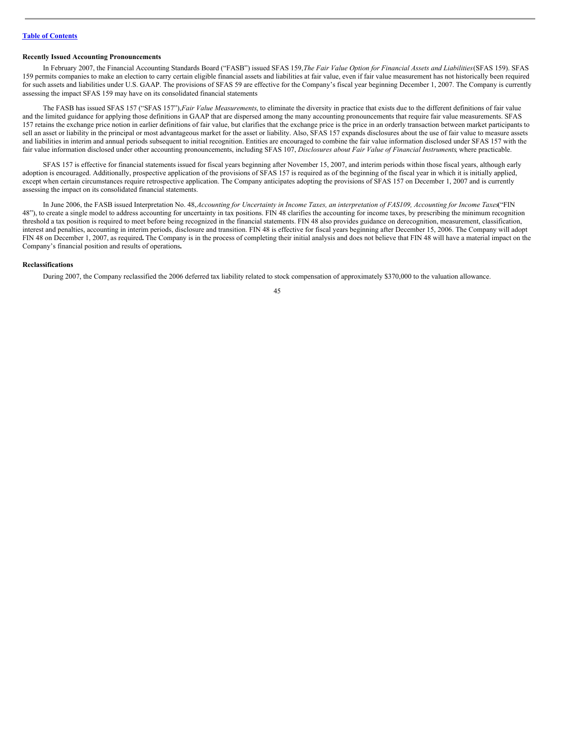#### **Recently Issued Accounting Pronouncements**

In February 2007, the Financial Accounting Standards Board ("FASB") issued SFAS 159,*The Fair Value Option for Financial Assets and Liabilities*(SFAS 159). SFAS 159 permits companies to make an election to carry certain eligible financial assets and liabilities at fair value, even if fair value measurement has not historically been required for such assets and liabilities under U.S. GAAP. The provisions of SFAS 59 are effective for the Company's fiscal year beginning December 1, 2007. The Company is currently assessing the impact SFAS 159 may have on its consolidated financial statements

The FASB has issued SFAS 157 ("SFAS 157"),*Fair Value Measurements*, to eliminate the diversity in practice that exists due to the different definitions of fair value and the limited guidance for applying those definitions in GAAP that are dispersed among the many accounting pronouncements that require fair value measurements. SFAS 157 retains the exchange price notion in earlier definitions of fair value, but clarifies that the exchange price is the price in an orderly transaction between market participants to sell an asset or liability in the principal or most advantageous market for the asset or liability. Also, SFAS 157 expands disclosures about the use of fair value to measure assets and liabilities in interim and annual periods subsequent to initial recognition. Entities are encouraged to combine the fair value information disclosed under SFAS 157 with the fair value information disclosed under other accounting pronouncements, including SFAS 107, *Disclosures about Fair Value of Financial Instruments*, where practicable.

SFAS 157 is effective for financial statements issued for fiscal years beginning after November 15, 2007, and interim periods within those fiscal years, although early adoption is encouraged. Additionally, prospective application of the provisions of SFAS 157 is required as of the beginning of the fiscal year in which it is initially applied, except when certain circumstances require retrospective application. The Company anticipates adopting the provisions of SFAS 157 on December 1, 2007 and is currently assessing the impact on its consolidated financial statements.

In June 2006, the FASB issued Interpretation No. 48, Accounting for Uncertainty in Income Taxes, an interpretation of FAS109, Accounting for Income Taxes "FIN 48"), to create a single model to address accounting for uncertainty in tax positions. FIN 48 clarifies the accounting for income taxes, by prescribing the minimum recognition threshold a tax position is required to meet before being recognized in the financial statements. FIN 48 also provides guidance on derecognition, measurement, classification, interest and penalties, accounting in interim periods, disclosure and transition. FIN 48 is effective for fiscal years beginning after December 15, 2006. The Company will adopt FIN 48 on December 1, 2007, as required**.** The Company is in the process of completing their initial analysis and does not believe that FIN 48 will have a material impact on the Company's financial position and results of operations**.**

#### **Reclassifications**

During 2007, the Company reclassified the 2006 deferred tax liability related to stock compensation of approximately \$370,000 to the valuation allowance.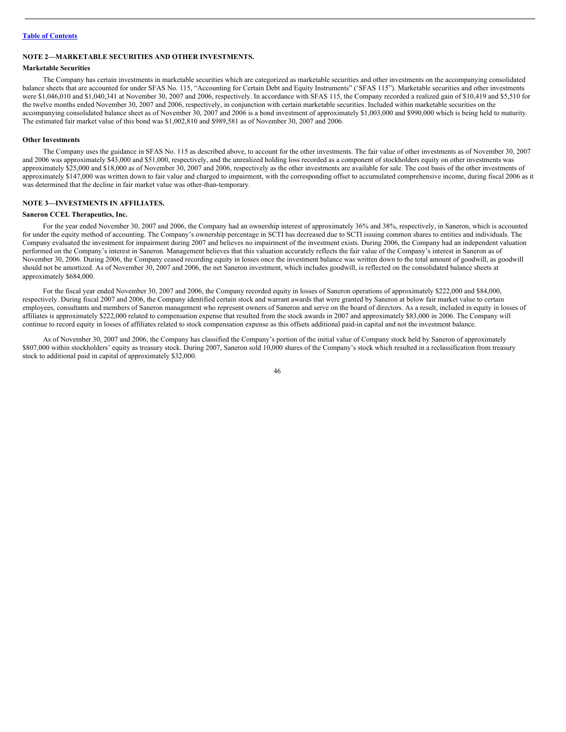# **NOTE 2—MARKETABLE SECURITIES AND OTHER INVESTMENTS.**

#### **Marketable Securities**

The Company has certain investments in marketable securities which are categorized as marketable securities and other investments on the accompanying consolidated balance sheets that are accounted for under SFAS No. 115, "Accounting for Certain Debt and Equity Instruments" ('SFAS 115"). Marketable securities and other investments were \$1,046,010 and \$1,040,341 at November 30, 2007 and 2006, respectively. In accordance with SFAS 115, the Company recorded a realized gain of \$10,419 and \$5,510 for the twelve months ended November 30, 2007 and 2006, respectively, in conjunction with certain marketable securities. Included within marketable securities on the accompanying consolidated balance sheet as of November 30, 2007 and 2006 is a bond investment of approximately \$1,003,000 and \$990,000 which is being held to maturity. The estimated fair market value of this bond was \$1,002,810 and \$989,581 as of November 30, 2007 and 2006.

#### **Other Investments**

The Company uses the guidance in SFAS No. 115 as described above, to account for the other investments. The fair value of other investments as of November 30, 2007 and 2006 was approximately \$43,000 and \$51,000, respectively, and the unrealized holding loss recorded as a component of stockholders equity on other investments was approximately \$25,000 and \$18,000 as of November 30, 2007 and 2006, respectively as the other investments are available for sale. The cost basis of the other investments of approximately \$147,000 was written down to fair value and charged to impairment, with the corresponding offset to accumulated comprehensive income, during fiscal 2006 as it was determined that the decline in fair market value was other-than-temporary.

# **NOTE 3—INVESTMENTS IN AFFILIATES.**

#### **Saneron CCEL Therapeutics, Inc.**

For the year ended November 30, 2007 and 2006, the Company had an ownership interest of approximately 36% and 38%, respectively, in Saneron, which is accounted for under the equity method of accounting. The Company's ownership percentage in SCTI has decreased due to SCTI issuing common shares to entities and individuals. The Company evaluated the investment for impairment during 2007 and believes no impairment of the investment exists. During 2006, the Company had an independent valuation performed on the Company's interest in Saneron. Management believes that this valuation accurately reflects the fair value of the Company's interest in Saneron as of November 30, 2006. During 2006, the Company ceased recording equity in losses once the investment balance was written down to the total amount of goodwill, as goodwill should not be amortized. As of November 30, 2007 and 2006, the net Saneron investment, which includes goodwill, is reflected on the consolidated balance sheets at approximately \$684,000.

For the fiscal year ended November 30, 2007 and 2006, the Company recorded equity in losses of Saneron operations of approximately \$222,000 and \$84,000, respectively. During fiscal 2007 and 2006, the Company identified certain stock and warrant awards that were granted by Saneron at below fair market value to certain employees, consultants and members of Saneron management who represent owners of Saneron and serve on the board of directors. As a result, included in equity in losses of affiliates is approximately \$222,000 related to compensation expense that resulted from the stock awards in 2007 and approximately \$83,000 in 2006. The Company will continue to record equity in losses of affiliates related to stock compensation expense as this offsets additional paid-in capital and not the investment balance.

As of November 30, 2007 and 2006, the Company has classified the Company's portion of the initial value of Company stock held by Saneron of approximately \$807,000 within stockholders' equity as treasury stock. During 2007, Saneron sold 10,000 shares of the Company's stock which resulted in a reclassification from treasury stock to additional paid in capital of approximately \$32,000.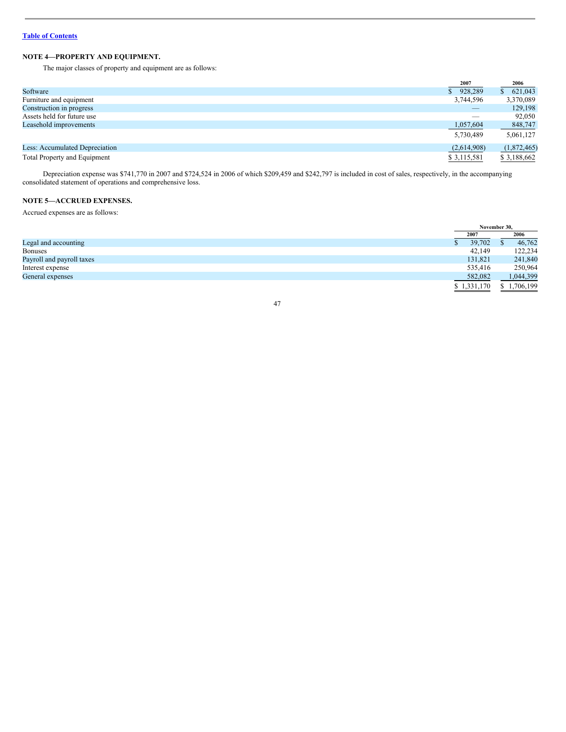# **NOTE 4—PROPERTY AND EQUIPMENT.**

The major classes of property and equipment are as follows:

|                                     | 2007                     | 2006         |
|-------------------------------------|--------------------------|--------------|
| Software                            | \$928,289                | 621,043<br>S |
| Furniture and equipment             | 3,744,596                | 3,370,089    |
| Construction in progress            | $\overline{\phantom{a}}$ | 129.198      |
| Assets held for future use          |                          | 92,050       |
| Leasehold improvements              | 1,057,604                | 848,747      |
|                                     | 5,730,489                | 5,061,127    |
| Less: Accumulated Depreciation      | (2,614,908)              | (1,872,465)  |
| <b>Total Property and Equipment</b> | \$3,115,581              | \$3,188,662  |

Depreciation expense was \$741,770 in 2007 and \$724,524 in 2006 of which \$209,459 and \$242,797 is included in cost of sales, respectively, in the accompanying consolidated statement of operations and comprehensive loss.

# **NOTE 5—ACCRUED EXPENSES.**

Accrued expenses are as follows:

|                           | November 30. |  |             |  |
|---------------------------|--------------|--|-------------|--|
|                           | 2007         |  | 2006        |  |
| Legal and accounting      | 39,702       |  | 46,762      |  |
| <b>Bonuses</b>            | 42.149       |  | 122,234     |  |
| Payroll and payroll taxes | 131,821      |  | 241,840     |  |
| Interest expense          | 535,416      |  | 250,964     |  |
| General expenses          | 582,082      |  | 1,044,399   |  |
|                           | \$1,331,170  |  | \$1,706,199 |  |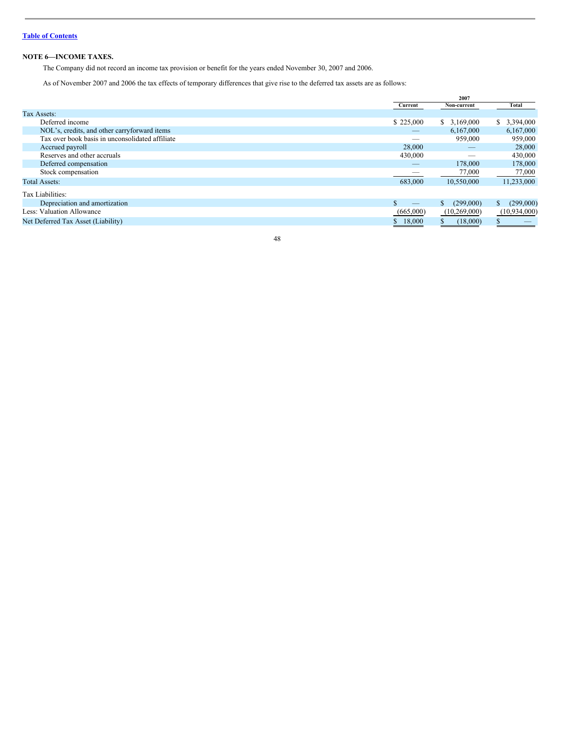# **NOTE 6—INCOME TAXES.**

The Company did not record an income tax provision or benefit for the years ended November 30, 2007 and 2006.

As of November 2007 and 2006 the tax effects of temporary differences that give rise to the deferred tax assets are as follows:

|                                                 |           | 2007            |                  |
|-------------------------------------------------|-----------|-----------------|------------------|
|                                                 | Current   | Non-current     | Total            |
| Tax Assets:                                     |           |                 |                  |
| Deferred income                                 | \$225,000 | \$3,169,000     | 3,394,000<br>S.  |
| NOL's, credits, and other carryforward items    | $-\,$     | 6.167.000       | 6,167,000        |
| Tax over book basis in unconsolidated affiliate |           | 959,000         | 959,000          |
| Accrued payroll                                 | 28,000    | $-$             | 28,000           |
| Reserves and other accruals                     | 430,000   | _               | 430,000          |
| Deferred compensation                           | _         | 178,000         | 178,000          |
| Stock compensation                              |           | 77,000          | 77,000           |
| <b>Total Assets:</b>                            | 683,000   | 10,550,000      | 11,233,000       |
| Tax Liabilities:                                |           |                 |                  |
| Depreciation and amortization                   |           | (299,000)<br>S. | (299,000)<br>\$. |
| Less: Valuation Allowance                       | (665,000) | (10,269,000)    | (10,934,000)     |
| Net Deferred Tax Asset (Liability)              | 18,000    | (18,000)        |                  |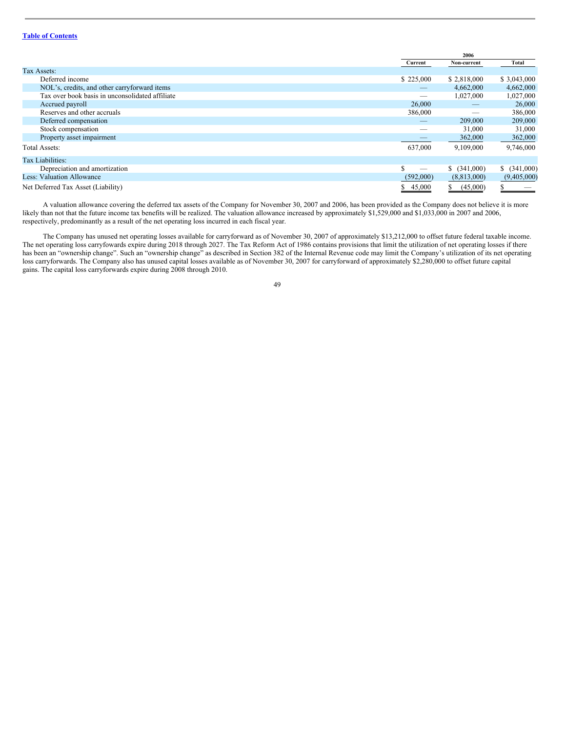|                                                 |           | 2006           |              |  |
|-------------------------------------------------|-----------|----------------|--------------|--|
|                                                 | Current   | Non-current    | Total        |  |
| Tax Assets:                                     |           |                |              |  |
| Deferred income                                 | \$225,000 | \$2,818,000    | \$3,043,000  |  |
| NOL's, credits, and other carryforward items    |           | 4,662,000      | 4,662,000    |  |
| Tax over book basis in unconsolidated affiliate | _         | 1,027,000      | 1,027,000    |  |
| Accrued payroll                                 | 26,000    |                | 26,000       |  |
| Reserves and other accruals                     | 386,000   |                | 386,000      |  |
| Deferred compensation                           |           | 209,000        | 209,000      |  |
| Stock compensation                              |           | 31,000         | 31,000       |  |
| Property asset impairment                       |           | 362,000        | 362,000      |  |
| <b>Total Assets:</b>                            | 637,000   | 9,109,000      | 9,746,000    |  |
| Tax Liabilities:                                |           |                |              |  |
| Depreciation and amortization                   |           | \$ (341,000)   | \$ (341,000) |  |
| <b>Less: Valuation Allowance</b>                | (592,000) | (8,813,000)    | (9,405,000)  |  |
| Net Deferred Tax Asset (Liability)              | 45,000    | (45,000)<br>\$ |              |  |

A valuation allowance covering the deferred tax assets of the Company for November 30, 2007 and 2006, has been provided as the Company does not believe it is more likely than not that the future income tax benefits will be realized. The valuation allowance increased by approximately \$1,529,000 and \$1,033,000 in 2007 and 2006, respectively, predominantly as a result of the net operating loss incurred in each fiscal year.

The Company has unused net operating losses available for carryforward as of November 30, 2007 of approximately \$13,212,000 to offset future federal taxable income. The net operating loss carryfowards expire during 2018 through 2027. The Tax Reform Act of 1986 contains provisions that limit the utilization of net operating losses if there has been an "ownership change". Such an "ownership change" as described in Section 382 of the Internal Revenue code may limit the Company's utilization of its net operating loss carryforwards. The Company also has unused capital losses available as of November 30, 2007 for carryforward of approximately \$2,280,000 to offset future capital gains. The capital loss carryforwards expire during 2008 through 2010.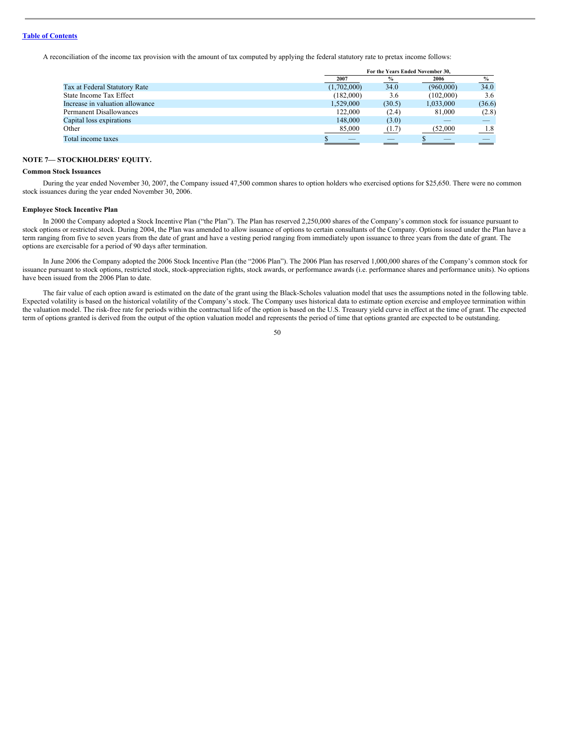A reconciliation of the income tax provision with the amount of tax computed by applying the federal statutory rate to pretax income follows:

|                                 |             | For the Years Ended November 30. |           |               |  |
|---------------------------------|-------------|----------------------------------|-----------|---------------|--|
|                                 | 2007        | $\%$                             | 2006      | $\frac{6}{6}$ |  |
| Tax at Federal Statutory Rate   | (1,702,000) | 34.0                             | (960,000) | 34.0          |  |
| State Income Tax Effect         | (182,000)   | 3.6                              | (102,000) | 3.6           |  |
| Increase in valuation allowance | 1,529,000   | (30.5)                           | 1,033,000 | (36.6)        |  |
| <b>Permanent Disallowances</b>  | 122,000     | (2.4)                            | 81,000    | (2.8)         |  |
| Capital loss expirations        | 148,000     | (3.0)                            |           |               |  |
| Other                           | 85,000      | (1.7)                            | (52.000   | 1.8           |  |
| Total income taxes              |             |                                  |           |               |  |
|                                 |             |                                  |           |               |  |

# **NOTE 7— STOCKHOLDERS' EQUITY.**

# **Common Stock Issuances**

During the year ended November 30, 2007, the Company issued 47,500 common shares to option holders who exercised options for \$25,650. There were no common stock issuances during the year ended November 30, 2006.

#### **Employee Stock Incentive Plan**

In 2000 the Company adopted a Stock Incentive Plan ("the Plan"). The Plan has reserved 2,250,000 shares of the Company's common stock for issuance pursuant to stock options or restricted stock. During 2004, the Plan was amended to allow issuance of options to certain consultants of the Company. Options issued under the Plan have a term ranging from five to seven years from the date of grant and have a vesting period ranging from immediately upon issuance to three years from the date of grant. The options are exercisable for a period of 90 days after termination.

In June 2006 the Company adopted the 2006 Stock Incentive Plan (the "2006 Plan"). The 2006 Plan has reserved 1,000,000 shares of the Company's common stock for issuance pursuant to stock options, restricted stock, stock-appreciation rights, stock awards, or performance awards (i.e. performance shares and performance units). No options have been issued from the 2006 Plan to date.

The fair value of each option award is estimated on the date of the grant using the Black-Scholes valuation model that uses the assumptions noted in the following table. Expected volatility is based on the historical volatility of the Company's stock. The Company uses historical data to estimate option exercise and employee termination within the valuation model. The risk-free rate for periods within the contractual life of the option is based on the U.S. Treasury yield curve in effect at the time of grant. The expected term of options granted is derived from the output of the option valuation model and represents the period of time that options granted are expected to be outstanding.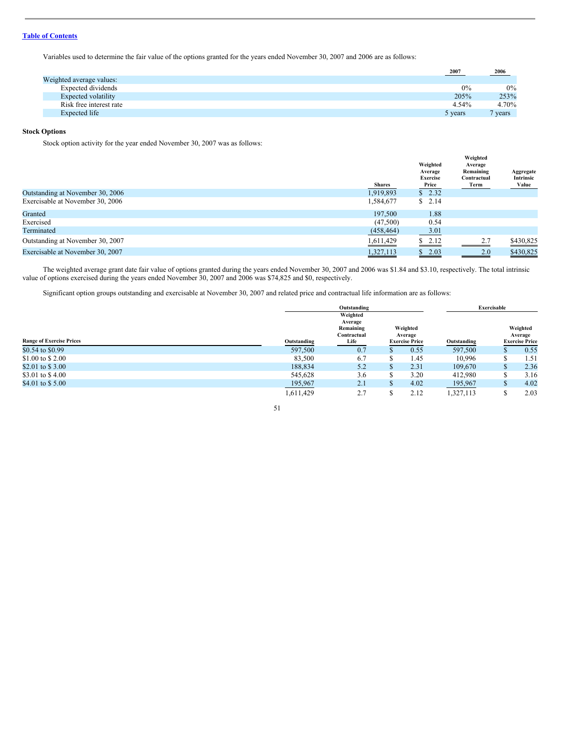Variables used to determine the fair value of the options granted for the years ended November 30, 2007 and 2006 are as follows:

|                          | $-2007$ | $-2006$   |
|--------------------------|---------|-----------|
| Weighted average values: |         |           |
| Expected dividends       | 0%      | $0\%$     |
| Expected volatility      | 205%    | 253%      |
| Risk free interest rate  | 4.54%   | 4.70%     |
| Expected life            | 5 years | $7$ years |
|                          |         |           |

# **Stock Options**

Stock option activity for the year ended November 30, 2007 was as follows:

|                                  | <b>Shares</b> | Weighted<br>Average<br><b>Exercise</b><br>Price | Weighted<br>Average<br>Remaining<br>Contractual<br>Term | Aggregate<br>Intrinsic<br>Value |
|----------------------------------|---------------|-------------------------------------------------|---------------------------------------------------------|---------------------------------|
| Outstanding at November 30, 2006 | 1,919,893     | \$2.32                                          |                                                         |                                 |
| Exercisable at November 30, 2006 | 1,584,677     | \$2.14                                          |                                                         |                                 |
| Granted                          | 197.500       | 1.88                                            |                                                         |                                 |
| Exercised                        | (47,500)      | 0.54                                            |                                                         |                                 |
| Terminated                       | (458, 464)    | 3.01                                            |                                                         |                                 |
| Outstanding at November 30, 2007 | 1,611,429     | \$2.12                                          | 2.7                                                     | \$430,825                       |
| Exercisable at November 30, 2007 | 1,327,113     | 2.03<br>D                                       | 2.0                                                     | \$430,825                       |

The weighted average grant date fair value of options granted during the years ended November 30, 2007 and 2006 was \$1.84 and \$3.10, respectively. The total intrinsic value of options exercised during the years ended November 30, 2007 and 2006 was \$74,825 and \$0, respectively.

Significant option groups outstanding and exercisable at November 30, 2007 and related price and contractual life information are as follows:

|                                 |             | Outstanding |  |                       | Exercisable |  |                       |
|---------------------------------|-------------|-------------|--|-----------------------|-------------|--|-----------------------|
|                                 |             | Weighted    |  |                       |             |  |                       |
|                                 |             | Average     |  |                       |             |  |                       |
|                                 |             | Remaining   |  | Weighted              |             |  | Weighted              |
|                                 |             | Contractual |  | Average               |             |  | Average               |
| <b>Range of Exercise Prices</b> | Outstanding | Life        |  | <b>Exercise Price</b> | Outstanding |  | <b>Exercise Price</b> |
| \$0.54 to \$0.99                | 597,500     | 0.7         |  | 0.55                  | 597,500     |  | 0.55                  |
| \$1.00 to \$2.00                | 83,500      | 6.7         |  | 1.45                  | 10.996      |  | 1.51                  |
| \$2.01 to \$3.00                | 188,834     | 5.2         |  | 2.31                  | 109,670     |  | 2.36                  |
| \$3.01 to \$4.00                | 545,628     | 3.6         |  | 3.20                  | 412,980     |  | 3.16                  |
| \$4.01 to \$5.00                | 195,967     | 2.1         |  | 4.02                  | 195,967     |  | 4.02                  |
|                                 | 1,611,429   | 2.7         |  | 2.12                  | 1,327,113   |  | 2.03                  |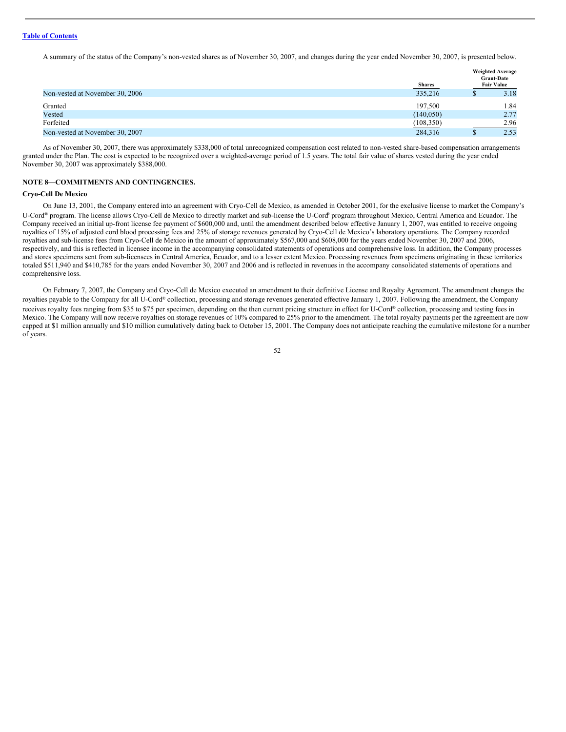A summary of the status of the Company's non-vested shares as of November 30, 2007, and changes during the year ended November 30, 2007, is presented below.

|                                 | <b>Shares</b> | <b>Weighted Average</b><br><b>Grant-Date</b><br><b>Fair Value</b> |
|---------------------------------|---------------|-------------------------------------------------------------------|
| Non-vested at November 30, 2006 | 335,216       | 3.18                                                              |
| Granted                         | 197.500       | 1.84                                                              |
| Vested                          | (140, 050)    | 2.77                                                              |
| Forfeited                       | (108, 350)    | 2.96                                                              |
| Non-vested at November 30, 2007 | 284,316       | 2.53                                                              |

As of November 30, 2007, there was approximately \$338,000 of total unrecognized compensation cost related to non-vested share-based compensation arrangements granted under the Plan. The cost is expected to be recognized over a weighted-average period of 1.5 years. The total fair value of shares vested during the year ended November 30, 2007 was approximately \$388,000.

#### **NOTE 8—COMMITMENTS AND CONTINGENCIES.**

#### **Cryo-Cell De Mexico**

On June 13, 2001, the Company entered into an agreement with Cryo-Cell de Mexico, as amended in October 2001, for the exclusive license to market the Company's U-Cord® program. The license allows Cryo-Cell de Mexico to directly market and sub-license the U-Cord® program throughout Mexico, Central America and Ecuador. The Company received an initial up-front license fee payment of \$600,000 and, until the amendment described below effective January 1, 2007, was entitled to receive ongoing royalties of 15% of adjusted cord blood processing fees and 25% of storage revenues generated by Cryo-Cell de Mexico's laboratory operations. The Company recorded royalties and sub-license fees from Cryo-Cell de Mexico in the amount of approximately \$567,000 and \$608,000 for the years ended November 30, 2007 and 2006, respectively, and this is reflected in licensee income in the accompanying consolidated statements of operations and comprehensive loss. In addition, the Company processes and stores specimens sent from sub-licensees in Central America, Ecuador, and to a lesser extent Mexico. Processing revenues from specimens originating in these territories totaled \$511,940 and \$410,785 for the years ended November 30, 2007 and 2006 and is reflected in revenues in the accompany consolidated statements of operations and comprehensive loss.

On February 7, 2007, the Company and Cryo-Cell de Mexico executed an amendment to their definitive License and Royalty Agreement. The amendment changes the royalties payable to the Company for all U-Cord® collection, processing and storage revenues generated effective January 1, 2007. Following the amendment, the Company receives royalty fees ranging from \$35 to \$75 per specimen, depending on the then current pricing structure in effect for U-Cord® collection, processing and testing fees in Mexico. The Company will now receive royalties on storage revenues of 10% compared to 25% prior to the amendment. The total royalty payments per the agreement are now capped at \$1 million annually and \$10 million cumulatively dating back to October 15, 2001. The Company does not anticipate reaching the cumulative milestone for a number of years.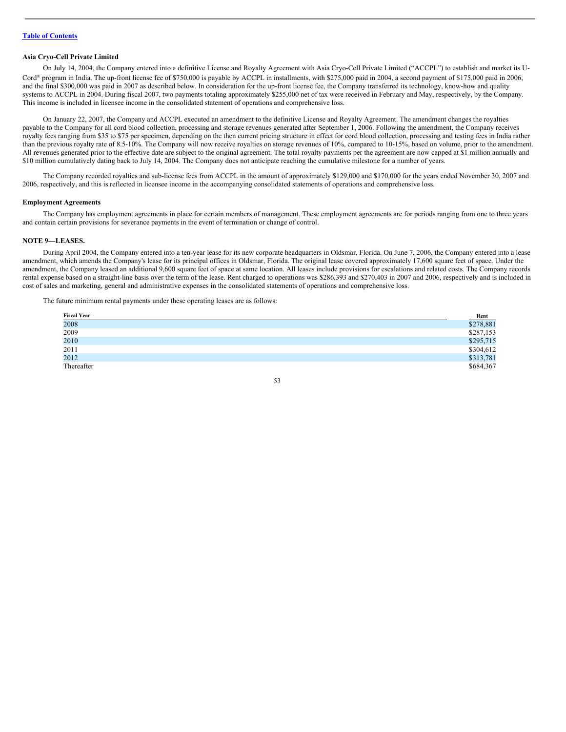#### **Asia Cryo-Cell Private Limited**

On July 14, 2004, the Company entered into a definitive License and Royalty Agreement with Asia Cryo-Cell Private Limited ("ACCPL") to establish and market its U-Cord ® program in India. The up-front license fee of \$750,000 is payable by ACCPL in installments, with \$275,000 paid in 2004, a second payment of \$175,000 paid in 2006, and the final \$300,000 was paid in 2007 as described below. In consideration for the up-front license fee, the Company transferred its technology, know-how and quality systems to ACCPL in 2004. During fiscal 2007, two payments totaling approximately \$255,000 net of tax were received in February and May, respectively, by the Company. This income is included in licensee income in the consolidated statement of operations and comprehensive loss.

On January 22, 2007, the Company and ACCPL executed an amendment to the definitive License and Royalty Agreement. The amendment changes the royalties payable to the Company for all cord blood collection, processing and storage revenues generated after September 1, 2006. Following the amendment, the Company receives royalty fees ranging from \$35 to \$75 per specimen, depending on the then current pricing structure in effect for cord blood collection, processing and testing fees in India rather than the previous royalty rate of 8.5-10%. The Company will now receive royalties on storage revenues of 10%, compared to 10-15%, based on volume, prior to the amendment. All revenues generated prior to the effective date are subject to the original agreement. The total royalty payments per the agreement are now capped at \$1 million annually and \$10 million cumulatively dating back to July 14, 2004. The Company does not anticipate reaching the cumulative milestone for a number of years.

The Company recorded royalties and sub-license fees from ACCPL in the amount of approximately \$129,000 and \$170,000 for the years ended November 30, 2007 and 2006, respectively, and this is reflected in licensee income in the accompanying consolidated statements of operations and comprehensive loss.

#### **Employment Agreements**

The Company has employment agreements in place for certain members of management. These employment agreements are for periods ranging from one to three years and contain certain provisions for severance payments in the event of termination or change of control.

#### **NOTE 9—LEASES.**

During April 2004, the Company entered into a ten-year lease for its new corporate headquarters in Oldsmar, Florida. On June 7, 2006, the Company entered into a lease amendment, which amends the Company's lease for its principal offices in Oldsmar, Florida. The original lease covered approximately 17,600 square feet of space. Under the amendment, the Company leased an additional 9,600 square feet of space at same location. All leases include provisions for escalations and related costs. The Company records rental expense based on a straight-line basis over the term of the lease. Rent charged to operations was \$286,393 and \$270,403 in 2007 and 2006, respectively and is included in cost of sales and marketing, general and administrative expenses in the consolidated statements of operations and comprehensive loss.

The future minimum rental payments under these operating leases are as follows:

| <b>Fiscal Year</b> |                       |
|--------------------|-----------------------|
| 2008               | $rac{Rent}{$278,881}$ |
| 2009               | \$287,153             |
| 2010               | \$295,715             |
| 2011               | \$304,612             |
| 2012               | \$313,781             |
| Thereafter         | \$684,367             |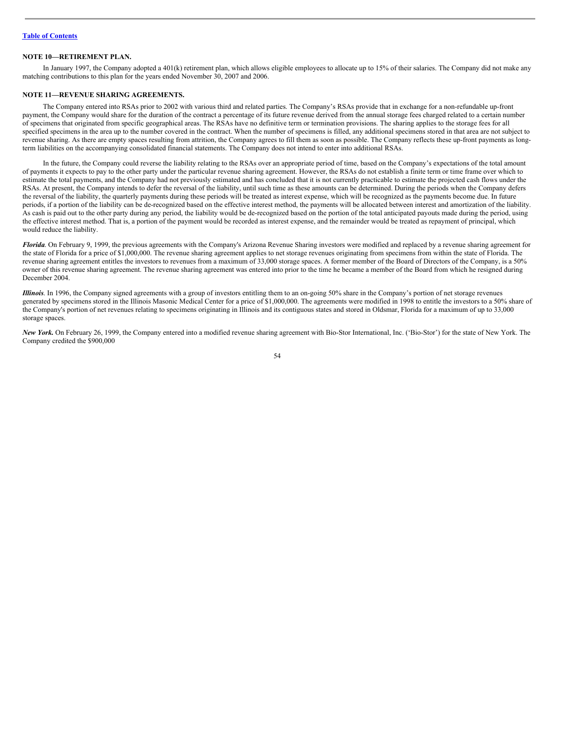#### **NOTE 10—RETIREMENT PLAN.**

In January 1997, the Company adopted a 401(k) retirement plan, which allows eligible employees to allocate up to 15% of their salaries. The Company did not make any matching contributions to this plan for the years ended November 30, 2007 and 2006.

#### **NOTE 11—REVENUE SHARING AGREEMENTS.**

The Company entered into RSAs prior to 2002 with various third and related parties. The Company's RSAs provide that in exchange for a non-refundable up-front payment, the Company would share for the duration of the contract a percentage of its future revenue derived from the annual storage fees charged related to a certain number of specimens that originated from specific geographical areas. The RSAs have no definitive term or termination provisions. The sharing applies to the storage fees for all specified specimens in the area up to the number covered in the contract. When the number of specimens is filled, any additional specimens stored in that area are not subject to revenue sharing. As there are empty spaces resulting from attrition, the Company agrees to fill them as soon as possible. The Company reflects these up-front payments as longterm liabilities on the accompanying consolidated financial statements. The Company does not intend to enter into additional RSAs.

In the future, the Company could reverse the liability relating to the RSAs over an appropriate period of time, based on the Company's expectations of the total amount of payments it expects to pay to the other party under the particular revenue sharing agreement. However, the RSAs do not establish a finite term or time frame over which to estimate the total payments, and the Company had not previously estimated and has concluded that it is not currently practicable to estimate the projected cash flows under the RSAs. At present, the Company intends to defer the reversal of the liability, until such time as these amounts can be determined. During the periods when the Company defers the reversal of the liability, the quarterly payments during these periods will be treated as interest expense, which will be recognized as the payments become due. In future periods, if a portion of the liability can be de-recognized based on the effective interest method, the payments will be allocated between interest and amortization of the liability. As cash is paid out to the other party during any period, the liability would be de-recognized based on the portion of the total anticipated payouts made during the period, using the effective interest method. That is, a portion of the payment would be recorded as interest expense, and the remainder would be treated as repayment of principal, which would reduce the liability.

*Florida*. On February 9, 1999, the previous agreements with the Company's Arizona Revenue Sharing investors were modified and replaced by a revenue sharing agreement for the state of Florida for a price of \$1,000,000. The revenue sharing agreement applies to net storage revenues originating from specimens from within the state of Florida. The revenue sharing agreement entitles the investors to revenues from a maximum of 33,000 storage spaces. A former member of the Board of Directors of the Company, is a 50% owner of this revenue sharing agreement. The revenue sharing agreement was entered into prior to the time he became a member of the Board from which he resigned during December 2004.

*Illinois*. In 1996, the Company signed agreements with a group of investors entitling them to an on-going 50% share in the Company's portion of net storage revenues generated by specimens stored in the Illinois Masonic Medical Center for a price of \$1,000,000. The agreements were modified in 1998 to entitle the investors to a 50% share of the Company's portion of net revenues relating to specimens originating in Illinois and its contiguous states and stored in Oldsmar, Florida for a maximum of up to 33,000 storage spaces.

New York. On February 26, 1999, the Company entered into a modified revenue sharing agreement with Bio-Stor International, Inc. ('Bio-Stor') for the state of New York. The Company credited the \$900,000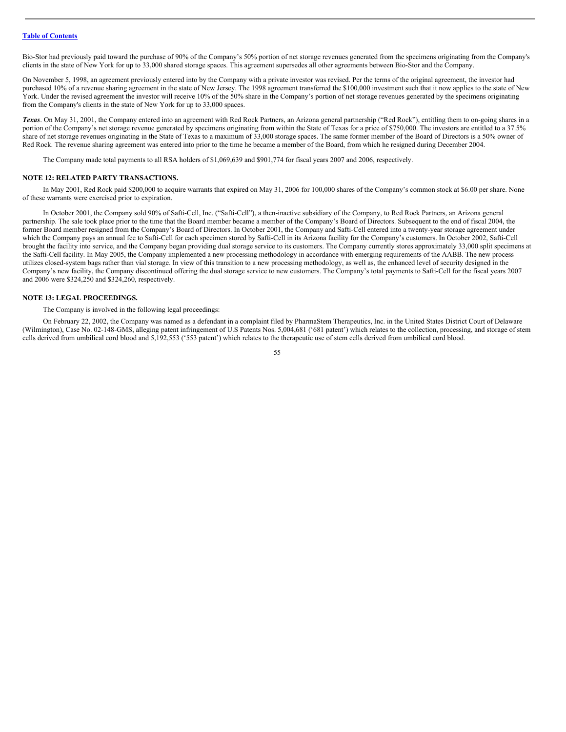Bio-Stor had previously paid toward the purchase of 90% of the Company's 50% portion of net storage revenues generated from the specimens originating from the Company's clients in the state of New York for up to 33,000 shared storage spaces. This agreement supersedes all other agreements between Bio-Stor and the Company.

On November 5, 1998, an agreement previously entered into by the Company with a private investor was revised. Per the terms of the original agreement, the investor had purchased 10% of a revenue sharing agreement in the state of New Jersey. The 1998 agreement transferred the \$100,000 investment such that it now applies to the state of New York. Under the revised agreement the investor will receive 10% of the 50% share in the Company's portion of net storage revenues generated by the specimens originating from the Company's clients in the state of New York for up to 33,000 spaces.

*Texas*. On May 31, 2001, the Company entered into an agreement with Red Rock Partners, an Arizona general partnership ("Red Rock"), entitling them to on-going shares in a portion of the Company's net storage revenue generated by specimens originating from within the State of Texas for a price of \$750,000. The investors are entitled to a 37.5% share of net storage revenues originating in the State of Texas to a maximum of 33,000 storage spaces. The same former member of the Board of Directors is a 50% owner of Red Rock. The revenue sharing agreement was entered into prior to the time he became a member of the Board, from which he resigned during December 2004.

The Company made total payments to all RSA holders of \$1,069,639 and \$901,774 for fiscal years 2007 and 2006, respectively.

#### **NOTE 12: RELATED PARTY TRANSACTIONS.**

In May 2001, Red Rock paid \$200,000 to acquire warrants that expired on May 31, 2006 for 100,000 shares of the Company's common stock at \$6.00 per share. None of these warrants were exercised prior to expiration.

In October 2001, the Company sold 90% of Safti-Cell, Inc. ("Safti-Cell"), a then-inactive subsidiary of the Company, to Red Rock Partners, an Arizona general partnership. The sale took place prior to the time that the Board member became a member of the Company's Board of Directors. Subsequent to the end of fiscal 2004, the former Board member resigned from the Company's Board of Directors. In October 2001, the Company and Safti-Cell entered into a twenty-year storage agreement under which the Company pays an annual fee to Safti-Cell for each specimen stored by Safti-Cell in its Arizona facility for the Company's customers. In October 2002, Safti-Cell brought the facility into service, and the Company began providing dual storage service to its customers. The Company currently stores approximately 33,000 split specimens at the Safti-Cell facility. In May 2005, the Company implemented a new processing methodology in accordance with emerging requirements of the AABB. The new process utilizes closed-system bags rather than vial storage. In view of this transition to a new processing methodology, as well as, the enhanced level of security designed in the Company's new facility, the Company discontinued offering the dual storage service to new customers. The Company's total payments to Safti-Cell for the fiscal years 2007 and 2006 were \$324,250 and \$324,260, respectively.

#### **NOTE 13: LEGAL PROCEEDINGS.**

The Company is involved in the following legal proceedings:

On February 22, 2002, the Company was named as a defendant in a complaint filed by PharmaStem Therapeutics, Inc. in the United States District Court of Delaware (Wilmington), Case No. 02-148-GMS, alleging patent infringement of U.S Patents Nos. 5,004,681 ('681 patent') which relates to the collection, processing, and storage of stem cells derived from umbilical cord blood and 5,192,553 ('553 patent') which relates to the therapeutic use of stem cells derived from umbilical cord blood.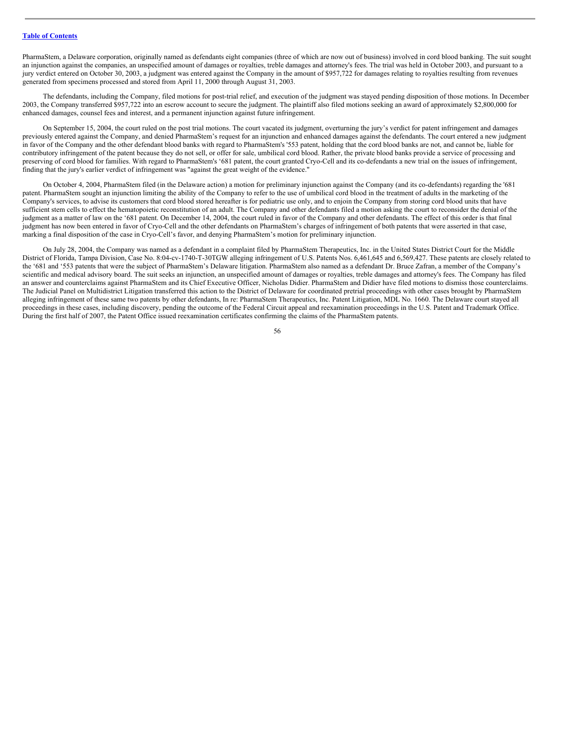PharmaStem, a Delaware corporation, originally named as defendants eight companies (three of which are now out of business) involved in cord blood banking. The suit sought an injunction against the companies, an unspecified amount of damages or royalties, treble damages and attorney's fees. The trial was held in October 2003, and pursuant to a jury verdict entered on October 30, 2003, a judgment was entered against the Company in the amount of \$957,722 for damages relating to royalties resulting from revenues generated from specimens processed and stored from April 11, 2000 through August 31, 2003.

The defendants, including the Company, filed motions for post-trial relief, and execution of the judgment was stayed pending disposition of those motions. In December 2003, the Company transferred \$957,722 into an escrow account to secure the judgment. The plaintiff also filed motions seeking an award of approximately \$2,800,000 for enhanced damages, counsel fees and interest, and a permanent injunction against future infringement.

On September 15, 2004, the court ruled on the post trial motions. The court vacated its judgment, overturning the jury's verdict for patent infringement and damages previously entered against the Company, and denied PharmaStem's request for an injunction and enhanced damages against the defendants. The court entered a new judgment in favor of the Company and the other defendant blood banks with regard to PharmaStem's '553 patent, holding that the cord blood banks are not, and cannot be, liable for contributory infringement of the patent because they do not sell, or offer for sale, umbilical cord blood. Rather, the private blood banks provide a service of processing and preserving of cord blood for families. With regard to PharmaStem's '681 patent, the court granted Cryo-Cell and its co-defendants a new trial on the issues of infringement, finding that the jury's earlier verdict of infringement was "against the great weight of the evidence."

On October 4, 2004, PharmaStem filed (in the Delaware action) a motion for preliminary injunction against the Company (and its co-defendants) regarding the '681 patent. PharmaStem sought an injunction limiting the ability of the Company to refer to the use of umbilical cord blood in the treatment of adults in the marketing of the Company's services, to advise its customers that cord blood stored hereafter is for pediatric use only, and to enjoin the Company from storing cord blood units that have sufficient stem cells to effect the hematopoietic reconstitution of an adult. The Company and other defendants filed a motion asking the court to reconsider the denial of the judgment as a matter of law on the '681 patent. On December 14, 2004, the court ruled in favor of the Company and other defendants. The effect of this order is that final judgment has now been entered in favor of Cryo-Cell and the other defendants on PharmaStem's charges of infringement of both patents that were asserted in that case, marking a final disposition of the case in Cryo-Cell's favor, and denying PharmaStem's motion for preliminary injunction.

On July 28, 2004, the Company was named as a defendant in a complaint filed by PharmaStem Therapeutics, Inc. in the United States District Court for the Middle District of Florida, Tampa Division, Case No. 8:04-cv-1740-T-30TGW alleging infringement of U.S. Patents Nos. 6,461,645 and 6,569,427. These patents are closely related to the '681 and '553 patents that were the subject of PharmaStem's Delaware litigation. PharmaStem also named as a defendant Dr. Bruce Zafran, a member of the Company's scientific and medical advisory board. The suit seeks an injunction, an unspecified amount of damages or royalties, treble damages and attorney's fees. The Company has filed an answer and counterclaims against PharmaStem and its Chief Executive Officer, Nicholas Didier. PharmaStem and Didier have filed motions to dismiss those counterclaims. The Judicial Panel on Multidistrict Litigation transferred this action to the District of Delaware for coordinated pretrial proceedings with other cases brought by PharmaStem alleging infringement of these same two patents by other defendants, In re: PharmaStem Therapeutics, Inc. Patent Litigation, MDL No. 1660. The Delaware court stayed all proceedings in these cases, including discovery, pending the outcome of the Federal Circuit appeal and reexamination proceedings in the U.S. Patent and Trademark Office. During the first half of 2007, the Patent Office issued reexamination certificates confirming the claims of the PharmaStem patents.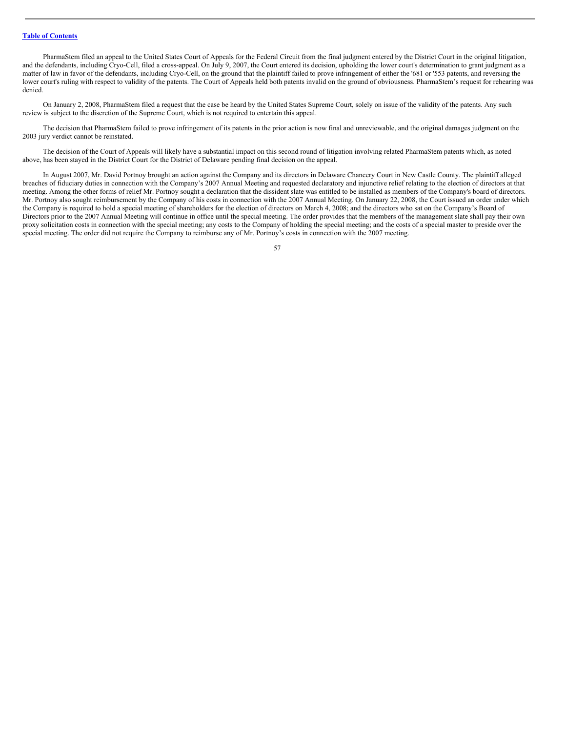PharmaStem filed an appeal to the United States Court of Appeals for the Federal Circuit from the final judgment entered by the District Court in the original litigation, and the defendants, including Cryo-Cell, filed a cross-appeal. On July 9, 2007, the Court entered its decision, upholding the lower court's determination to grant judgment as a matter of law in favor of the defendants, including Cryo-Cell, on the ground that the plaintiff failed to prove infringement of either the '681 or '553 patents, and reversing the lower court's ruling with respect to validity of the patents. The Court of Appeals held both patents invalid on the ground of obviousness. PharmaStem's request for rehearing was denied.

On January 2, 2008, PharmaStem filed a request that the case be heard by the United States Supreme Court, solely on issue of the validity of the patents. Any such review is subject to the discretion of the Supreme Court, which is not required to entertain this appeal.

The decision that PharmaStem failed to prove infringement of its patents in the prior action is now final and unreviewable, and the original damages judgment on the 2003 jury verdict cannot be reinstated.

The decision of the Court of Appeals will likely have a substantial impact on this second round of litigation involving related PharmaStem patents which, as noted above, has been stayed in the District Court for the District of Delaware pending final decision on the appeal.

In August 2007, Mr. David Portnoy brought an action against the Company and its directors in Delaware Chancery Court in New Castle County. The plaintiff alleged breaches of fiduciary duties in connection with the Company's 2007 Annual Meeting and requested declaratory and injunctive relief relating to the election of directors at that meeting. Among the other forms of relief Mr. Portnoy sought a declaration that the dissident slate was entitled to be installed as members of the Company's board of directors. Mr. Portnoy also sought reimbursement by the Company of his costs in connection with the 2007 Annual Meeting. On January 22, 2008, the Court issued an order under which the Company is required to hold a special meeting of shareholders for the election of directors on March 4, 2008; and the directors who sat on the Company's Board of Directors prior to the 2007 Annual Meeting will continue in office until the special meeting. The order provides that the members of the management slate shall pay their own proxy solicitation costs in connection with the special meeting; any costs to the Company of holding the special meeting; and the costs of a special master to preside over the special meeting. The order did not require the Company to reimburse any of Mr. Portnoy's costs in connection with the 2007 meeting.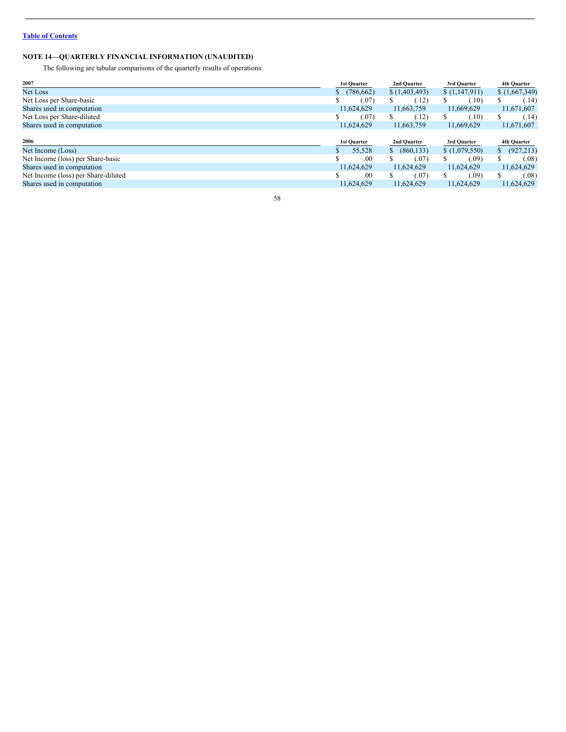# **NOTE 14—QUARTERLY FINANCIAL INFORMATION (UNAUDITED)**

The following are tabular comparisons of the quarterly results of operations.

| 2007                                | <b>1st Quarter</b> | 2nd Quarter     | 3rd Quarter   | 4th Quarter      |
|-------------------------------------|--------------------|-----------------|---------------|------------------|
| Net Loss                            | (786, 662)<br>Ф    | (1,403,493)     | \$(1,147,911) | (1,667,349)      |
| Net Loss per Share-basic            | (.07)              | (.12)<br>S      | (.10)<br>S    | (.14)            |
| Shares used in computation          | 11,624,629         | 11,663,759      | 11,669,629    | 11,671,607       |
| Net Loss per Share-diluted          | (.07)              | (.12)           | (.10)         | (.14)            |
| Shares used in computation          | 11,624,629         | 11,663,759      | 11,669,629    | 11,671,607       |
|                                     |                    |                 |               |                  |
| 2006                                | <b>1st Quarter</b> | 2nd Quarter     | 3rd Quarter   | 4th Quarter      |
| Net Income (Loss)                   | 55,528             | (860, 133)<br>S | \$(1,079,550) | (927, 213)<br>Ъ. |
| Net Income (loss) per Share-basic   | .00                | (.07)           | (.09)         | (.08)            |
| Shares used in computation          | 11,624,629         | 11.624.629      | 11,624,629    | 11,624,629       |
| Net Income (loss) per Share-diluted | .00                | ¢<br>(.07)      | (.09)         | (.08)            |
| Shares used in computation          | 11,624,629         | 11,624,629      | 11,624,629    | 11,624,629       |
|                                     |                    |                 |               |                  |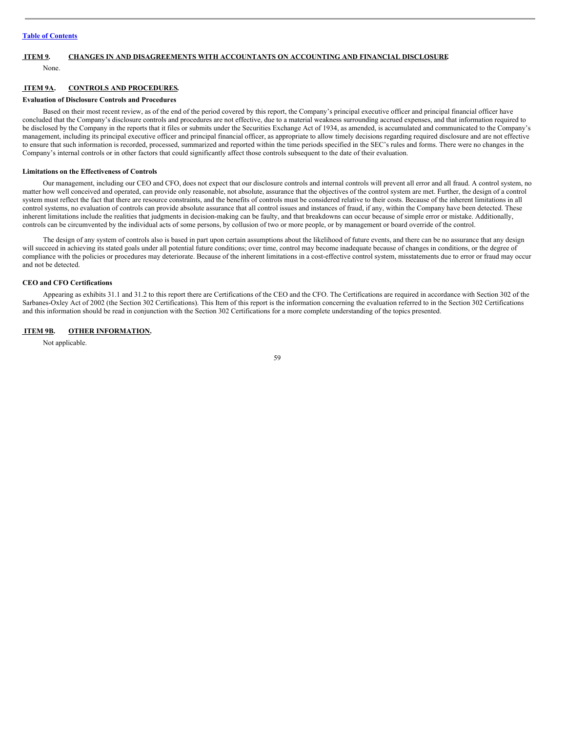# <span id="page-58-0"></span>**ITEM 9. CHANGES IN AND DISAGREEMENTS WITH ACCOUNTANTS ON ACCOUNTING AND FINANCIAL DISCLOSURE.**

None.

### <span id="page-58-1"></span>**ITEM 9A. CONTROLS AND PROCEDURES.**

#### **Evaluation of Disclosure Controls and Procedures**

Based on their most recent review, as of the end of the period covered by this report, the Company's principal executive officer and principal financial officer have concluded that the Company's disclosure controls and procedures are not effective, due to a material weakness surrounding accrued expenses, and that information required to be disclosed by the Company in the reports that it files or submits under the Securities Exchange Act of 1934, as amended, is accumulated and communicated to the Company's management, including its principal executive officer and principal financial officer, as appropriate to allow timely decisions regarding required disclosure and are not effective to ensure that such information is recorded, processed, summarized and reported within the time periods specified in the SEC's rules and forms. There were no changes in the Company's internal controls or in other factors that could significantly affect those controls subsequent to the date of their evaluation.

#### **Limitations on the Effectiveness of Controls**

Our management, including our CEO and CFO, does not expect that our disclosure controls and internal controls will prevent all error and all fraud. A control system, no matter how well conceived and operated, can provide only reasonable, not absolute, assurance that the objectives of the control system are met. Further, the design of a control system must reflect the fact that there are resource constraints, and the benefits of controls must be considered relative to their costs. Because of the inherent limitations in all control systems, no evaluation of controls can provide absolute assurance that all control issues and instances of fraud, if any, within the Company have been detected. These inherent limitations include the realities that judgments in decision-making can be faulty, and that breakdowns can occur because of simple error or mistake. Additionally, controls can be circumvented by the individual acts of some persons, by collusion of two or more people, or by management or board override of the control.

The design of any system of controls also is based in part upon certain assumptions about the likelihood of future events, and there can be no assurance that any design will succeed in achieving its stated goals under all potential future conditions; over time, control may become inadequate because of changes in conditions, or the degree of compliance with the policies or procedures may deteriorate. Because of the inherent limitations in a cost-effective control system, misstatements due to error or fraud may occur and not be detected.

#### **CEO and CFO Certifications**

Appearing as exhibits 31.1 and 31.2 to this report there are Certifications of the CEO and the CFO. The Certifications are required in accordance with Section 302 of the Sarbanes-Oxley Act of 2002 (the Section 302 Certifications). This Item of this report is the information concerning the evaluation referred to in the Section 302 Certifications and this information should be read in conjunction with the Section 302 Certifications for a more complete understanding of the topics presented.

#### <span id="page-58-2"></span>**ITEM 9B. OTHER INFORMATION.**

Not applicable.

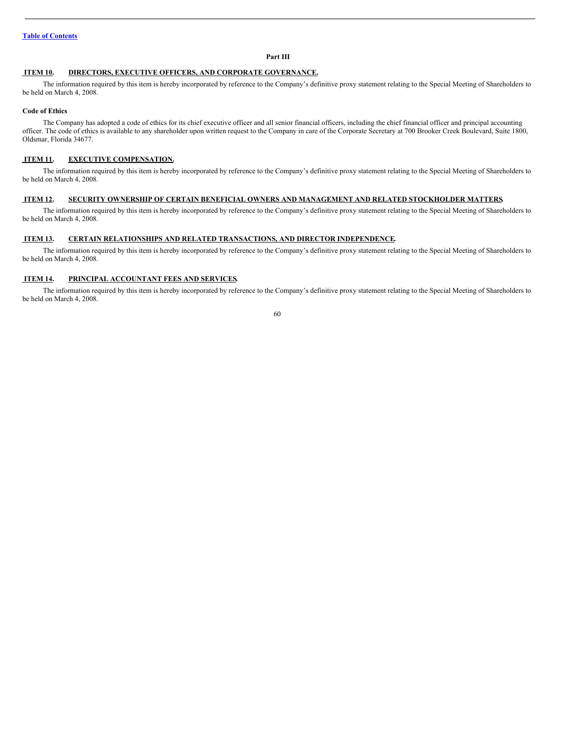# <span id="page-59-0"></span>**Part III**

# <span id="page-59-1"></span>**ITEM 10. DIRECTORS, EXECUTIVE OFFICERS, AND CORPORATE GOVERNANCE.**

The information required by this item is hereby incorporated by reference to the Company's definitive proxy statement relating to the Special Meeting of Shareholders to be held on March 4, 2008.

#### **Code of Ethics**

The Company has adopted a code of ethics for its chief executive officer and all senior financial officers, including the chief financial officer and principal accounting officer. The code of ethics is available to any shareholder upon written request to the Company in care of the Corporate Secretary at 700 Brooker Creek Boulevard, Suite 1800, Oldsmar, Florida 34677.

# <span id="page-59-2"></span>**ITEM 11. EXECUTIVE COMPENSATION.**

The information required by this item is hereby incorporated by reference to the Company's definitive proxy statement relating to the Special Meeting of Shareholders to be held on March 4, 2008.

#### <span id="page-59-3"></span>**ITEM 12. SECURITY OWNERSHIP OF CERTAIN BENEFICIAL OWNERS AND MANAGEMENT AND RELATED STOCKHOLDER MATTERS.**

The information required by this item is hereby incorporated by reference to the Company's definitive proxy statement relating to the Special Meeting of Shareholders to be held on March 4, 2008.

#### <span id="page-59-4"></span>**ITEM 13. CERTAIN RELATIONSHIPS AND RELATED TRANSACTIONS, AND DIRECTOR INDEPENDENCE.**

The information required by this item is hereby incorporated by reference to the Company's definitive proxy statement relating to the Special Meeting of Shareholders to be held on March 4, 2008.

# <span id="page-59-5"></span>**ITEM 14. PRINCIPAL ACCOUNTANT FEES AND SERVICES.**

The information required by this item is hereby incorporated by reference to the Company's definitive proxy statement relating to the Special Meeting of Shareholders to be held on March 4, 2008.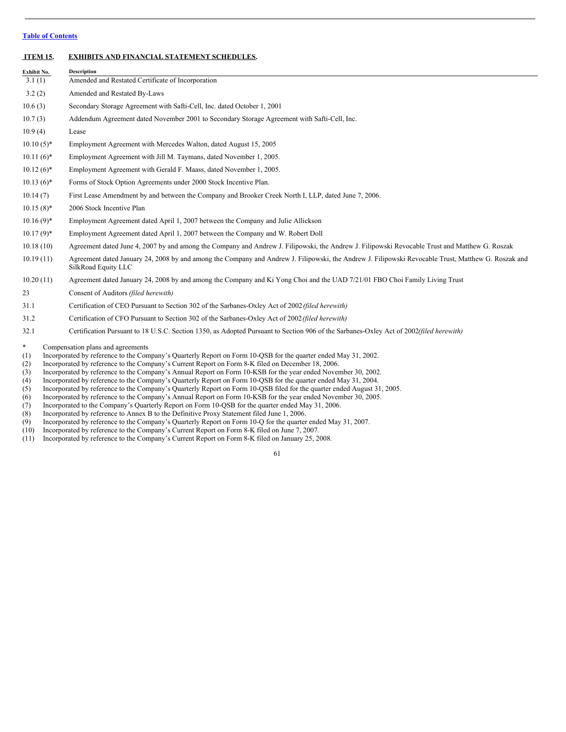# <span id="page-60-0"></span>**ITEM 15. EXHIBITS AND FINANCIAL STATEMENT SCHEDULES.**

| Exhibit No.  | <b>Description</b>                                                                                                                                                         |
|--------------|----------------------------------------------------------------------------------------------------------------------------------------------------------------------------|
| 3.1(1)       | Amended and Restated Certificate of Incorporation                                                                                                                          |
| 3.2(2)       | Amended and Restated By-Laws                                                                                                                                               |
| 10.6(3)      | Secondary Storage Agreement with Safti-Cell, Inc. dated October 1, 2001                                                                                                    |
| 10.7(3)      | Addendum Agreement dated November 2001 to Secondary Storage Agreement with Safti-Cell, Inc.                                                                                |
| 10.9(4)      | Lease                                                                                                                                                                      |
| $10.10(5)^*$ | Employment Agreement with Mercedes Walton, dated August 15, 2005                                                                                                           |
| $10.11(6)$ * | Employment Agreement with Jill M. Taymans, dated November 1, 2005.                                                                                                         |
| $10.12(6)$ * | Employment Agreement with Gerald F. Maass, dated November 1, 2005.                                                                                                         |
| $10.13(6)$ * | Forms of Stock Option Agreements under 2000 Stock Incentive Plan.                                                                                                          |
| 10.14(7)     | First Lease Amendment by and between the Company and Brooker Creek North I, LLP, dated June 7, 2006.                                                                       |
| $10.15(8)$ * | 2006 Stock Incentive Plan                                                                                                                                                  |
| $10.16(9)$ * | Employment Agreement dated April 1, 2007 between the Company and Julie Allickson                                                                                           |
| $10.17(9)^*$ | Employment Agreement dated April 1, 2007 between the Company and W. Robert Doll                                                                                            |
| 10.18(10)    | Agreement dated June 4, 2007 by and among the Company and Andrew J. Filipowski, the Andrew J. Filipowski Revocable Trust and Matthew G. Roszak                             |
| 10.19(11)    | Agreement dated January 24, 2008 by and among the Company and Andrew J. Filipowski, the Andrew J. Filipowski Revocable Trust, Matthew G. Roszak and<br>SilkRoad Equity LLC |
| 10.20(11)    | Agreement dated January 24, 2008 by and among the Company and Ki Yong Choi and the UAD 7/21/01 FBO Choi Family Living Trust                                                |
| 23           | Consent of Auditors (filed herewith)                                                                                                                                       |
| 31.1         | Certification of CEO Pursuant to Section 302 of the Sarbanes-Oxley Act of 2002 (filed herewith)                                                                            |
| 31.2         | Certification of CFO Pursuant to Section 302 of the Sarbanes-Oxley Act of 2002 (filed herewith)                                                                            |
| 32.1         | Certification Pursuant to 18 U.S.C. Section 1350, as Adopted Pursuant to Section 906 of the Sarbanes-Oxley Act of 2002(filed herewith)                                     |

- \* Compensation plans and agreements<br>(1) Incorporated by reference to the Com (1) Incorporated by reference to the Company's Quarterly Report on Form 10-QSB for the quarter ended May 31, 2002.<br>
(2) Incorporated by reference to the Company's Current Report on Form 8-K filed on December 18, 2006.
- Incorporated by reference to the Company's Current Report on Form 8-K filed on December 18, 2006.
- (3) Incorporated by reference to the Company's Annual Report on Form 10-KSB for the year ended November 30, 2002.<br>(4) Incorporated by reference to the Company's Quarterly Report on Form 10-QSB for the quarter ended May 31,
- (4) Incorporated by reference to the Company's Quarterly Report on Form 10-QSB for the quarter ended May 31, 2004.<br>(5) Incorporated by reference to the Company's Quarterly Report on Form 10-OSB filed for the quarter ended
- Incorporated by reference to the Company's Quarterly Report on Form 10-QSB filed for the quarter ended August 31, 2005.
- (6) Incorporated by reference to the Company's Annual Report on Form 10-KSB for the year ended November 30, 2005.<br>(7) Incorporated to the Company's Quarterly Report on Form 10-OSB for the quarter ended May 31, 2006.
- (7) Incorporated to the Company's Quarterly Report on Form 10-QSB for the quarter ended May 31, 2006.
- (8) Incorporated by reference to Annex B to the Definitive Proxy Statement filed June 1, 2006.<br>
(9) Incorporated by reference to the Company's Quarterly Report on Form 10-Q for the quarter
- (9) Incorporated by reference to the Company's Quarterly Report on Form 10-Q for the quarter ended May 31, 2007.<br>
(10) Incorporated by reference to the Company's Current Report on Form 8-K filed on June 7, 2007.
- Incorporated by reference to the Company's Current Report on Form 8-K filed on June 7, 2007.
- (11) Incorporated by reference to the Company's Current Report on Form 8-K filed on January 25, 2008.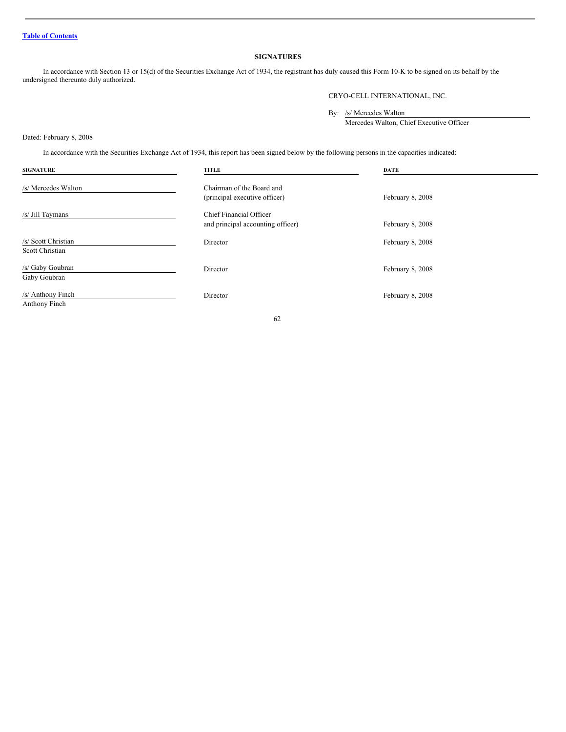# <span id="page-61-0"></span>**SIGNATURES**

In accordance with Section 13 or 15(d) of the Securities Exchange Act of 1934, the registrant has duly caused this Form 10-K to be signed on its behalf by the undersigned thereunto duly authorized.

CRYO-CELL INTERNATIONAL, INC.

By: /s/ Mercedes Walton

Mercedes Walton, Chief Executive Officer

Dated: February 8, 2008

In accordance with the Securities Exchange Act of 1934, this report has been signed below by the following persons in the capacities indicated:

| <b>SIGNATURE</b>                       | <b>TITLE</b>                                                 | DATE             |
|----------------------------------------|--------------------------------------------------------------|------------------|
| /s/ Mercedes Walton                    | Chairman of the Board and<br>(principal executive officer)   | February 8, 2008 |
| /s/ Jill Taymans                       | Chief Financial Officer<br>and principal accounting officer) | February 8, 2008 |
| /s/ Scott Christian<br>Scott Christian | Director                                                     | February 8, 2008 |
| /s/ Gaby Goubran<br>Gaby Goubran       | Director                                                     | February 8, 2008 |
| /s/ Anthony Finch<br>Anthony Finch     | Director                                                     | February 8, 2008 |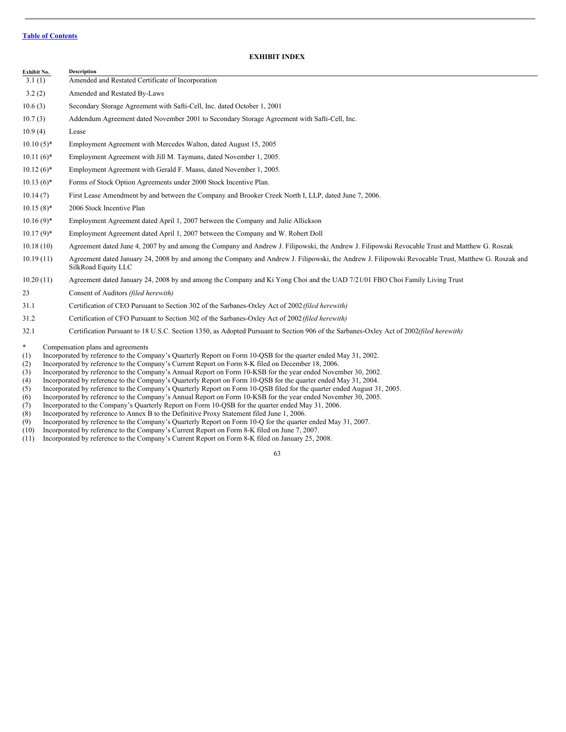# **EXHIBIT INDEX**

| Exhibit No.  | <b>Description</b>                                                                                                                                                         |
|--------------|----------------------------------------------------------------------------------------------------------------------------------------------------------------------------|
| 3.1(1)       | Amended and Restated Certificate of Incorporation                                                                                                                          |
| 3.2(2)       | Amended and Restated By-Laws                                                                                                                                               |
| 10.6(3)      | Secondary Storage Agreement with Safti-Cell, Inc. dated October 1, 2001                                                                                                    |
| 10.7(3)      | Addendum Agreement dated November 2001 to Secondary Storage Agreement with Safti-Cell, Inc.                                                                                |
| 10.9(4)      | Lease                                                                                                                                                                      |
| $10.10(5)$ * | Employment Agreement with Mercedes Walton, dated August 15, 2005                                                                                                           |
| $10.11(6)$ * | Employment Agreement with Jill M. Taymans, dated November 1, 2005.                                                                                                         |
| $10.12(6)$ * | Employment Agreement with Gerald F. Maass, dated November 1, 2005.                                                                                                         |
| $10.13(6)$ * | Forms of Stock Option Agreements under 2000 Stock Incentive Plan.                                                                                                          |
| 10.14(7)     | First Lease Amendment by and between the Company and Brooker Creek North I, LLP, dated June 7, 2006.                                                                       |
| $10.15(8)$ * | 2006 Stock Incentive Plan                                                                                                                                                  |
| $10.16(9)$ * | Employment Agreement dated April 1, 2007 between the Company and Julie Allickson                                                                                           |
| $10.17(9)$ * | Employment Agreement dated April 1, 2007 between the Company and W. Robert Doll                                                                                            |
| 10.18(10)    | Agreement dated June 4, 2007 by and among the Company and Andrew J. Filipowski, the Andrew J. Filipowski Revocable Trust and Matthew G. Roszak                             |
| 10.19(11)    | Agreement dated January 24, 2008 by and among the Company and Andrew J. Filipowski, the Andrew J. Filipowski Revocable Trust, Matthew G. Roszak and<br>SilkRoad Equity LLC |
| 10.20(11)    | Agreement dated January 24, 2008 by and among the Company and Ki Yong Choi and the UAD 7/21/01 FBO Choi Family Living Trust                                                |
| 23           | Consent of Auditors (filed herewith)                                                                                                                                       |
| 31.1         | Certification of CEO Pursuant to Section 302 of the Sarbanes-Oxley Act of 2002 (filed herewith)                                                                            |
| 31.2         | Certification of CFO Pursuant to Section 302 of the Sarbanes-Oxley Act of 2002 (filed herewith)                                                                            |
| 32.1         | Certification Pursuant to 18 U.S.C. Section 1350, as Adopted Pursuant to Section 906 of the Sarbanes-Oxley Act of 2002(filed herewith)                                     |
| $\ast$       | Compensation plans and agreements                                                                                                                                          |

- (1) Incorporated by reference to the Company's Quarterly Report on Form 10-QSB for the quarter ended May 31, 2002.
- (2) Incorporated by reference to the Company's Current Report on Form 8-K filed on December 18, 2006.
- (3) Incorporated by reference to the Company's Annual Report on Form 10-KSB for the year ended November 30, 2002.<br>(4) Incorporated by reference to the Company's Quarterly Report on Form 10-QSB for the quarter ended May 31,
- (4) Incorporated by reference to the Company's Quarterly Report on Form 10-QSB for the quarter ended May 31, 2004.<br>(5) Incorporated by reference to the Company's Quarterly Report on Form 10-OSB filed for the quarter ended
- Incorporated by reference to the Company's Quarterly Report on Form 10-QSB filed for the quarter ended August 31, 2005.
- (6) Incorporated by reference to the Company's Annual Report on Form 10-KSB for the year ended November 30, 2005.<br>(7) Incorporated to the Company's Quarterly Report on Form 10-QSB for the quarter ended May 31, 2006.
- (7) Incorporated to the Company's Quarterly Report on Form 10-QSB for the quarter ended May 31, 2006.
- 
- (8) Incorporated by reference to Annex B to the Definitive Proxy Statement filed June 1, 2006.<br>
(9) Incorporated by reference to the Company's Quarterly Report on Form 10-Q for the quarter (9) Incorporated by reference to the Company's Quarterly Report on Form 10-Q for the quarter ended May 31, 2007.<br>
(10) Incorporated by reference to the Company's Current Report on Form 8-K filed on June 7, 2007.
- Incorporated by reference to the Company's Current Report on Form 8-K filed on June 7, 2007.
- (11) Incorporated by reference to the Company's Current Report on Form 8-K filed on January 25, 2008.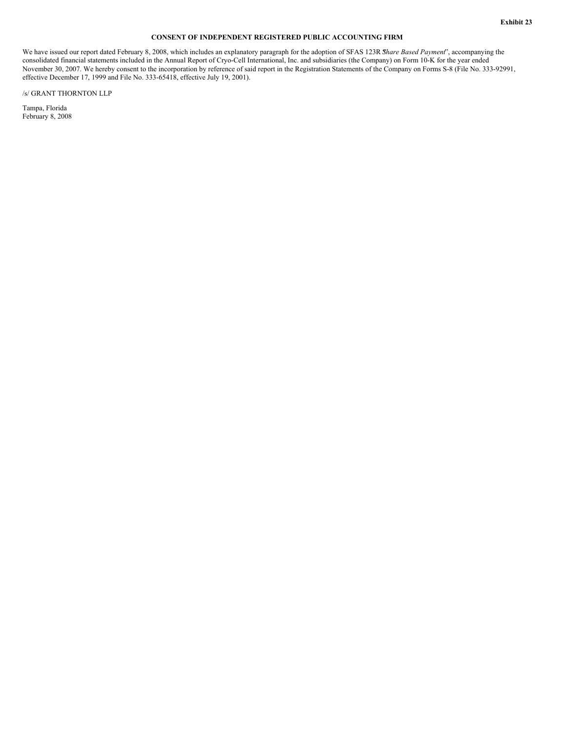# **CONSENT OF INDEPENDENT REGISTERED PUBLIC ACCOUNTING FIRM**

We have issued our report dated February 8, 2008, which includes an explanatory paragraph for the adoption of SFAS 123R *Share Based Payment*', accompanying the consolidated financial statements included in the Annual Report of Cryo-Cell International, Inc. and subsidiaries (the Company) on Form 10-K for the year ended November 30, 2007. We hereby consent to the incorporation by reference of said report in the Registration Statements of the Company on Forms S-8 (File No. 333-92991, effective December 17, 1999 and File No. 333-65418, effective July 19, 2001).

/s/ GRANT THORNTON LLP

Tampa, Florida February 8, 2008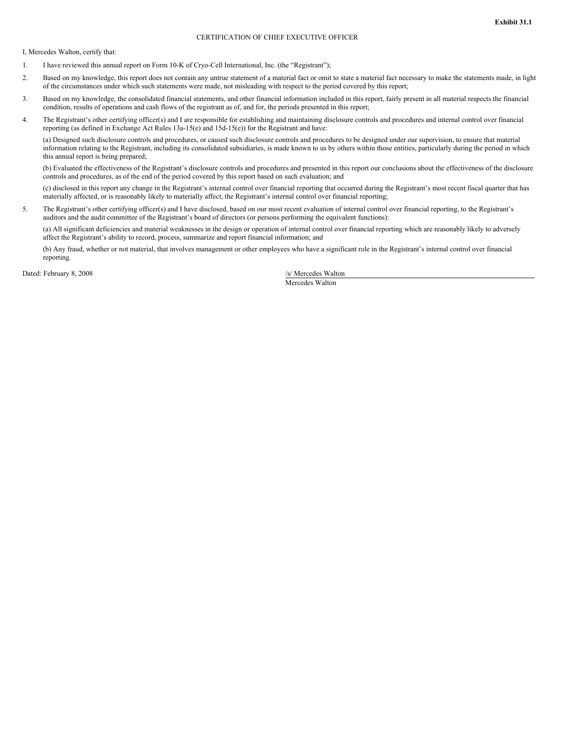# CERTIFICATION OF CHIEF EXECUTIVE OFFICER

I, Mercedes Walton, certify that:

- 1. I have reviewed this annual report on Form 10-K of Cryo-Cell International, Inc. (the "Registrant");
- 2. Based on my knowledge, this report does not contain any untrue statement of a material fact or omit to state a material fact necessary to make the statements made, in light of the circumstances under which such statements were made, not misleading with respect to the period covered by this report;
- 3. Based on my knowledge, the consolidated financial statements, and other financial information included in this report, fairly present in all material respects the financial condition, results of operations and cash flows of the registrant as of, and for, the periods presented in this report;
- 4. The Registrant's other certifying officer(s) and I are responsible for establishing and maintaining disclosure controls and procedures and internal control over financial reporting (as defined in Exchange Act Rules 13a-15(e) and 15d-15(e)) for the Registrant and have:

(a) Designed such disclosure controls and procedures, or caused such disclosure controls and procedures to be designed under our supervision, to ensure that material information relating to the Registrant, including its consolidated subsidiaries, is made known to us by others within those entities, particularly during the period in which this annual report is being prepared;

(b) Evaluated the effectiveness of the Registrant's disclosure controls and procedures and presented in this report our conclusions about the effectiveness of the disclosure controls and procedures, as of the end of the period covered by this report based on such evaluation; and

(c) disclosed in this report any change in the Registrant's internal control over financial reporting that occurred during the Registrant's most recent fiscal quarter that has materially affected, or is reasonably likely to materially affect, the Registrant's internal control over financial reporting;

5. The Registrant's other certifying officer(s) and I have disclosed, based on our most recent evaluation of internal control over financial reporting, to the Registrant's auditors and the audit committee of the Registrant's board of directors (or persons performing the equivalent functions):

(a) All significant deficiencies and material weaknesses in the design or operation of internal control over financial reporting which are reasonably likely to adversely affect the Registrant's ability to record, process, summarize and report financial information; and

(b) Any fraud, whether or not material, that involves management or other employees who have a significant role in the Registrant's internal control over financial reporting.

Dated: February 8, 2008 /s/ Mercedes Walton /s/ Mercedes Walton /s/ Mercedes Walton /s/ Mercedes Walton /s/ Mercedes Walton /s/ Mercedes Walton /s/ Mercedes Walton /s/ Mercedes Walton /s/ Mercedes Walton /s/ Mercedes Walto

Mercedes Walton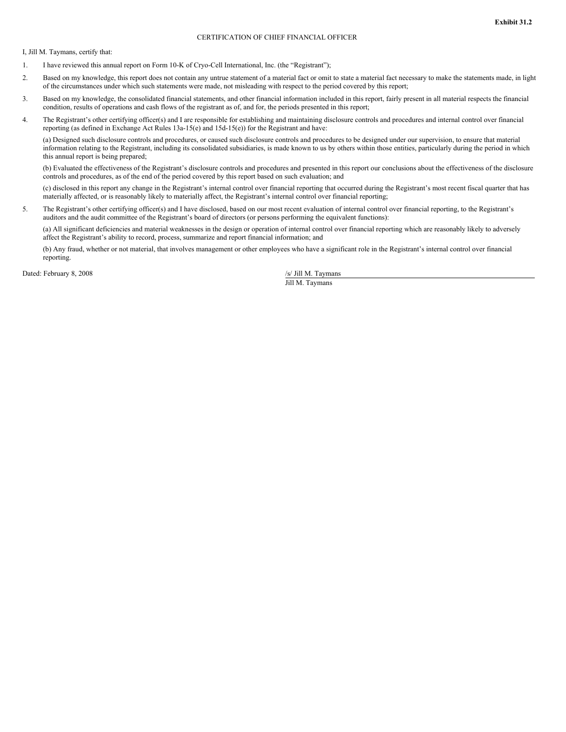## CERTIFICATION OF CHIEF FINANCIAL OFFICER

I, Jill M. Taymans, certify that:

- 1. I have reviewed this annual report on Form 10-K of Cryo-Cell International, Inc. (the "Registrant");
- 2. Based on my knowledge, this report does not contain any untrue statement of a material fact or omit to state a material fact necessary to make the statements made, in light of the circumstances under which such statements were made, not misleading with respect to the period covered by this report;
- 3. Based on my knowledge, the consolidated financial statements, and other financial information included in this report, fairly present in all material respects the financial condition, results of operations and cash flows of the registrant as of, and for, the periods presented in this report;
- 4. The Registrant's other certifying officer(s) and I are responsible for establishing and maintaining disclosure controls and procedures and internal control over financial reporting (as defined in Exchange Act Rules 13a-15(e) and 15d-15(e)) for the Registrant and have:

(a) Designed such disclosure controls and procedures, or caused such disclosure controls and procedures to be designed under our supervision, to ensure that material information relating to the Registrant, including its consolidated subsidiaries, is made known to us by others within those entities, particularly during the period in which this annual report is being prepared;

(b) Evaluated the effectiveness of the Registrant's disclosure controls and procedures and presented in this report our conclusions about the effectiveness of the disclosure controls and procedures, as of the end of the period covered by this report based on such evaluation; and

(c) disclosed in this report any change in the Registrant's internal control over financial reporting that occurred during the Registrant's most recent fiscal quarter that has materially affected, or is reasonably likely to materially affect, the Registrant's internal control over financial reporting;

5. The Registrant's other certifying officer(s) and I have disclosed, based on our most recent evaluation of internal control over financial reporting, to the Registrant's auditors and the audit committee of the Registrant's board of directors (or persons performing the equivalent functions):

(a) All significant deficiencies and material weaknesses in the design or operation of internal control over financial reporting which are reasonably likely to adversely affect the Registrant's ability to record, process, summarize and report financial information; and

(b) Any fraud, whether or not material, that involves management or other employees who have a significant role in the Registrant's internal control over financial reporting.

Dated: February 8, 2008 /s/ Jill M. Taymans

Jill M. Taymans